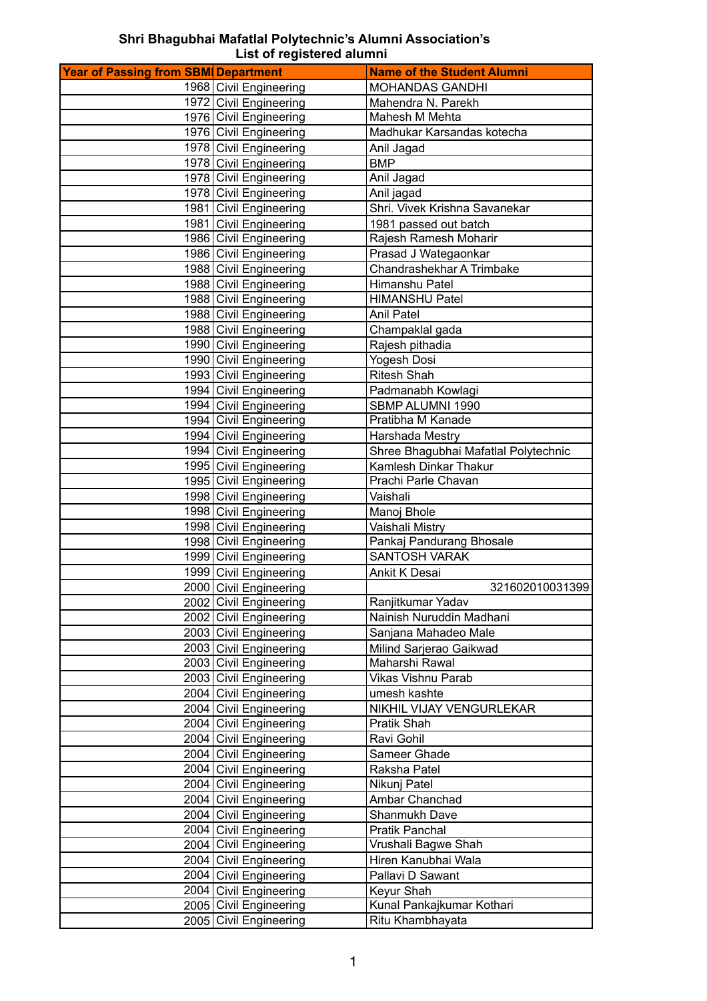## **Shri Bhagubhai Mafatlal Polytechnic's Alumni Association's List of registered alumni**

| <b>Year of Passing from SBM Department</b> |                        | <b>Name of the Student Alumni</b>    |
|--------------------------------------------|------------------------|--------------------------------------|
|                                            | 1968 Civil Engineering | <b>MOHANDAS GANDHI</b>               |
|                                            | 1972 Civil Engineering | Mahendra N. Parekh                   |
|                                            | 1976 Civil Engineering | Mahesh M Mehta                       |
|                                            | 1976 Civil Engineering | Madhukar Karsandas kotecha           |
|                                            | 1978 Civil Engineering | Anil Jagad                           |
|                                            | 1978 Civil Engineering | <b>BMP</b>                           |
|                                            | 1978 Civil Engineering | Anil Jagad                           |
|                                            | 1978 Civil Engineering | Anil jagad                           |
|                                            | 1981 Civil Engineering | Shri. Vivek Krishna Savanekar        |
|                                            | 1981 Civil Engineering | 1981 passed out batch                |
|                                            | 1986 Civil Engineering | Rajesh Ramesh Moharir                |
|                                            | 1986 Civil Engineering | Prasad J Wategaonkar                 |
|                                            | 1988 Civil Engineering | Chandrashekhar A Trimbake            |
|                                            | 1988 Civil Engineering | Himanshu Patel                       |
|                                            | 1988 Civil Engineering | <b>HIMANSHU Patel</b>                |
|                                            | 1988 Civil Engineering | <b>Anil Patel</b>                    |
|                                            | 1988 Civil Engineering | Champaklal gada                      |
|                                            | 1990 Civil Engineering | Rajesh pithadia                      |
|                                            | 1990 Civil Engineering | <b>Yogesh Dosi</b>                   |
|                                            | 1993 Civil Engineering | <b>Ritesh Shah</b>                   |
|                                            | 1994 Civil Engineering | Padmanabh Kowlagi                    |
|                                            | 1994 Civil Engineering | SBMP ALUMNI 1990                     |
|                                            | 1994 Civil Engineering | Pratibha M Kanade                    |
|                                            | 1994 Civil Engineering | Harshada Mestry                      |
|                                            | 1994 Civil Engineering | Shree Bhagubhai Mafatlal Polytechnic |
|                                            | 1995 Civil Engineering | Kamlesh Dinkar Thakur                |
|                                            | 1995 Civil Engineering | Prachi Parle Chavan                  |
|                                            | 1998 Civil Engineering | Vaishali                             |
|                                            | 1998 Civil Engineering | Manoj Bhole                          |
|                                            | 1998 Civil Engineering | Vaishali Mistry                      |
|                                            | 1998 Civil Engineering | Pankaj Pandurang Bhosale             |
|                                            | 1999 Civil Engineering | <b>SANTOSH VARAK</b>                 |
|                                            | 1999 Civil Engineering | Ankit K Desai                        |
|                                            | 2000 Civil Engineering | 321602010031399                      |
|                                            | 2002 Civil Engineering | Ranjitkumar Yadav                    |
|                                            | 2002 Civil Engineering | Nainish Nuruddin Madhani             |
|                                            | 2003 Civil Engineering | Sanjana Mahadeo Male                 |
|                                            | 2003 Civil Engineering | Milind Sarjerao Gaikwad              |
|                                            | 2003 Civil Engineering | Maharshi Rawal                       |
|                                            | 2003 Civil Engineering | <b>Vikas Vishnu Parab</b>            |
|                                            | 2004 Civil Engineering | umesh kashte                         |
|                                            | 2004 Civil Engineering | NIKHIL VIJAY VENGURLEKAR             |
|                                            | 2004 Civil Engineering | Pratik Shah                          |
|                                            | 2004 Civil Engineering | Ravi Gohil                           |
|                                            | 2004 Civil Engineering | Sameer Ghade                         |
|                                            | 2004 Civil Engineering | Raksha Patel                         |
|                                            | 2004 Civil Engineering | Nikunj Patel                         |
|                                            | 2004 Civil Engineering | Ambar Chanchad                       |
|                                            | 2004 Civil Engineering | Shanmukh Dave                        |
|                                            | 2004 Civil Engineering | Pratik Panchal                       |
|                                            | 2004 Civil Engineering | Vrushali Bagwe Shah                  |
|                                            | 2004 Civil Engineering | Hiren Kanubhai Wala                  |
|                                            | 2004 Civil Engineering | Pallavi D Sawant                     |
|                                            | 2004 Civil Engineering | Keyur Shah                           |
|                                            | 2005 Civil Engineering | Kunal Pankajkumar Kothari            |
|                                            | 2005 Civil Engineering | Ritu Khambhayata                     |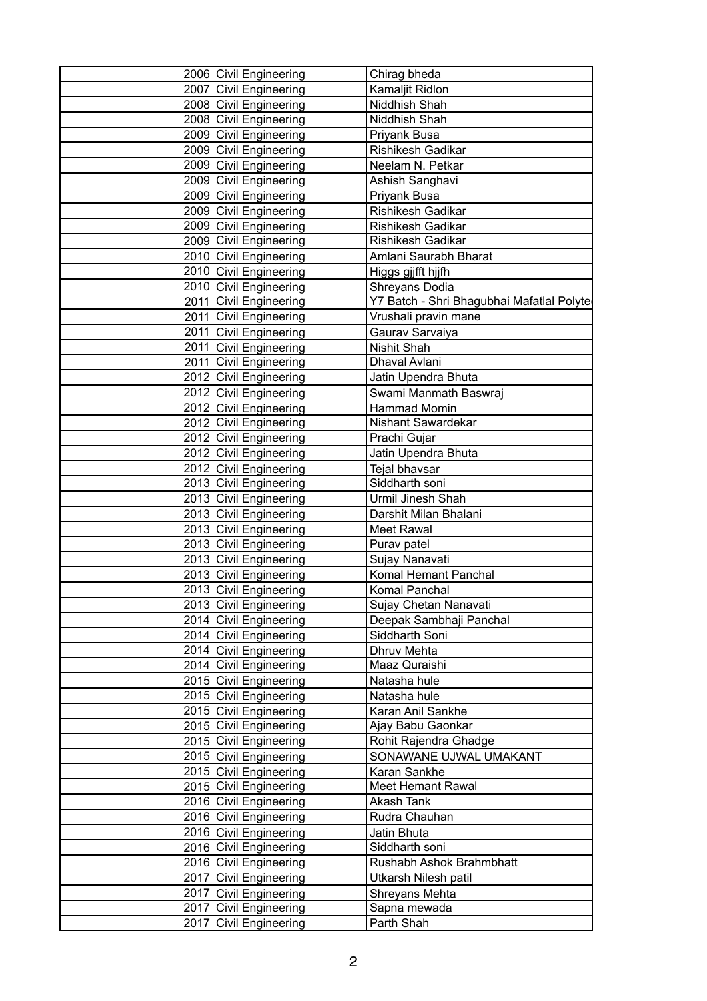| 2006 Civil Engineering | Chirag bheda                              |
|------------------------|-------------------------------------------|
| 2007 Civil Engineering | Kamaljit Ridlon                           |
| 2008 Civil Engineering | Niddhish Shah                             |
| 2008 Civil Engineering | Niddhish Shah                             |
| 2009 Civil Engineering | Priyank Busa                              |
| 2009 Civil Engineering | Rishikesh Gadikar                         |
| 2009 Civil Engineering | Neelam N. Petkar                          |
| 2009 Civil Engineering | Ashish Sanghavi                           |
| 2009 Civil Engineering | Priyank Busa                              |
| 2009 Civil Engineering | Rishikesh Gadikar                         |
| 2009 Civil Engineering | <b>Rishikesh Gadikar</b>                  |
| 2009 Civil Engineering | Rishikesh Gadikar                         |
| 2010 Civil Engineering | Amlani Saurabh Bharat                     |
| 2010 Civil Engineering | Higgs gjjfft hjjfh                        |
| 2010 Civil Engineering | Shreyans Dodia                            |
| 2011 Civil Engineering | Y7 Batch - Shri Bhagubhai Mafatlal Polyte |
| 2011 Civil Engineering | Vrushali pravin mane                      |
| 2011 Civil Engineering | Gaurav Sarvaiya                           |
| 2011 Civil Engineering | Nishit Shah                               |
| 2011 Civil Engineering | Dhaval Avlani                             |
| 2012 Civil Engineering | Jatin Upendra Bhuta                       |
| 2012 Civil Engineering | Swami Manmath Baswraj                     |
| 2012 Civil Engineering | Hammad Momin                              |
| 2012 Civil Engineering | Nishant Sawardekar                        |
| 2012 Civil Engineering | Prachi Gujar                              |
| 2012 Civil Engineering | Jatin Upendra Bhuta                       |
| 2012 Civil Engineering | Tejal bhavsar                             |
| 2013 Civil Engineering | Siddharth soni                            |
| 2013 Civil Engineering | Urmil Jinesh Shah                         |
| 2013 Civil Engineering | Darshit Milan Bhalani                     |
| 2013 Civil Engineering | Meet Rawal                                |
| 2013 Civil Engineering | Purav patel                               |
| 2013 Civil Engineering | Sujay Nanavati                            |
| 2013 Civil Engineering | Komal Hemant Panchal                      |
| 2013 Civil Engineering | Komal Panchal                             |
| 2013 Civil Engineering | Sujay Chetan Nanavati                     |
| 2014 Civil Engineering | Deepak Sambhaji Panchal                   |
| 2014 Civil Engineering | Siddharth Soni                            |
| 2014 Civil Engineering | Dhruv Mehta                               |
| 2014 Civil Engineering | Maaz Quraishi                             |
| 2015 Civil Engineering | Natasha hule                              |
| 2015 Civil Engineering | Natasha hule                              |
| 2015 Civil Engineering | Karan Anil Sankhe                         |
| 2015 Civil Engineering | Ajay Babu Gaonkar                         |
| 2015 Civil Engineering | Rohit Rajendra Ghadge                     |
| 2015 Civil Engineering | SONAWANE UJWAL UMAKANT                    |
| 2015 Civil Engineering | Karan Sankhe                              |
| 2015 Civil Engineering | <b>Meet Hemant Rawal</b>                  |
| 2016 Civil Engineering | Akash Tank                                |
| 2016 Civil Engineering | Rudra Chauhan                             |
| 2016 Civil Engineering | Jatin Bhuta                               |
| 2016 Civil Engineering | Siddharth soni                            |
| 2016 Civil Engineering | Rushabh Ashok Brahmbhatt                  |
| 2017 Civil Engineering | Utkarsh Nilesh patil                      |
| 2017 Civil Engineering | Shreyans Mehta                            |
| 2017 Civil Engineering | Sapna mewada                              |
| 2017 Civil Engineering | Parth Shah                                |
|                        |                                           |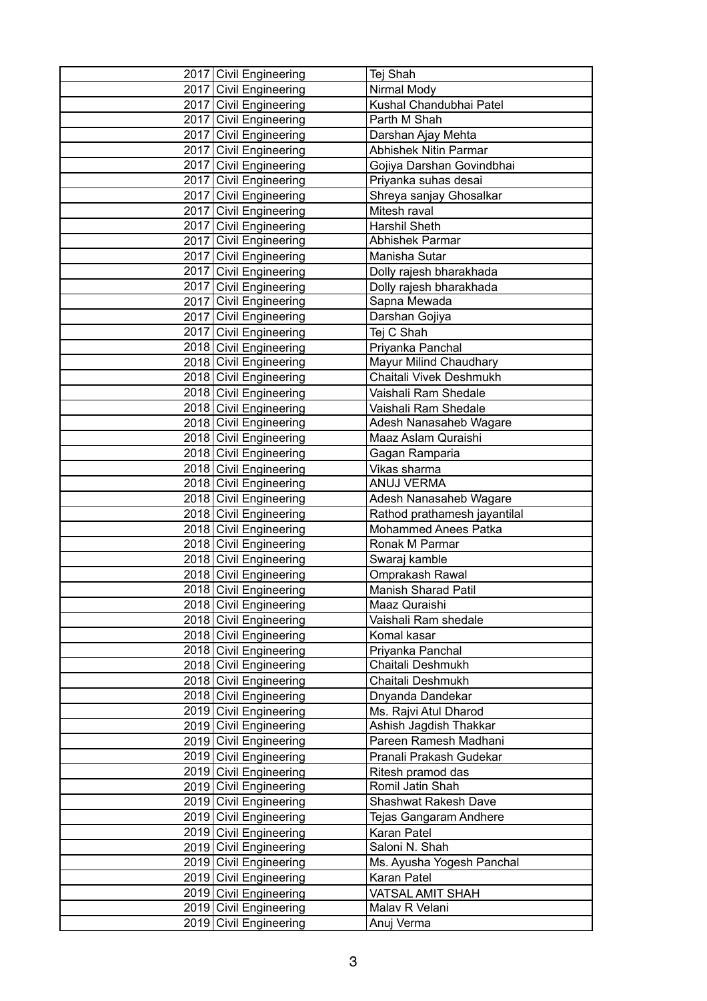| 2017 Civil Engineering | Tej Shah                     |
|------------------------|------------------------------|
| 2017 Civil Engineering | Nirmal Mody                  |
| 2017 Civil Engineering | Kushal Chandubhai Patel      |
| 2017 Civil Engineering | Parth M Shah                 |
| 2017 Civil Engineering | Darshan Ajay Mehta           |
| 2017 Civil Engineering | <b>Abhishek Nitin Parmar</b> |
| 2017 Civil Engineering | Gojiya Darshan Govindbhai    |
| 2017 Civil Engineering | Priyanka suhas desai         |
| 2017 Civil Engineering | Shreya sanjay Ghosalkar      |
| 2017 Civil Engineering | Mitesh raval                 |
| 2017 Civil Engineering | Harshil Sheth                |
| 2017 Civil Engineering | Abhishek Parmar              |
| 2017 Civil Engineering | Manisha Sutar                |
| 2017 Civil Engineering | Dolly rajesh bharakhada      |
| 2017 Civil Engineering | Dolly rajesh bharakhada      |
| 2017 Civil Engineering | Sapna Mewada                 |
| 2017 Civil Engineering | Darshan Gojiya               |
| 2017 Civil Engineering | Tej C Shah                   |
| 2018 Civil Engineering | Priyanka Panchal             |
| 2018 Civil Engineering | Mayur Milind Chaudhary       |
| 2018 Civil Engineering | Chaitali Vivek Deshmukh      |
| 2018 Civil Engineering | Vaishali Ram Shedale         |
| 2018 Civil Engineering | Vaishali Ram Shedale         |
| 2018 Civil Engineering | Adesh Nanasaheb Wagare       |
| 2018 Civil Engineering | Maaz Aslam Quraishi          |
| 2018 Civil Engineering | Gagan Ramparia               |
| 2018 Civil Engineering | Vikas sharma                 |
| 2018 Civil Engineering | ANUJ VERMA                   |
| 2018 Civil Engineering | Adesh Nanasaheb Wagare       |
| 2018 Civil Engineering | Rathod prathamesh jayantilal |
| 2018 Civil Engineering | Mohammed Anees Patka         |
| 2018 Civil Engineering | Ronak M Parmar               |
| 2018 Civil Engineering | Swaraj kamble                |
| 2018 Civil Engineering | Omprakash Rawal              |
| 2018 Civil Engineering | <b>Manish Sharad Patil</b>   |
| 2018 Civil Engineering | Maaz Quraishi                |
| 2018 Civil Engineering | Vaishali Ram shedale         |
| 2018 Civil Engineering | Komal kasar                  |
| 2018 Civil Engineering | Priyanka Panchal             |
| 2018 Civil Engineering | Chaitali Deshmukh            |
| 2018 Civil Engineering | Chaitali Deshmukh            |
| 2018 Civil Engineering | Dnyanda Dandekar             |
| 2019 Civil Engineering | Ms. Rajvi Atul Dharod        |
| 2019 Civil Engineering | Ashish Jagdish Thakkar       |
| 2019 Civil Engineering | Pareen Ramesh Madhani        |
| 2019 Civil Engineering | Pranali Prakash Gudekar      |
| 2019 Civil Engineering | Ritesh pramod das            |
| 2019 Civil Engineering | Romil Jatin Shah             |
| 2019 Civil Engineering | Shashwat Rakesh Dave         |
| 2019 Civil Engineering | Tejas Gangaram Andhere       |
| 2019 Civil Engineering | Karan Patel                  |
| 2019 Civil Engineering | Saloni N. Shah               |
| 2019 Civil Engineering | Ms. Ayusha Yogesh Panchal    |
| 2019 Civil Engineering | Karan Patel                  |
| 2019 Civil Engineering | <b>VATSAL AMIT SHAH</b>      |
| 2019 Civil Engineering | Malav R Velani               |
| 2019 Civil Engineering | Anuj Verma                   |
|                        |                              |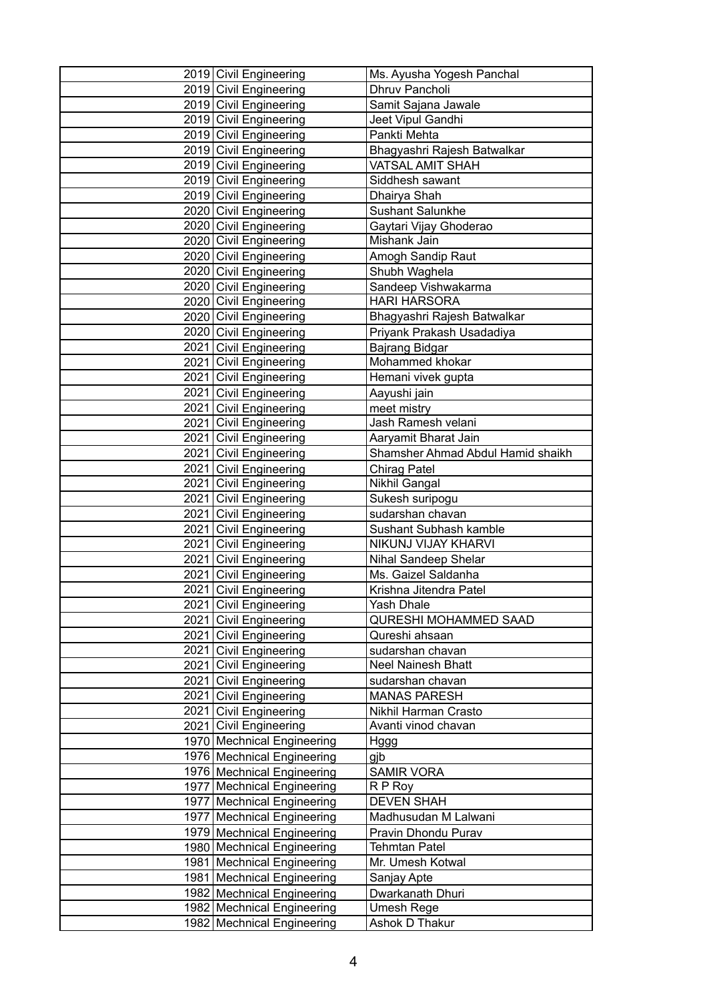| 2019 Civil Engineering                           | Ms. Ayusha Yogesh Panchal           |
|--------------------------------------------------|-------------------------------------|
| 2019 Civil Engineering                           | Dhruv Pancholi                      |
| 2019 Civil Engineering                           | Samit Sajana Jawale                 |
| 2019 Civil Engineering                           | Jeet Vipul Gandhi                   |
| 2019 Civil Engineering                           | Pankti Mehta                        |
| 2019 Civil Engineering                           | Bhagyashri Rajesh Batwalkar         |
| 2019 Civil Engineering                           | VATSAL AMIT SHAH                    |
| 2019 Civil Engineering                           | Siddhesh sawant                     |
| 2019 Civil Engineering                           | Dhairya Shah                        |
| 2020 Civil Engineering                           | <b>Sushant Salunkhe</b>             |
| 2020 Civil Engineering                           | Gaytari Vijay Ghoderao              |
| 2020 Civil Engineering                           | Mishank Jain                        |
| 2020 Civil Engineering                           | Amogh Sandip Raut                   |
| 2020 Civil Engineering                           | Shubh Waghela                       |
| 2020 Civil Engineering                           | Sandeep Vishwakarma                 |
| 2020 Civil Engineering                           | <b>HARI HARSORA</b>                 |
| 2020 Civil Engineering                           | Bhagyashri Rajesh Batwalkar         |
| 2020 Civil Engineering                           | Priyank Prakash Usadadiya           |
| 2021 Civil Engineering                           | Bajrang Bidgar                      |
| 2021 Civil Engineering                           | Mohammed khokar                     |
| 2021 Civil Engineering                           | Hemani vivek gupta                  |
| 2021 Civil Engineering                           | Aayushi jain                        |
| 2021 Civil Engineering                           | meet mistry                         |
| 2021 Civil Engineering                           | Jash Ramesh velani                  |
| 2021 Civil Engineering                           | Aaryamit Bharat Jain                |
| 2021 Civil Engineering                           | Shamsher Ahmad Abdul Hamid shaikh   |
| 2021 Civil Engineering                           | <b>Chirag Patel</b>                 |
| 2021 Civil Engineering                           | Nikhil Gangal                       |
| 2021 Civil Engineering                           | Sukesh suripogu                     |
| 2021 Civil Engineering                           | sudarshan chavan                    |
| 2021 Civil Engineering                           | Sushant Subhash kamble              |
| 2021 Civil Engineering                           | NIKUNJ VIJAY KHARVI                 |
| 2021 Civil Engineering                           | Nihal Sandeep Shelar                |
| 2021 Civil Engineering                           | Ms. Gaizel Saldanha                 |
| 2021 Civil Engineering                           | Krishna Jitendra Patel              |
| 2021 Civil Engineering                           | Yash Dhale<br>QURESHI MOHAMMED SAAD |
| 2021 Civil Engineering                           | Qureshi ahsaan                      |
| 2021 Civil Engineering                           | sudarshan chavan                    |
| 2021 Civil Engineering                           | <b>Neel Nainesh Bhatt</b>           |
| 2021 Civil Engineering<br>2021 Civil Engineering | sudarshan chavan                    |
| 2021 Civil Engineering                           | <b>MANAS PARESH</b>                 |
| 2021 Civil Engineering                           | Nikhil Harman Crasto                |
| 2021 Civil Engineering                           | Avanti vinod chavan                 |
| 1970 Mechnical Engineering                       | Hggg                                |
| 1976 Mechnical Engineering                       | gjb                                 |
| 1976 Mechnical Engineering                       | <b>SAMIR VORA</b>                   |
| 1977   Mechnical Engineering                     | R P Roy                             |
| 1977   Mechnical Engineering                     | <b>DEVEN SHAH</b>                   |
| 1977   Mechnical Engineering                     | Madhusudan M Lalwani                |
| 1979 Mechnical Engineering                       | Pravin Dhondu Purav                 |
| 1980 Mechnical Engineering                       | <b>Tehmtan Patel</b>                |
| 1981   Mechnical Engineering                     | Mr. Umesh Kotwal                    |
| 1981   Mechnical Engineering                     | Sanjay Apte                         |
| 1982   Mechnical Engineering                     | Dwarkanath Dhuri                    |
| 1982 Mechnical Engineering                       | Umesh Rege                          |
| 1982 Mechnical Engineering                       | Ashok D Thakur                      |
|                                                  |                                     |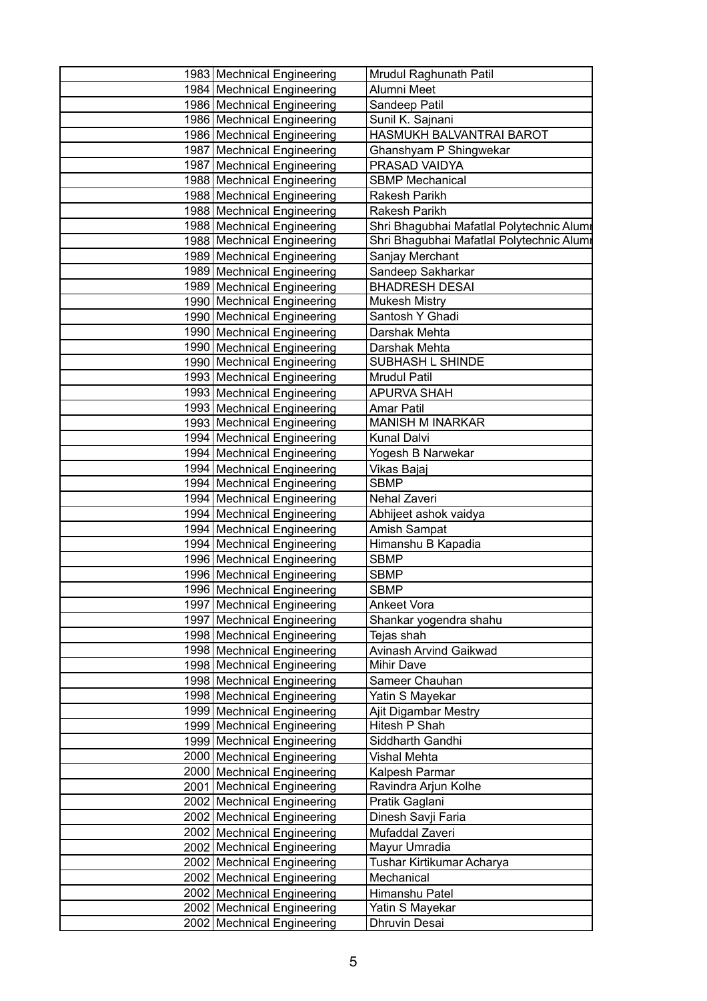| 1983 Mechnical Engineering   | Mrudul Raghunath Patil                    |
|------------------------------|-------------------------------------------|
| 1984 Mechnical Engineering   | Alumni Meet                               |
| 1986 Mechnical Engineering   | Sandeep Patil                             |
| 1986 Mechnical Engineering   | Sunil K. Sajnani                          |
| 1986 Mechnical Engineering   | HASMUKH BALVANTRAI BAROT                  |
| 1987 Mechnical Engineering   | Ghanshyam P Shingwekar                    |
| 1987 Mechnical Engineering   | PRASAD VAIDYA                             |
| 1988 Mechnical Engineering   | <b>SBMP Mechanical</b>                    |
| 1988 Mechnical Engineering   | Rakesh Parikh                             |
| 1988 Mechnical Engineering   | Rakesh Parikh                             |
| 1988 Mechnical Engineering   | Shri Bhagubhai Mafatlal Polytechnic Alumr |
| 1988 Mechnical Engineering   | Shri Bhagubhai Mafatlal Polytechnic Alumr |
| 1989 Mechnical Engineering   | Sanjay Merchant                           |
| 1989 Mechnical Engineering   | Sandeep Sakharkar                         |
| 1989 Mechnical Engineering   | <b>BHADRESH DESAI</b>                     |
| 1990 Mechnical Engineering   | <b>Mukesh Mistry</b>                      |
| 1990 Mechnical Engineering   | Santosh Y Ghadi                           |
| 1990 Mechnical Engineering   | Darshak Mehta                             |
| 1990 Mechnical Engineering   | Darshak Mehta                             |
| 1990 Mechnical Engineering   | SUBHASH L SHINDE                          |
| 1993 Mechnical Engineering   | <b>Mrudul Patil</b>                       |
| 1993 Mechnical Engineering   | <b>APURVA SHAH</b>                        |
| 1993 Mechnical Engineering   | <b>Amar Patil</b>                         |
| 1993 Mechnical Engineering   | <b>MANISH M INARKAR</b>                   |
| 1994   Mechnical Engineering | <b>Kunal Dalvi</b>                        |
| 1994   Mechnical Engineering | Yogesh B Narwekar                         |
| 1994 Mechnical Engineering   | Vikas Bajaj                               |
| 1994 Mechnical Engineering   | <b>SBMP</b>                               |
| 1994 Mechnical Engineering   | Nehal Zaveri                              |
| 1994 Mechnical Engineering   | Abhijeet ashok vaidya                     |
| 1994 Mechnical Engineering   | Amish Sampat                              |
| 1994 Mechnical Engineering   | Himanshu B Kapadia                        |
| 1996   Mechnical Engineering | SBMP                                      |
| 1996 Mechnical Engineering   | <b>SBMP</b>                               |
| 1996 Mechnical Engineering   | <b>SBMP</b>                               |
| 1997 Mechnical Engineering   | <b>Ankeet Vora</b>                        |
| 1997   Mechnical Engineering | Shankar yogendra shahu                    |
| 1998 Mechnical Engineering   | Tejas shah                                |
| 1998 Mechnical Engineering   | Avinash Arvind Gaikwad                    |
| 1998 Mechnical Engineering   | <b>Mihir Dave</b>                         |
| 1998   Mechnical Engineering | Sameer Chauhan                            |
| 1998 Mechnical Engineering   | Yatin S Mayekar                           |
| 1999 Mechnical Engineering   | Ajit Digambar Mestry                      |
| 1999 Mechnical Engineering   | Hitesh P Shah                             |
| 1999 Mechnical Engineering   | Siddharth Gandhi                          |
| 2000 Mechnical Engineering   | Vishal Mehta                              |
| 2000 Mechnical Engineering   | Kalpesh Parmar                            |
| 2001   Mechnical Engineering | Ravindra Arjun Kolhe                      |
| 2002 Mechnical Engineering   | Pratik Gaglani                            |
| 2002 Mechnical Engineering   | Dinesh Savji Faria                        |
| 2002 Mechnical Engineering   | Mufaddal Zaveri                           |
| 2002 Mechnical Engineering   | Mayur Umradia                             |
| 2002 Mechnical Engineering   | Tushar Kirtikumar Acharya                 |
| 2002 Mechnical Engineering   | Mechanical                                |
| 2002   Mechnical Engineering | Himanshu Patel                            |
| 2002 Mechnical Engineering   | Yatin S Mayekar                           |
| 2002 Mechnical Engineering   | Dhruvin Desai                             |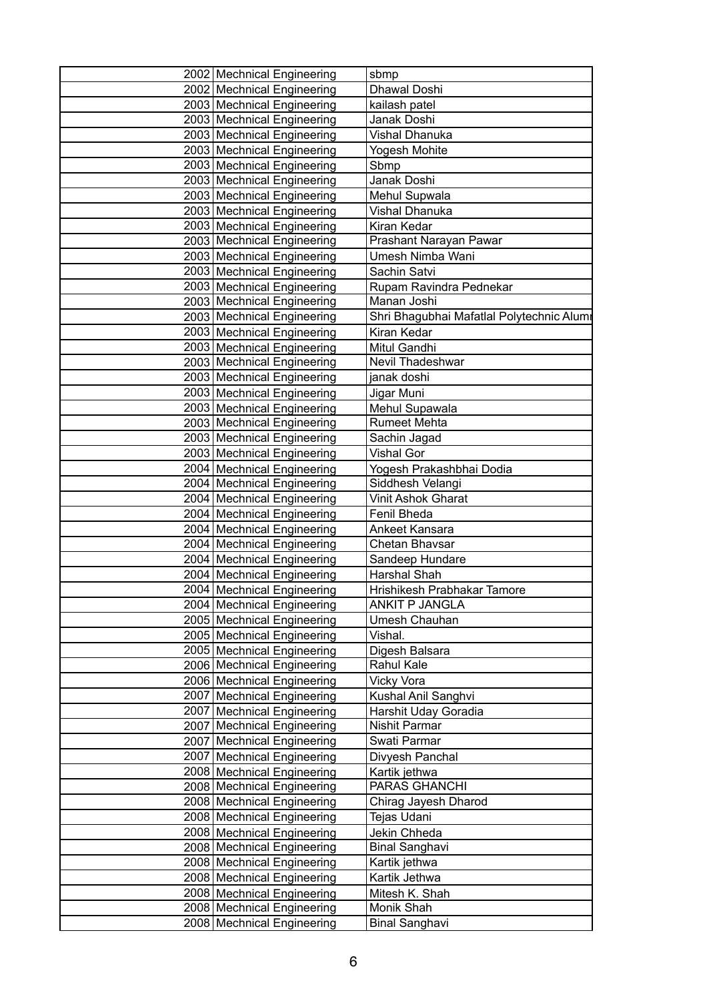| 2002 Mechnical Engineering   | sbmp                                      |
|------------------------------|-------------------------------------------|
| 2002 Mechnical Engineering   | Dhawal Doshi                              |
| 2003 Mechnical Engineering   | kailash patel                             |
| 2003 Mechnical Engineering   | Janak Doshi                               |
| 2003 Mechnical Engineering   | Vishal Dhanuka                            |
| 2003 Mechnical Engineering   | Yogesh Mohite                             |
| 2003 Mechnical Engineering   | Sbmp                                      |
| 2003 Mechnical Engineering   | Janak Doshi                               |
| 2003 Mechnical Engineering   | Mehul Supwala                             |
| 2003 Mechnical Engineering   | Vishal Dhanuka                            |
| 2003 Mechnical Engineering   | Kiran Kedar                               |
| 2003 Mechnical Engineering   | Prashant Narayan Pawar                    |
| 2003 Mechnical Engineering   | Umesh Nimba Wani                          |
| 2003 Mechnical Engineering   | Sachin Satvi                              |
| 2003 Mechnical Engineering   | Rupam Ravindra Pednekar                   |
| 2003 Mechnical Engineering   | Manan Joshi                               |
| 2003 Mechnical Engineering   | Shri Bhagubhai Mafatlal Polytechnic Alumr |
| 2003 Mechnical Engineering   | Kiran Kedar                               |
| 2003 Mechnical Engineering   | Mitul Gandhi                              |
| 2003 Mechnical Engineering   | Nevil Thadeshwar                          |
| 2003 Mechnical Engineering   | janak doshi                               |
| 2003 Mechnical Engineering   | Jigar Muni                                |
| 2003 Mechnical Engineering   | Mehul Supawala                            |
| 2003 Mechnical Engineering   | <b>Rumeet Mehta</b>                       |
| 2003 Mechnical Engineering   | Sachin Jagad                              |
| 2003 Mechnical Engineering   | <b>Vishal Gor</b>                         |
| 2004 Mechnical Engineering   | Yogesh Prakashbhai Dodia                  |
| 2004   Mechnical Engineering | Siddhesh Velangi                          |
| 2004   Mechnical Engineering | <b>Vinit Ashok Gharat</b>                 |
| 2004 Mechnical Engineering   | Fenil Bheda                               |
| 2004 Mechnical Engineering   | Ankeet Kansara                            |
| 2004   Mechnical Engineering | Chetan Bhavsar                            |
| 2004   Mechnical Engineering | Sandeep Hundare                           |
| 2004   Mechnical Engineering | Harshal Shah                              |
| 2004   Mechnical Engineering | Hrishikesh Prabhakar Tamore               |
| 2004   Mechnical Engineering | ANKIT P JANGLA                            |
| 2005 Mechnical Engineering   | Umesh Chauhan                             |
| 2005   Mechnical Engineering | Vishal.                                   |
| 2005   Mechnical Engineering | Digesh Balsara                            |
| 2006 Mechnical Engineering   | Rahul Kale                                |
| 2006   Mechnical Engineering | <b>Vicky Vora</b>                         |
| 2007 Mechnical Engineering   | Kushal Anil Sanghvi                       |
| 2007 Mechnical Engineering   | Harshit Uday Goradia                      |
| 2007   Mechnical Engineering | Nishit Parmar                             |
| 2007   Mechnical Engineering | Swati Parmar                              |
| 2007   Mechnical Engineering | Divyesh Panchal                           |
| 2008 Mechnical Engineering   | Kartik jethwa                             |
| 2008 Mechnical Engineering   | PARAS GHANCHI                             |
| 2008 Mechnical Engineering   | Chirag Jayesh Dharod                      |
| 2008 Mechnical Engineering   | Tejas Udani                               |
| 2008 Mechnical Engineering   | Jekin Chheda                              |
| 2008 Mechnical Engineering   | <b>Binal Sanghavi</b>                     |
| 2008 Mechnical Engineering   | Kartik jethwa                             |
| 2008 Mechnical Engineering   | Kartik Jethwa                             |
| 2008   Mechnical Engineering | Mitesh K. Shah                            |
| 2008 Mechnical Engineering   | Monik Shah                                |
| 2008 Mechnical Engineering   | <b>Binal Sanghavi</b>                     |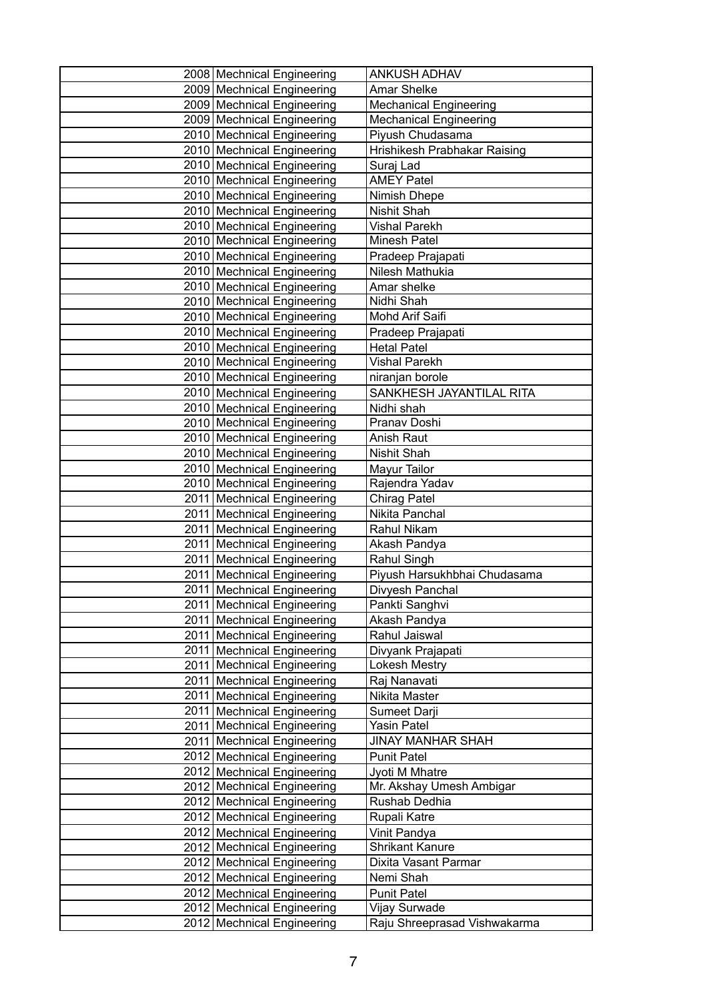| 2008 Mechnical Engineering                               | <b>ANKUSH ADHAV</b>           |
|----------------------------------------------------------|-------------------------------|
| 2009 Mechnical Engineering                               | <b>Amar Shelke</b>            |
| 2009 Mechnical Engineering                               | <b>Mechanical Engineering</b> |
| 2009 Mechnical Engineering                               | <b>Mechanical Engineering</b> |
| 2010 Mechnical Engineering                               | Piyush Chudasama              |
| 2010 Mechnical Engineering                               | Hrishikesh Prabhakar Raising  |
| 2010 Mechnical Engineering                               | Suraj Lad                     |
| 2010 Mechnical Engineering                               | <b>AMEY Patel</b>             |
| 2010 Mechnical Engineering                               | Nimish Dhepe                  |
| 2010 Mechnical Engineering                               | Nishit Shah                   |
| 2010 Mechnical Engineering                               | <b>Vishal Parekh</b>          |
| 2010 Mechnical Engineering                               | Minesh Patel                  |
| 2010 Mechnical Engineering                               | Pradeep Prajapati             |
| 2010 Mechnical Engineering                               | Nilesh Mathukia               |
| 2010 Mechnical Engineering                               | Amar shelke                   |
| 2010 Mechnical Engineering                               | Nidhi Shah                    |
| 2010 Mechnical Engineering                               | Mohd Arif Saifi               |
| 2010 Mechnical Engineering                               | Pradeep Prajapati             |
| 2010 Mechnical Engineering                               | <b>Hetal Patel</b>            |
| 2010 Mechnical Engineering                               | <b>Vishal Parekh</b>          |
| 2010 Mechnical Engineering                               | niranjan borole               |
| 2010 Mechnical Engineering                               | SANKHESH JAYANTILAL RITA      |
| 2010 Mechnical Engineering                               | Nidhi shah                    |
| 2010 Mechnical Engineering                               | Pranav Doshi                  |
| 2010 Mechnical Engineering                               | Anish Raut                    |
| 2010 Mechnical Engineering                               | Nishit Shah                   |
| 2010 Mechnical Engineering                               | Mayur Tailor                  |
| 2010 Mechnical Engineering                               | Rajendra Yadav                |
| 2011   Mechnical Engineering                             | <b>Chirag Patel</b>           |
| 2011 Mechnical Engineering                               | Nikita Panchal                |
| 2011 Mechnical Engineering                               | Rahul Nikam                   |
| 2011 Mechnical Engineering                               | Akash Pandya                  |
| 2011   Mechnical Engineering                             | Rahul Singh                   |
| 2011 Mechnical Engineering                               | Piyush Harsukhbhai Chudasama  |
| 2011   Mechnical Engineering                             | Divyesh Panchal               |
| 2011   Mechnical Engineering                             | Pankti Sanghvi                |
| 2011   Mechnical Engineering                             | Akash Pandya                  |
| 2011 Mechnical Engineering                               | Rahul Jaiswal                 |
| 2011 Mechnical Engineering                               | Divyank Prajapati             |
| 2011   Mechnical Engineering                             | <b>Lokesh Mestry</b>          |
| 2011   Mechnical Engineering                             | Raj Nanavati                  |
| 2011 Mechnical Engineering                               | Nikita Master                 |
| 2011 Mechnical Engineering                               | Sumeet Darji                  |
| 2011   Mechnical Engineering                             | Yasin Patel                   |
| 2011 Mechnical Engineering                               | <b>JINAY MANHAR SHAH</b>      |
| 2012 Mechnical Engineering                               | <b>Punit Patel</b>            |
| 2012 Mechnical Engineering                               | Jyoti M Mhatre                |
| 2012 Mechnical Engineering                               | Mr. Akshay Umesh Ambigar      |
| 2012 Mechnical Engineering<br>2012 Mechnical Engineering | Rushab Dedhia                 |
| 2012 Mechnical Engineering                               | Rupali Katre<br>Vinit Pandya  |
| 2012 Mechnical Engineering                               | <b>Shrikant Kanure</b>        |
| 2012 Mechnical Engineering                               | Dixita Vasant Parmar          |
| 2012 Mechnical Engineering                               | Nemi Shah                     |
| 2012 Mechnical Engineering                               | <b>Punit Patel</b>            |
| 2012 Mechnical Engineering                               | Vijay Surwade                 |
| 2012 Mechnical Engineering                               | Raju Shreeprasad Vishwakarma  |
|                                                          |                               |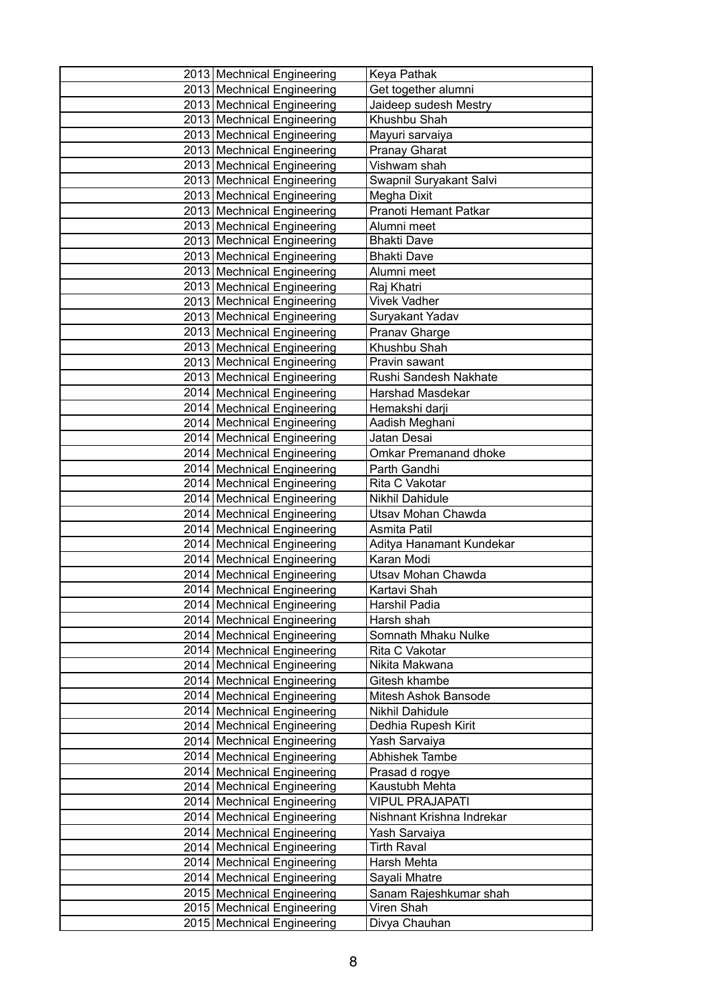| 2013 Mechnical Engineering                               | Keya Pathak                      |
|----------------------------------------------------------|----------------------------------|
| 2013 Mechnical Engineering                               | Get together alumni              |
| 2013 Mechnical Engineering                               | Jaideep sudesh Mestry            |
| 2013 Mechnical Engineering                               | Khushbu Shah                     |
| 2013 Mechnical Engineering                               | Mayuri sarvaiya                  |
| 2013 Mechnical Engineering                               | <b>Pranay Gharat</b>             |
| 2013 Mechnical Engineering                               | Vishwam shah                     |
| 2013 Mechnical Engineering                               | Swapnil Suryakant Salvi          |
| 2013 Mechnical Engineering                               | Megha Dixit                      |
| 2013 Mechnical Engineering                               | Pranoti Hemant Patkar            |
| 2013 Mechnical Engineering                               | Alumni meet                      |
| 2013 Mechnical Engineering                               | <b>Bhakti Dave</b>               |
| 2013 Mechnical Engineering                               | <b>Bhakti Dave</b>               |
| 2013 Mechnical Engineering                               | Alumni meet                      |
| 2013 Mechnical Engineering                               | Raj Khatri                       |
| 2013 Mechnical Engineering                               | <b>Vivek Vadher</b>              |
| 2013 Mechnical Engineering                               | Suryakant Yadav                  |
| 2013 Mechnical Engineering                               | Pranav Gharge                    |
| 2013 Mechnical Engineering                               | Khushbu Shah                     |
| 2013 Mechnical Engineering                               | Pravin sawant                    |
| 2013 Mechnical Engineering                               | Rushi Sandesh Nakhate            |
| 2014 Mechnical Engineering                               | <b>Harshad Masdekar</b>          |
| 2014 Mechnical Engineering                               | Hemakshi darji                   |
| 2014   Mechnical Engineering                             | Aadish Meghani                   |
| 2014   Mechnical Engineering                             | Jatan Desai                      |
| 2014 Mechnical Engineering                               | <b>Omkar Premanand dhoke</b>     |
| 2014 Mechnical Engineering                               | Parth Gandhi                     |
| 2014   Mechnical Engineering                             | Rita C Vakotar                   |
| 2014   Mechnical Engineering                             | Nikhil Dahidule                  |
| 2014 Mechnical Engineering                               | Utsav Mohan Chawda               |
| 2014 Mechnical Engineering                               | Asmita Patil                     |
| 2014   Mechnical Engineering                             | Aditya Hanamant Kundekar         |
| 2014   Mechnical Engineering                             | Karan Modi                       |
| 2014 Mechnical Engineering                               | Utsav Mohan Chawda               |
| 2014 Mechnical Engineering<br>2014 Mechnical Engineering | Kartavi Shah<br>Harshil Padia    |
|                                                          | Harsh shah                       |
| 2014   Mechnical Engineering                             | Somnath Mhaku Nulke              |
| 2014 Mechnical Engineering<br>2014 Mechnical Engineering |                                  |
| 2014   Mechnical Engineering                             | Rita C Vakotar<br>Nikita Makwana |
| 2014   Mechnical Engineering                             | Gitesh khambe                    |
| 2014 Mechnical Engineering                               | Mitesh Ashok Bansode             |
| 2014 Mechnical Engineering                               | Nikhil Dahidule                  |
| 2014   Mechnical Engineering                             | Dedhia Rupesh Kirit              |
| 2014 Mechnical Engineering                               | Yash Sarvaiya                    |
| 2014 Mechnical Engineering                               | Abhishek Tambe                   |
| 2014 Mechnical Engineering                               | Prasad d rogye                   |
| 2014   Mechnical Engineering                             | Kaustubh Mehta                   |
| 2014   Mechnical Engineering                             | <b>VIPUL PRAJAPATI</b>           |
| 2014 Mechnical Engineering                               | Nishnant Krishna Indrekar        |
| 2014 Mechnical Engineering                               | Yash Sarvaiya                    |
| 2014   Mechnical Engineering                             | <b>Tirth Raval</b>               |
| 2014   Mechnical Engineering                             | Harsh Mehta                      |
| 2014 Mechnical Engineering                               | Sayali Mhatre                    |
| 2015 Mechnical Engineering                               | Sanam Rajeshkumar shah           |
| 2015 Mechnical Engineering                               | Viren Shah                       |
| 2015 Mechnical Engineering                               | Divya Chauhan                    |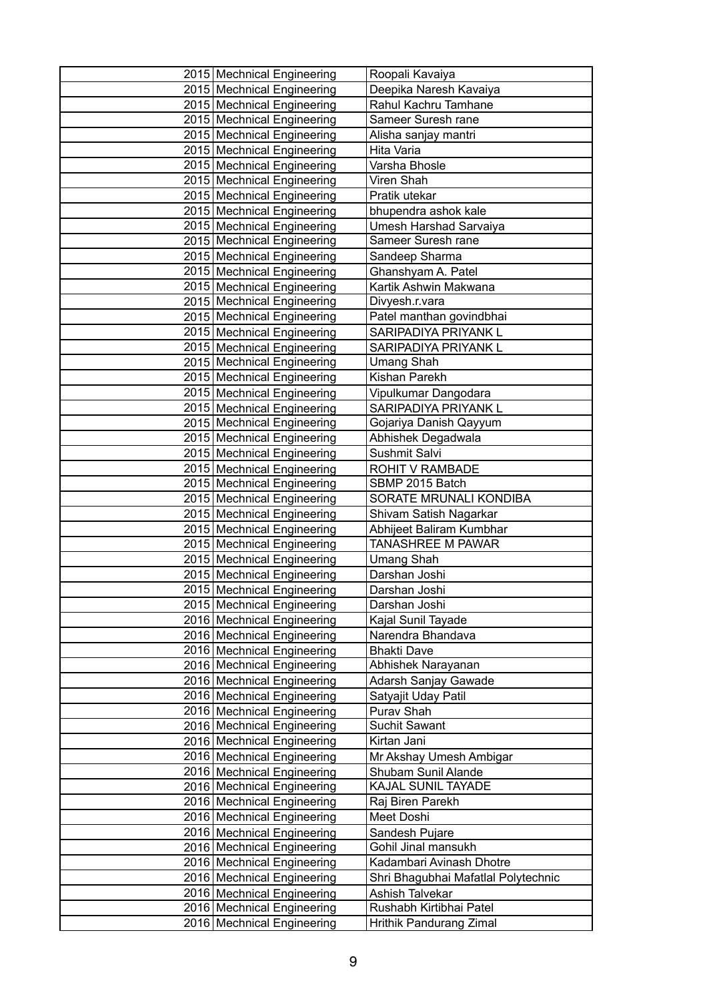| 2015 Mechnical Engineering   | Roopali Kavaiya                     |
|------------------------------|-------------------------------------|
| 2015 Mechnical Engineering   | Deepika Naresh Kavaiya              |
| 2015 Mechnical Engineering   | Rahul Kachru Tamhane                |
| 2015 Mechnical Engineering   | Sameer Suresh rane                  |
| 2015 Mechnical Engineering   | Alisha sanjay mantri                |
| 2015 Mechnical Engineering   | Hita Varia                          |
| 2015 Mechnical Engineering   | Varsha Bhosle                       |
| 2015 Mechnical Engineering   | Viren Shah                          |
| 2015   Mechnical Engineering | Pratik utekar                       |
| 2015 Mechnical Engineering   | bhupendra ashok kale                |
| 2015 Mechnical Engineering   | Umesh Harshad Sarvaiya              |
| 2015 Mechnical Engineering   | Sameer Suresh rane                  |
| 2015 Mechnical Engineering   | Sandeep Sharma                      |
| 2015 Mechnical Engineering   | Ghanshyam A. Patel                  |
| 2015 Mechnical Engineering   | Kartik Ashwin Makwana               |
| 2015 Mechnical Engineering   | Divyesh.r.vara                      |
| 2015 Mechnical Engineering   | Patel manthan govindbhai            |
| 2015 Mechnical Engineering   | SARIPADIYA PRIYANK L                |
| 2015 Mechnical Engineering   | SARIPADIYA PRIYANK L                |
| 2015 Mechnical Engineering   | <b>Umang Shah</b>                   |
| 2015 Mechnical Engineering   | Kishan Parekh                       |
| 2015 Mechnical Engineering   | Vipulkumar Dangodara                |
| 2015 Mechnical Engineering   | SARIPADIYA PRIYANK L                |
| 2015 Mechnical Engineering   | Gojariya Danish Qayyum              |
| 2015   Mechnical Engineering | Abhishek Degadwala                  |
| 2015 Mechnical Engineering   | Sushmit Salvi                       |
| 2015 Mechnical Engineering   | <b>ROHIT V RAMBADE</b>              |
| 2015 Mechnical Engineering   | SBMP 2015 Batch                     |
| 2015 Mechnical Engineering   | SORATE MRUNALI KONDIBA              |
| 2015 Mechnical Engineering   | Shivam Satish Nagarkar              |
| 2015 Mechnical Engineering   | Abhijeet Baliram Kumbhar            |
| 2015 Mechnical Engineering   | <b>TANASHREE M PAWAR</b>            |
| 2015 Mechnical Engineering   | <b>Umang Shah</b>                   |
| 2015 Mechnical Engineering   | Darshan Joshi                       |
| 2015 Mechnical Engineering   | Darshan Joshi                       |
| 2015 Mechnical Engineering   | Darshan Joshi                       |
| 2016 Mechnical Engineering   | Kajal Sunil Tayade                  |
| 2016 Mechnical Engineering   | Narendra Bhandava                   |
| 2016 Mechnical Engineering   | <b>Bhakti Dave</b>                  |
| 2016 Mechnical Engineering   | Abhishek Narayanan                  |
| 2016 Mechnical Engineering   | Adarsh Sanjay Gawade                |
| 2016 Mechnical Engineering   | Satyajit Uday Patil                 |
| 2016 Mechnical Engineering   | Purav Shah                          |
| 2016 Mechnical Engineering   | Suchit Sawant                       |
| 2016   Mechnical Engineering | Kirtan Jani                         |
| 2016 Mechnical Engineering   | Mr Akshay Umesh Ambigar             |
| 2016 Mechnical Engineering   | Shubam Sunil Alande                 |
| 2016   Mechnical Engineering | KAJAL SUNIL TAYADE                  |
| 2016 Mechnical Engineering   | Raj Biren Parekh                    |
| 2016 Mechnical Engineering   | Meet Doshi                          |
| 2016 Mechnical Engineering   | Sandesh Pujare                      |
| 2016 Mechnical Engineering   | Gohil Jinal mansukh                 |
| 2016 Mechnical Engineering   | Kadambari Avinash Dhotre            |
| 2016   Mechnical Engineering | Shri Bhagubhai Mafatlal Polytechnic |
| 2016 Mechnical Engineering   | Ashish Talvekar                     |
| 2016 Mechnical Engineering   | Rushabh Kirtibhai Patel             |
| 2016   Mechnical Engineering | Hrithik Pandurang Zimal             |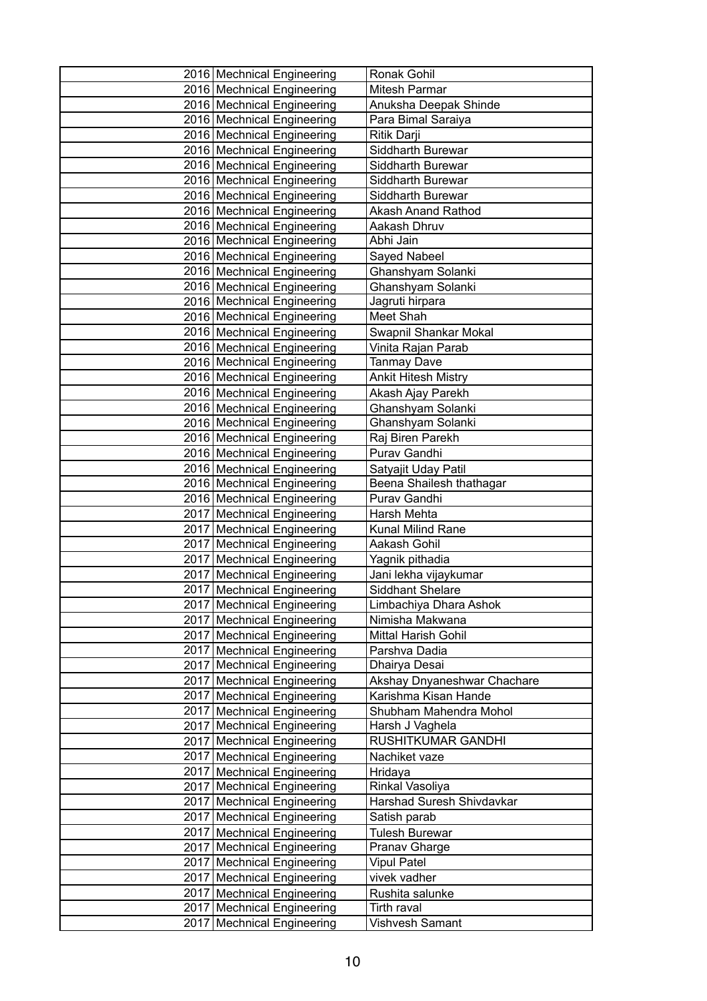| 2016 Mechnical Engineering                               | Ronak Gohil                               |
|----------------------------------------------------------|-------------------------------------------|
| 2016 Mechnical Engineering                               | <b>Mitesh Parmar</b>                      |
| 2016 Mechnical Engineering                               | Anuksha Deepak Shinde                     |
| 2016 Mechnical Engineering                               | Para Bimal Saraiya                        |
| 2016 Mechnical Engineering                               | Ritik Darji                               |
| 2016 Mechnical Engineering                               | Siddharth Burewar                         |
| 2016   Mechnical Engineering                             | Siddharth Burewar                         |
| 2016 Mechnical Engineering                               | Siddharth Burewar                         |
| 2016 Mechnical Engineering                               | Siddharth Burewar                         |
| 2016 Mechnical Engineering                               | <b>Akash Anand Rathod</b>                 |
| 2016 Mechnical Engineering                               | Aakash Dhruv                              |
| 2016 Mechnical Engineering                               | Abhi Jain                                 |
| 2016 Mechnical Engineering                               | Sayed Nabeel                              |
| 2016 Mechnical Engineering                               | Ghanshyam Solanki                         |
| 2016 Mechnical Engineering                               | Ghanshyam Solanki                         |
| 2016 Mechnical Engineering                               | Jagruti hirpara                           |
| 2016 Mechnical Engineering                               | Meet Shah                                 |
| 2016 Mechnical Engineering                               | Swapnil Shankar Mokal                     |
| 2016 Mechnical Engineering                               | Vinita Rajan Parab                        |
| 2016 Mechnical Engineering                               | <b>Tanmay Dave</b>                        |
| 2016   Mechnical Engineering                             | <b>Ankit Hitesh Mistry</b>                |
| 2016 Mechnical Engineering                               | Akash Ajay Parekh                         |
| 2016 Mechnical Engineering                               | Ghanshyam Solanki                         |
| 2016 Mechnical Engineering                               | Ghanshyam Solanki                         |
| 2016   Mechnical Engineering                             | Raj Biren Parekh                          |
| 2016 Mechnical Engineering                               | Purav Gandhi                              |
| 2016 Mechnical Engineering                               | Satyajit Uday Patil                       |
| 2016 Mechnical Engineering                               | Beena Shailesh thathagar                  |
| 2016 Mechnical Engineering                               | Purav Gandhi                              |
| 2017   Mechnical Engineering                             | Harsh Mehta                               |
| 2017 Mechnical Engineering                               | Kunal Milind Rane                         |
| 2017   Mechnical Engineering                             | Aakash Gohil                              |
| 2017 Mechnical Engineering                               | Yagnik pithadia                           |
| 2017 Mechnical Engineering                               | Jani lekha vijaykumar                     |
| 2017   Mechnical Engineering                             | <b>Siddhant Shelare</b>                   |
| 2017   Mechnical Engineering                             | Limbachiya Dhara Ashok                    |
| 2017   Mechnical Engineering                             | Nimisha Makwana                           |
| 2017 Mechnical Engineering                               | <b>Mittal Harish Gohil</b>                |
| 2017 Mechnical Engineering                               | Parshva Dadia                             |
| 2017   Mechnical Engineering                             | Dhairya Desai                             |
| 2017   Mechnical Engineering                             | Akshay Dnyaneshwar Chachare               |
| 2017 Mechnical Engineering                               | Karishma Kisan Hande                      |
| 2017 Mechnical Engineering<br>2017 Mechnical Engineering | Shubham Mahendra Mohol<br>Harsh J Vaghela |
| 2017   Mechnical Engineering                             | RUSHITKUMAR GANDHI                        |
| 2017 Mechnical Engineering                               | Nachiket vaze                             |
| 2017 Mechnical Engineering                               | Hridaya                                   |
| 2017   Mechnical Engineering                             | Rinkal Vasoliya                           |
| 2017   Mechnical Engineering                             | Harshad Suresh Shivdavkar                 |
| 2017   Mechnical Engineering                             | Satish parab                              |
| 2017 Mechnical Engineering                               | <b>Tulesh Burewar</b>                     |
| 2017   Mechnical Engineering                             | Pranav Gharge                             |
| 2017   Mechnical Engineering                             | <b>Vipul Patel</b>                        |
| 2017   Mechnical Engineering                             | vivek vadher                              |
| 2017 Mechnical Engineering                               | Rushita salunke                           |
| 2017 Mechnical Engineering                               | Tirth raval                               |
| 2017   Mechnical Engineering                             | Vishvesh Samant                           |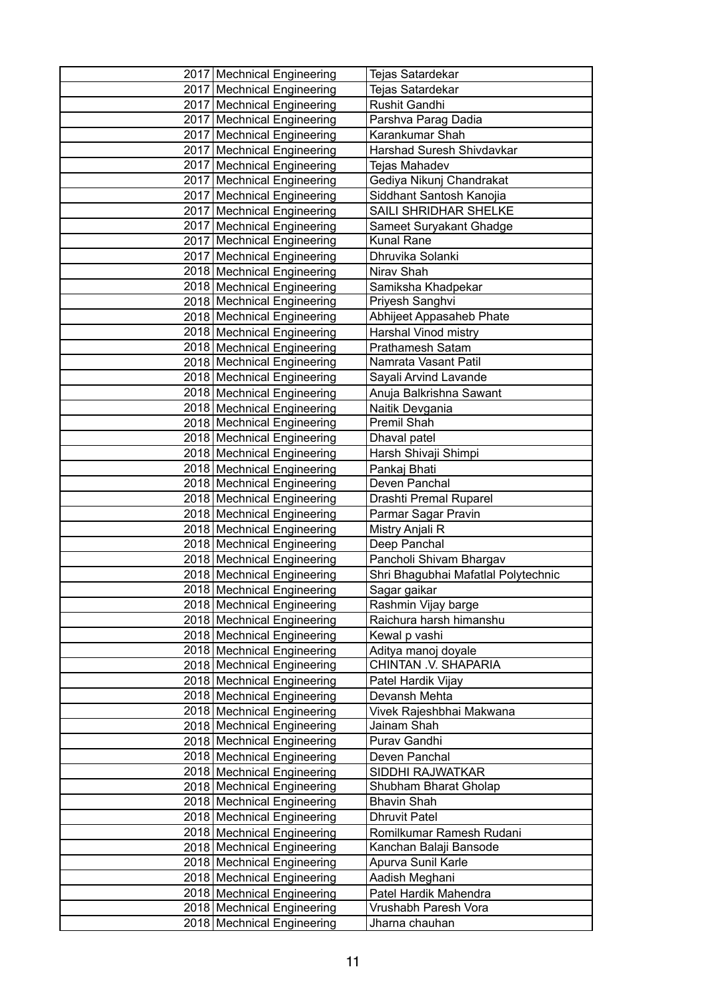| 2017 Mechnical Engineering                               | Tejas Satardekar                               |
|----------------------------------------------------------|------------------------------------------------|
| 2017 Mechnical Engineering                               | <b>Tejas Satardekar</b>                        |
| 2017 Mechnical Engineering                               | Rushit Gandhi                                  |
| 2017 Mechnical Engineering                               | Parshva Parag Dadia                            |
| 2017   Mechnical Engineering                             | Karankumar Shah                                |
| 2017 Mechnical Engineering                               | Harshad Suresh Shivdavkar                      |
| 2017 Mechnical Engineering                               | Tejas Mahadev                                  |
| 2017 Mechnical Engineering                               | Gediya Nikunj Chandrakat                       |
| 2017   Mechnical Engineering                             | Siddhant Santosh Kanojia                       |
| 2017 Mechnical Engineering                               | SAILI SHRIDHAR SHELKE                          |
| 2017   Mechnical Engineering                             | Sameet Suryakant Ghadge                        |
| 2017 Mechnical Engineering                               | <b>Kunal Rane</b>                              |
| 2017 Mechnical Engineering                               | Dhruvika Solanki                               |
| 2018 Mechnical Engineering                               | Nirav Shah                                     |
| 2018 Mechnical Engineering                               | Samiksha Khadpekar                             |
| 2018 Mechnical Engineering                               | Priyesh Sanghvi                                |
| 2018 Mechnical Engineering                               | Abhijeet Appasaheb Phate                       |
| 2018 Mechnical Engineering                               | Harshal Vinod mistry                           |
| 2018 Mechnical Engineering                               | Prathamesh Satam                               |
| 2018 Mechnical Engineering                               | Namrata Vasant Patil                           |
| 2018   Mechnical Engineering                             | Sayali Arvind Lavande                          |
| 2018 Mechnical Engineering                               | Anuja Balkrishna Sawant                        |
| 2018 Mechnical Engineering                               | Naitik Devgania                                |
| 2018 Mechnical Engineering                               | Premil Shah                                    |
| 2018 Mechnical Engineering                               | Dhaval patel                                   |
| 2018 Mechnical Engineering                               | Harsh Shivaji Shimpi                           |
| 2018 Mechnical Engineering                               | Pankaj Bhati                                   |
| 2018 Mechnical Engineering                               | Deven Panchal                                  |
| 2018 Mechnical Engineering                               | Drashti Premal Ruparel                         |
| 2018 Mechnical Engineering                               | Parmar Sagar Pravin                            |
| 2018 Mechnical Engineering                               | Mistry Anjali R                                |
| 2018 Mechnical Engineering                               | Deep Panchal                                   |
| 2018 Mechnical Engineering                               | Pancholi Shivam Bhargav                        |
| 2018 Mechnical Engineering                               | Shri Bhagubhai Mafatlal Polytechnic            |
| 2018 Mechnical Engineering<br>2018 Mechnical Engineering | Sagar gaikar                                   |
| 2018 Mechnical Engineering                               | Rashmin Vijay barge<br>Raichura harsh himanshu |
|                                                          |                                                |
| 2018 Mechnical Engineering<br>2018 Mechnical Engineering | Kewal p vashi                                  |
| 2018 Mechnical Engineering                               | Aditya manoj doyale<br>CHINTAN .V. SHAPARIA    |
| 2018 Mechnical Engineering                               | Patel Hardik Vijay                             |
| 2018 Mechnical Engineering                               | Devansh Mehta                                  |
| 2018 Mechnical Engineering                               | Vivek Rajeshbhai Makwana                       |
| 2018   Mechnical Engineering                             | Jainam Shah                                    |
| 2018   Mechnical Engineering                             | Purav Gandhi                                   |
| 2018 Mechnical Engineering                               | Deven Panchal                                  |
| 2018 Mechnical Engineering                               | SIDDHI RAJWATKAR                               |
| 2018 Mechnical Engineering                               | Shubham Bharat Gholap                          |
| 2018 Mechnical Engineering                               | <b>Bhavin Shah</b>                             |
| 2018 Mechnical Engineering                               | <b>Dhruvit Patel</b>                           |
| 2018 Mechnical Engineering                               | Romilkumar Ramesh Rudani                       |
| 2018 Mechnical Engineering                               | Kanchan Balaji Bansode                         |
| 2018 Mechnical Engineering                               | Apurva Sunil Karle                             |
| 2018 Mechnical Engineering                               | Aadish Meghani                                 |
| 2018 Mechnical Engineering                               | Patel Hardik Mahendra                          |
| 2018 Mechnical Engineering                               | Vrushabh Paresh Vora                           |
| 2018 Mechnical Engineering                               | Jharna chauhan                                 |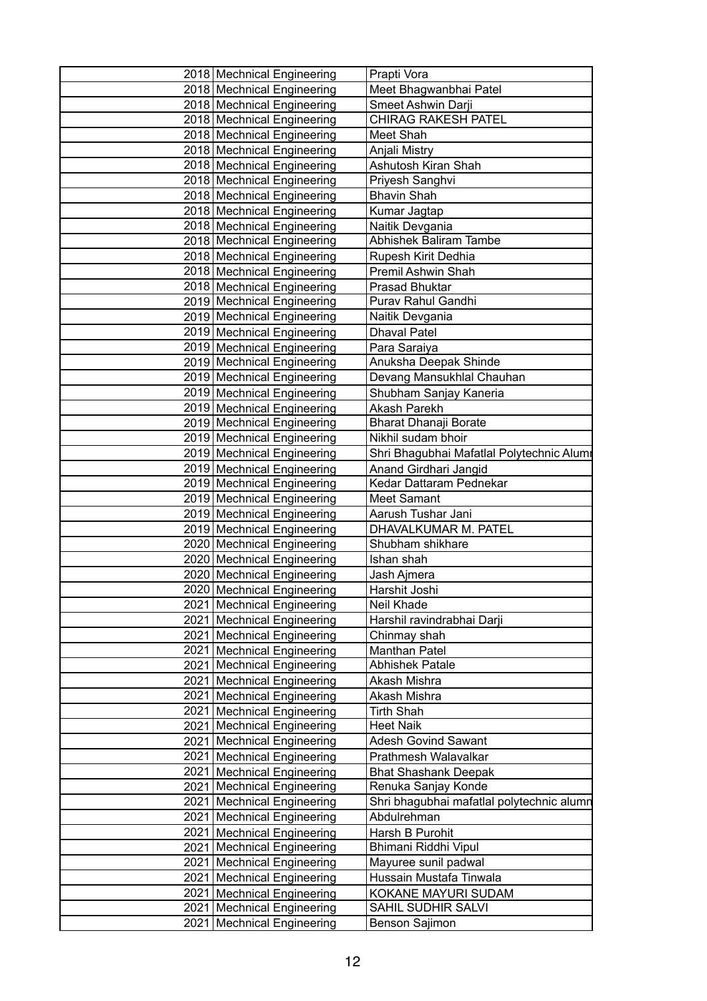| Prapti Vora                               |
|-------------------------------------------|
| Meet Bhagwanbhai Patel                    |
| Smeet Ashwin Darji                        |
| <b>CHIRAG RAKESH PATEL</b>                |
| Meet Shah                                 |
| Anjali Mistry                             |
| Ashutosh Kiran Shah                       |
| Priyesh Sanghvi                           |
| <b>Bhavin Shah</b>                        |
| Kumar Jagtap                              |
| Naitik Devgania                           |
| Abhishek Baliram Tambe                    |
| Rupesh Kirit Dedhia                       |
| Premil Ashwin Shah                        |
| <b>Prasad Bhuktar</b>                     |
| Purav Rahul Gandhi                        |
| Naitik Devgania                           |
| <b>Dhaval Patel</b>                       |
| Para Saraiya                              |
| Anuksha Deepak Shinde                     |
| Devang Mansukhlal Chauhan                 |
| Shubham Sanjay Kaneria                    |
| Akash Parekh                              |
| Bharat Dhanaji Borate                     |
| Nikhil sudam bhoir                        |
| Shri Bhagubhai Mafatlal Polytechnic Alumr |
| Anand Girdhari Jangid                     |
| Kedar Dattaram Pednekar                   |
| Meet Samant                               |
| Aarush Tushar Jani                        |
| DHAVALKUMAR M. PATEL                      |
| Shubham shikhare                          |
| Ishan shah                                |
| Jash Ajmera                               |
| Harshit Joshi                             |
| Neil Khade                                |
| Harshil ravindrabhai Darji                |
| Chinmay shah                              |
| Manthan Patel                             |
| Abhishek Patale                           |
| Akash Mishra                              |
| Akash Mishra                              |
| Tirth Shah                                |
| <b>Heet Naik</b>                          |
| <b>Adesh Govind Sawant</b>                |
| Prathmesh Walavalkar                      |
| <b>Bhat Shashank Deepak</b>               |
| Renuka Sanjay Konde                       |
| Shri bhagubhai mafatlal polytechnic alumn |
| Abdulrehman                               |
| Harsh B Purohit                           |
| Bhimani Riddhi Vipul                      |
| Mayuree sunil padwal                      |
| Hussain Mustafa Tinwala                   |
|                                           |
| KOKANE MAYURI SUDAM                       |
| SAHIL SUDHIR SALVI                        |
|                                           |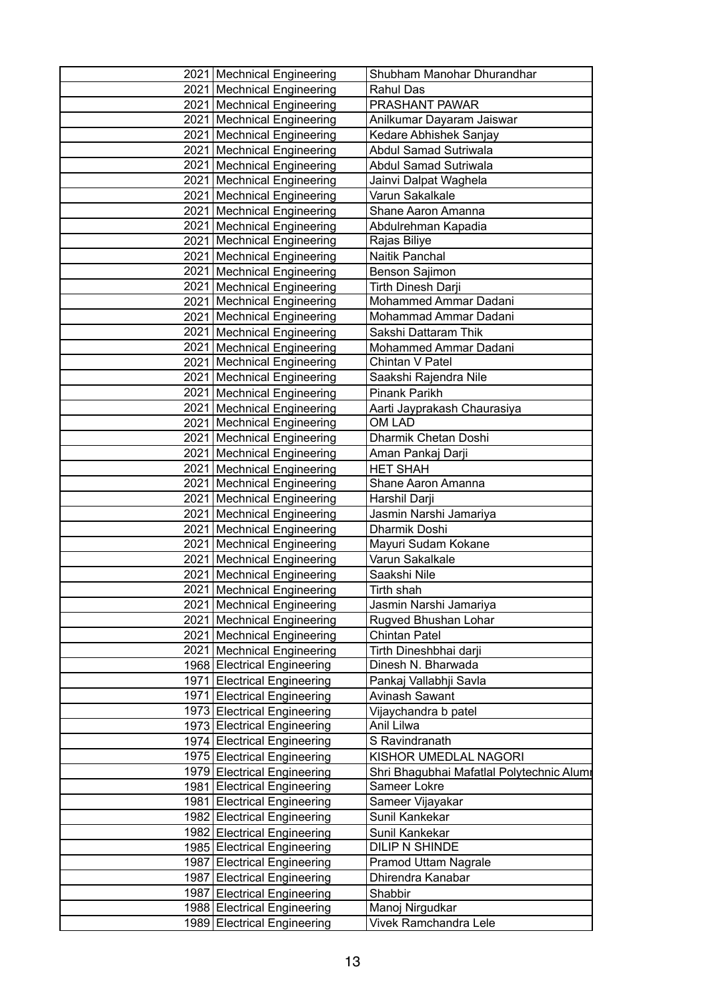| 2021 Mechnical Engineering   | Shubham Manohar Dhurandhar                |
|------------------------------|-------------------------------------------|
| 2021 Mechnical Engineering   | <b>Rahul Das</b>                          |
| 2021 Mechnical Engineering   | PRASHANT PAWAR                            |
| 2021   Mechnical Engineering | Anilkumar Dayaram Jaiswar                 |
| 2021   Mechnical Engineering | Kedare Abhishek Sanjay                    |
| 2021 Mechnical Engineering   | <b>Abdul Samad Sutriwala</b>              |
| 2021 Mechnical Engineering   | <b>Abdul Samad Sutriwala</b>              |
| 2021   Mechnical Engineering | Jainvi Dalpat Waghela                     |
| 2021   Mechnical Engineering | Varun Sakalkale                           |
| 2021 Mechnical Engineering   | Shane Aaron Amanna                        |
| 2021 Mechnical Engineering   | Abdulrehman Kapadia                       |
| 2021   Mechnical Engineering | Rajas Biliye                              |
| 2021   Mechnical Engineering | Naitik Panchal                            |
| 2021 Mechnical Engineering   | Benson Sajimon                            |
| 2021 Mechnical Engineering   | Tirth Dinesh Darji                        |
| 2021 Mechnical Engineering   | Mohammed Ammar Dadani                     |
| 2021 Mechnical Engineering   | Mohammad Ammar Dadani                     |
| 2021   Mechnical Engineering | Sakshi Dattaram Thik                      |
| 2021 Mechnical Engineering   | Mohammed Ammar Dadani                     |
| 2021 Mechnical Engineering   | Chintan V Patel                           |
| 2021 Mechnical Engineering   | Saakshi Rajendra Nile                     |
| 2021 Mechnical Engineering   | Pinank Parikh                             |
| 2021 Mechnical Engineering   | Aarti Jayprakash Chaurasiya               |
| 2021   Mechnical Engineering | OM LAD                                    |
| 2021 Mechnical Engineering   | Dharmik Chetan Doshi                      |
| 2021 Mechnical Engineering   | Aman Pankaj Darji                         |
| 2021 Mechnical Engineering   | <b>HET SHAH</b>                           |
| 2021   Mechnical Engineering | Shane Aaron Amanna                        |
| 2021   Mechnical Engineering | Harshil Darji                             |
| 2021 Mechnical Engineering   | Jasmin Narshi Jamariya                    |
| 2021 Mechnical Engineering   | Dharmik Doshi                             |
| 2021   Mechnical Engineering | Mayuri Sudam Kokane                       |
| 2021   Mechnical Engineering | Varun Sakalkale                           |
| 2021   Mechnical Engineering | Saakshi Nile                              |
| 2021 Mechnical Engineering   | Tirth shah                                |
| 2021   Mechnical Engineering | Jasmin Narshi Jamariya                    |
| 2021 Mechnical Engineering   | Rugved Bhushan Lohar                      |
| 2021   Mechnical Engineering | Chintan Patel                             |
| 2021   Mechnical Engineering | Tirth Dineshbhai darji                    |
| 1968 Electrical Engineering  | Dinesh N. Bharwada                        |
| 1971 Electrical Engineering  | Pankaj Vallabhji Savla                    |
| 1971 Electrical Engineering  | Avinash Sawant                            |
| 1973 Electrical Engineering  | Vijaychandra b patel                      |
| 1973 Electrical Engineering  | Anil Lilwa                                |
| 1974 Electrical Engineering  | S Ravindranath                            |
| 1975 Electrical Engineering  | KISHOR UMEDLAL NAGORI                     |
| 1979 Electrical Engineering  | Shri Bhagubhai Mafatlal Polytechnic Alumr |
| 1981 Electrical Engineering  | Sameer Lokre                              |
| 1981 Electrical Engineering  | Sameer Vijayakar                          |
| 1982 Electrical Engineering  | Sunil Kankekar                            |
| 1982 Electrical Engineering  | Sunil Kankekar                            |
| 1985 Electrical Engineering  | DILIP N SHINDE                            |
| 1987 Electrical Engineering  | Pramod Uttam Nagrale                      |
| 1987 Electrical Engineering  | Dhirendra Kanabar                         |
| 1987 Electrical Engineering  | Shabbir                                   |
| 1988 Electrical Engineering  | Manoj Nirgudkar                           |
| 1989 Electrical Engineering  | Vivek Ramchandra Lele                     |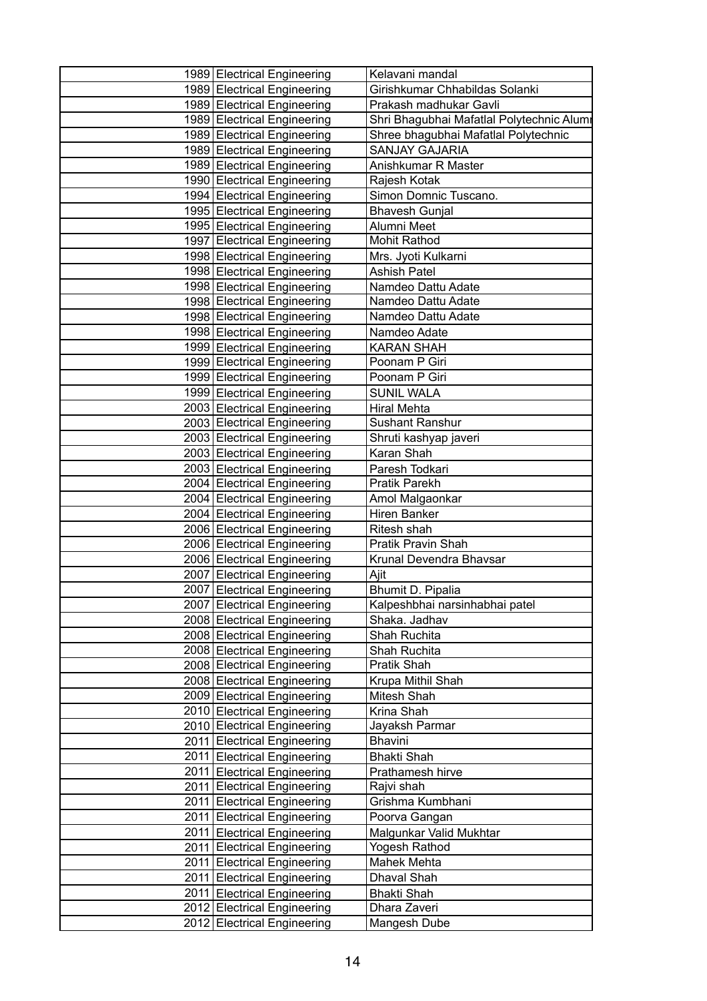| 1989 Electrical Engineering | Kelavani mandal                           |
|-----------------------------|-------------------------------------------|
| 1989 Electrical Engineering | Girishkumar Chhabildas Solanki            |
| 1989 Electrical Engineering | Prakash madhukar Gavli                    |
| 1989 Electrical Engineering | Shri Bhagubhai Mafatlal Polytechnic Alumr |
| 1989 Electrical Engineering | Shree bhagubhai Mafatlal Polytechnic      |
| 1989 Electrical Engineering | <b>SANJAY GAJARIA</b>                     |
| 1989 Electrical Engineering | Anishkumar R Master                       |
| 1990 Electrical Engineering | Rajesh Kotak                              |
| 1994 Electrical Engineering | Simon Domnic Tuscano.                     |
| 1995 Electrical Engineering | <b>Bhavesh Gunjal</b>                     |
| 1995 Electrical Engineering | Alumni Meet                               |
| 1997 Electrical Engineering | Mohit Rathod                              |
| 1998 Electrical Engineering | Mrs. Jyoti Kulkarni                       |
| 1998 Electrical Engineering | <b>Ashish Patel</b>                       |
| 1998 Electrical Engineering | Namdeo Dattu Adate                        |
| 1998 Electrical Engineering | Namdeo Dattu Adate                        |
| 1998 Electrical Engineering | Namdeo Dattu Adate                        |
| 1998 Electrical Engineering | Namdeo Adate                              |
| 1999 Electrical Engineering | <b>KARAN SHAH</b>                         |
| 1999 Electrical Engineering | Poonam P Giri                             |
| 1999 Electrical Engineering | Poonam P Giri                             |
| 1999 Electrical Engineering | <b>SUNIL WALA</b>                         |
| 2003 Electrical Engineering | <b>Hiral Mehta</b>                        |
| 2003 Electrical Engineering | Sushant Ranshur                           |
| 2003 Electrical Engineering | Shruti kashyap javeri                     |
| 2003 Electrical Engineering | Karan Shah                                |
| 2003 Electrical Engineering | Paresh Todkari                            |
| 2004 Electrical Engineering | Pratik Parekh                             |
| 2004 Electrical Engineering | Amol Malgaonkar                           |
| 2004 Electrical Engineering | <b>Hiren Banker</b>                       |
| 2006 Electrical Engineering | Ritesh shah                               |
| 2006 Electrical Engineering | Pratik Pravin Shah                        |
| 2006 Electrical Engineering | Krunal Devendra Bhavsar                   |
| 2007 Electrical Engineering | Ajit                                      |
| 2007 Electrical Engineering | Bhumit D. Pipalia                         |
| 2007 Electrical Engineering | Kalpeshbhai narsinhabhai patel            |
| 2008 Electrical Engineering | Shaka. Jadhav                             |
| 2008 Electrical Engineering | Shah Ruchita                              |
| 2008 Electrical Engineering | Shah Ruchita                              |
| 2008 Electrical Engineering | Pratik Shah                               |
| 2008 Electrical Engineering | Krupa Mithil Shah                         |
| 2009 Electrical Engineering | Mitesh Shah                               |
| 2010 Electrical Engineering | Krina Shah                                |
| 2010 Electrical Engineering | Jayaksh Parmar                            |
| 2011 Electrical Engineering | Bhavini                                   |
| 2011 Electrical Engineering | <b>Bhakti Shah</b>                        |
| 2011 Electrical Engineering | Prathamesh hirve                          |
| 2011 Electrical Engineering | Rajvi shah                                |
| 2011 Electrical Engineering | Grishma Kumbhani                          |
| 2011 Electrical Engineering | Poorva Gangan                             |
| 2011 Electrical Engineering | Malgunkar Valid Mukhtar                   |
| 2011 Electrical Engineering | Yogesh Rathod                             |
| 2011 Electrical Engineering | Mahek Mehta                               |
| 2011 Electrical Engineering | Dhaval Shah                               |
| 2011 Electrical Engineering | <b>Bhakti Shah</b>                        |
| 2012 Electrical Engineering | Dhara Zaveri                              |
| 2012 Electrical Engineering | Mangesh Dube                              |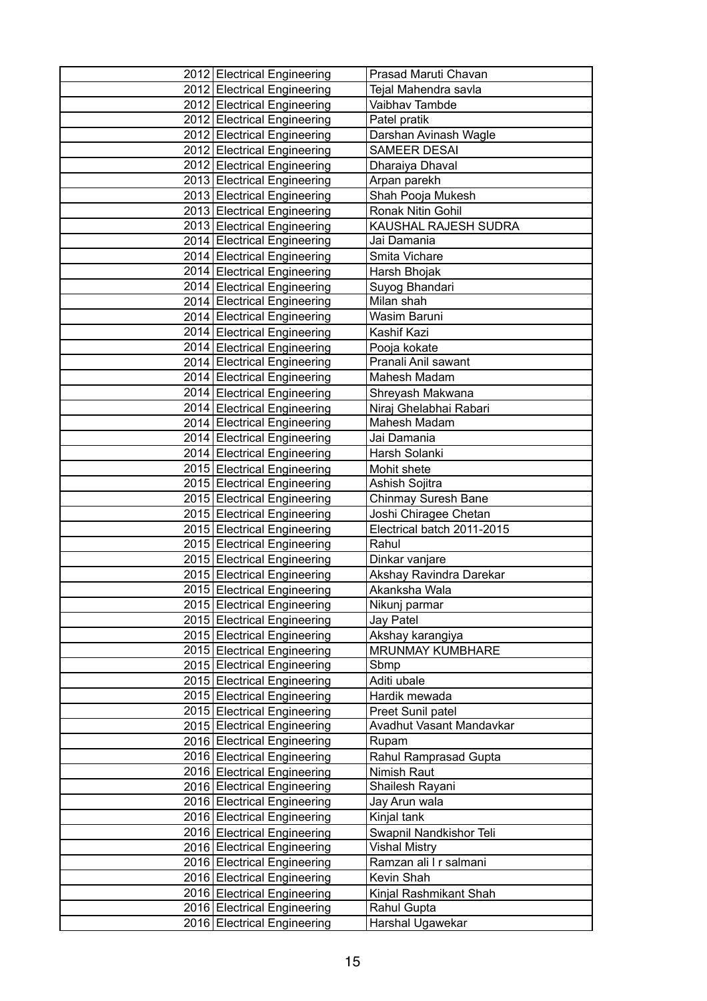| 2012 Electrical Engineering | Prasad Maruti Chavan       |
|-----------------------------|----------------------------|
| 2012 Electrical Engineering | Tejal Mahendra savla       |
| 2012 Electrical Engineering | Vaibhav Tambde             |
| 2012 Electrical Engineering | Patel pratik               |
| 2012 Electrical Engineering | Darshan Avinash Wagle      |
| 2012 Electrical Engineering | <b>SAMEER DESAI</b>        |
| 2012 Electrical Engineering | Dharaiya Dhaval            |
| 2013 Electrical Engineering | Arpan parekh               |
| 2013 Electrical Engineering | Shah Pooja Mukesh          |
| 2013 Electrical Engineering | Ronak Nitin Gohil          |
| 2013 Electrical Engineering | KAUSHAL RAJESH SUDRA       |
| 2014 Electrical Engineering | Jai Damania                |
| 2014 Electrical Engineering | Smita Vichare              |
| 2014 Electrical Engineering | Harsh Bhojak               |
| 2014 Electrical Engineering | Suyog Bhandari             |
| 2014 Electrical Engineering | Milan shah                 |
| 2014 Electrical Engineering | Wasim Baruni               |
| 2014 Electrical Engineering | Kashif Kazi                |
| 2014 Electrical Engineering | Pooja kokate               |
| 2014 Electrical Engineering | Pranali Anil sawant        |
| 2014 Electrical Engineering | Mahesh Madam               |
| 2014 Electrical Engineering | Shreyash Makwana           |
| 2014 Electrical Engineering | Niraj Ghelabhai Rabari     |
| 2014 Electrical Engineering | Mahesh Madam               |
| 2014 Electrical Engineering | Jai Damania                |
| 2014 Electrical Engineering | Harsh Solanki              |
| 2015 Electrical Engineering | Mohit shete                |
| 2015 Electrical Engineering | Ashish Sojitra             |
| 2015 Electrical Engineering | Chinmay Suresh Bane        |
| 2015 Electrical Engineering | Joshi Chiragee Chetan      |
| 2015 Electrical Engineering | Electrical batch 2011-2015 |
| 2015 Electrical Engineering | Rahul                      |
| 2015 Electrical Engineering | Dinkar vanjare             |
| 2015 Electrical Engineering | Akshay Ravindra Darekar    |
| 2015 Electrical Engineering | Akanksha Wala              |
| 2015 Electrical Engineering | Nikunj parmar              |
| 2015 Electrical Engineering | Jay Patel                  |
| 2015 Electrical Engineering | Akshay karangiya           |
| 2015 Electrical Engineering | MRUNMAY KUMBHARE           |
| 2015 Electrical Engineering | Sbmp                       |
| 2015 Electrical Engineering | Aditi ubale                |
| 2015 Electrical Engineering | Hardik mewada              |
| 2015 Electrical Engineering | Preet Sunil patel          |
| 2015 Electrical Engineering | Avadhut Vasant Mandavkar   |
| 2016 Electrical Engineering | Rupam                      |
| 2016 Electrical Engineering | Rahul Ramprasad Gupta      |
| 2016 Electrical Engineering | Nimish Raut                |
| 2016 Electrical Engineering | Shailesh Rayani            |
| 2016 Electrical Engineering | Jay Arun wala              |
| 2016 Electrical Engineering | Kinjal tank                |
| 2016 Electrical Engineering | Swapnil Nandkishor Teli    |
| 2016 Electrical Engineering | <b>Vishal Mistry</b>       |
| 2016 Electrical Engineering | Ramzan ali I r salmani     |
| 2016 Electrical Engineering | Kevin Shah                 |
| 2016 Electrical Engineering | Kinjal Rashmikant Shah     |
| 2016 Electrical Engineering | Rahul Gupta                |
| 2016 Electrical Engineering | Harshal Ugawekar           |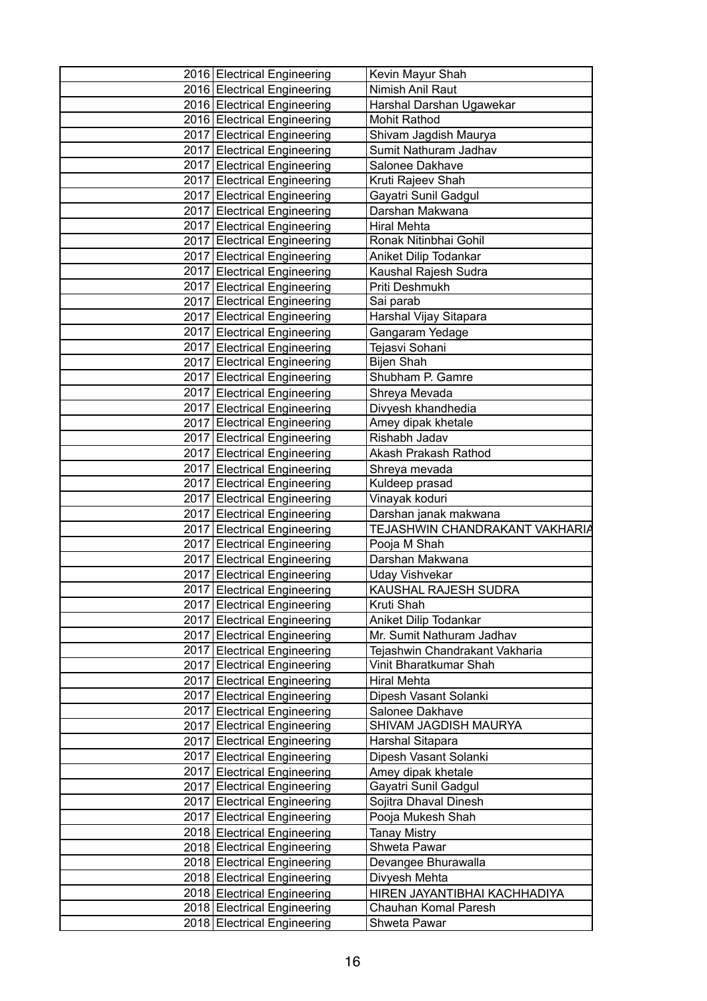| 2016 Electrical Engineering                                | Kevin Mayur Shah                    |
|------------------------------------------------------------|-------------------------------------|
| 2016 Electrical Engineering                                | Nimish Anil Raut                    |
| 2016 Electrical Engineering                                | Harshal Darshan Ugawekar            |
| 2016 Electrical Engineering                                | <b>Mohit Rathod</b>                 |
| 2017 Electrical Engineering                                | Shivam Jagdish Maurya               |
| 2017 Electrical Engineering                                | Sumit Nathuram Jadhav               |
| 2017 Electrical Engineering                                | Salonee Dakhave                     |
| 2017 Electrical Engineering                                | Kruti Rajeev Shah                   |
| 2017 Electrical Engineering                                | Gayatri Sunil Gadgul                |
| 2017 Electrical Engineering                                | Darshan Makwana                     |
| 2017 Electrical Engineering                                | <b>Hiral Mehta</b>                  |
| 2017 Electrical Engineering                                | Ronak Nitinbhai Gohil               |
| 2017 Electrical Engineering                                | Aniket Dilip Todankar               |
| 2017 Electrical Engineering                                | Kaushal Rajesh Sudra                |
| 2017 Electrical Engineering                                | Priti Deshmukh                      |
| 2017 Electrical Engineering                                | Sai parab                           |
| 2017 Electrical Engineering                                | Harshal Vijay Sitapara              |
| 2017 Electrical Engineering                                | Gangaram Yedage                     |
| 2017 Electrical Engineering                                | Tejasvi Sohani                      |
| 2017 Electrical Engineering                                | Bijen Shah                          |
| 2017 Electrical Engineering                                | Shubham P. Gamre                    |
| 2017 Electrical Engineering                                | Shreya Mevada                       |
| 2017 Electrical Engineering                                | Divyesh khandhedia                  |
| 2017 Electrical Engineering                                | Amey dipak khetale                  |
| 2017 Electrical Engineering                                | Rishabh Jadav                       |
| 2017 Electrical Engineering                                | Akash Prakash Rathod                |
| 2017 Electrical Engineering                                | Shreya mevada                       |
| 2017 Electrical Engineering                                | Kuldeep prasad                      |
| 2017 Electrical Engineering                                | Vinayak koduri                      |
| 2017 Electrical Engineering                                | Darshan janak makwana               |
| 2017 Electrical Engineering                                | TEJASHWIN CHANDRAKANT VAKHARIA      |
| 2017 Electrical Engineering                                | Pooja M Shah                        |
| 2017 Electrical Engineering                                | Darshan Makwana                     |
| 2017 Electrical Engineering                                | <b>Uday Vishvekar</b>               |
| 2017 Electrical Engineering                                | KAUSHAL RAJESH SUDRA                |
| 2017 Electrical Engineering                                | Kruti Shah                          |
| 2017 Electrical Engineering                                | Aniket Dilip Todankar               |
| 2017 Electrical Engineering                                | Mr. Sumit Nathuram Jadhav           |
| 2017 Electrical Engineering                                | Tejashwin Chandrakant Vakharia      |
| 2017 Electrical Engineering                                | Vinit Bharatkumar Shah              |
| 2017 Electrical Engineering                                | <b>Hiral Mehta</b>                  |
| 2017 Electrical Engineering                                | Dipesh Vasant Solanki               |
| 2017 Electrical Engineering                                | Salonee Dakhave                     |
| 2017 Electrical Engineering                                | SHIVAM JAGDISH MAURYA               |
| 2017 Electrical Engineering                                | Harshal Sitapara                    |
| 2017 Electrical Engineering                                | Dipesh Vasant Solanki               |
| 2017 Electrical Engineering                                | Amey dipak khetale                  |
| 2017 Electrical Engineering                                | Gayatri Sunil Gadgul                |
| 2017 Electrical Engineering                                | Sojitra Dhaval Dinesh               |
| 2017 Electrical Engineering                                | Pooja Mukesh Shah                   |
| 2018 Electrical Engineering<br>2018 Electrical Engineering | <b>Tanay Mistry</b><br>Shweta Pawar |
| 2018 Electrical Engineering                                | Devangee Bhurawalla                 |
| 2018 Electrical Engineering                                | Divyesh Mehta                       |
| 2018 Electrical Engineering                                | HIREN JAYANTIBHAI KACHHADIYA        |
| 2018 Electrical Engineering                                | Chauhan Komal Paresh                |
| 2018 Electrical Engineering                                | Shweta Pawar                        |
|                                                            |                                     |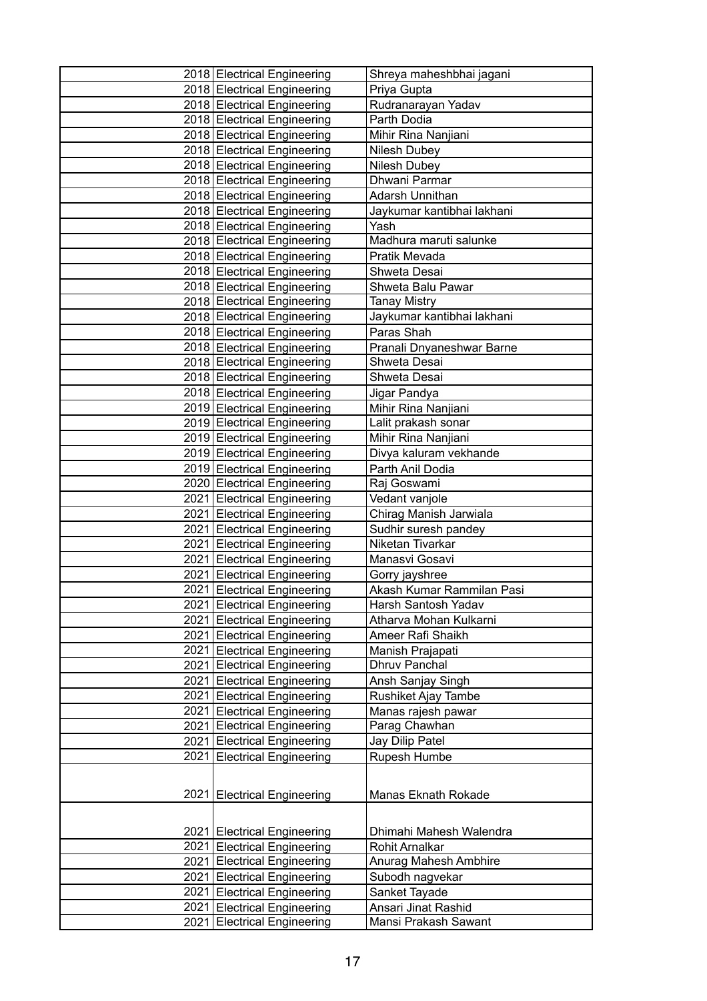| 2018 Electrical Engineering   | Shreya maheshbhai jagani   |
|-------------------------------|----------------------------|
| 2018 Electrical Engineering   | Priya Gupta                |
| 2018 Electrical Engineering   | Rudranarayan Yadav         |
| 2018 Electrical Engineering   | Parth Dodia                |
| 2018 Electrical Engineering   | Mihir Rina Nanjiani        |
| 2018 Electrical Engineering   | Nilesh Dubey               |
| 2018 Electrical Engineering   | Nilesh Dubey               |
| 2018 Electrical Engineering   | Dhwani Parmar              |
| 2018 Electrical Engineering   | <b>Adarsh Unnithan</b>     |
| 2018 Electrical Engineering   | Jaykumar kantibhai lakhani |
| 2018 Electrical Engineering   | Yash                       |
| 2018 Electrical Engineering   | Madhura maruti salunke     |
| 2018 Electrical Engineering   | Pratik Mevada              |
| 2018 Electrical Engineering   | Shweta Desai               |
| 2018 Electrical Engineering   | Shweta Balu Pawar          |
| 2018 Electrical Engineering   | <b>Tanay Mistry</b>        |
| 2018 Electrical Engineering   | Jaykumar kantibhai lakhani |
| 2018 Electrical Engineering   | Paras Shah                 |
| 2018 Electrical Engineering   | Pranali Dnyaneshwar Barne  |
| 2018 Electrical Engineering   | Shweta Desai               |
| 2018 Electrical Engineering   | Shweta Desai               |
| 2018 Electrical Engineering   | Jigar Pandya               |
| 2019 Electrical Engineering   | Mihir Rina Nanjiani        |
| 2019 Electrical Engineering   | Lalit prakash sonar        |
| 2019 Electrical Engineering   | Mihir Rina Nanjiani        |
| 2019 Electrical Engineering   | Divya kaluram vekhande     |
| 2019 Electrical Engineering   | Parth Anil Dodia           |
| 2020 Electrical Engineering   | Raj Goswami                |
| 2021   Electrical Engineering | Vedant vanjole             |
| 2021 Electrical Engineering   | Chirag Manish Jarwiala     |
| 2021 Electrical Engineering   | Sudhir suresh pandey       |
| 2021 Electrical Engineering   | Niketan Tivarkar           |
| 2021 Electrical Engineering   | Manasvi Gosavi             |
| 2021 Electrical Engineering   | Gorry jayshree             |
| 2021 Electrical Engineering   | Akash Kumar Rammilan Pasi  |
| 2021 Electrical Engineering   | Harsh Santosh Yadav        |
| 2021 Electrical Engineering   | Atharva Mohan Kulkarni     |
| 2021 Electrical Engineering   | Ameer Rafi Shaikh          |
| 2021 Electrical Engineering   | Manish Prajapati           |
| 2021 Electrical Engineering   | Dhruv Panchal              |
| 2021 Electrical Engineering   | Ansh Sanjay Singh          |
| 2021 Electrical Engineering   | Rushiket Ajay Tambe        |
| 2021 Electrical Engineering   | Manas rajesh pawar         |
| 2021   Electrical Engineering | Parag Chawhan              |
| 2021 Electrical Engineering   | Jay Dilip Patel            |
| 2021 Electrical Engineering   | Rupesh Humbe               |
|                               |                            |
| 2021 Electrical Engineering   | <b>Manas Eknath Rokade</b> |
|                               |                            |
| 2021 Electrical Engineering   | Dhimahi Mahesh Walendra    |
| 2021 Electrical Engineering   | Rohit Arnalkar             |
| 2021 Electrical Engineering   | Anurag Mahesh Ambhire      |
| 2021 Electrical Engineering   | Subodh nagvekar            |
| 2021 Electrical Engineering   | Sanket Tayade              |
| 2021 Electrical Engineering   | Ansari Jinat Rashid        |
| 2021 Electrical Engineering   | Mansi Prakash Sawant       |
|                               |                            |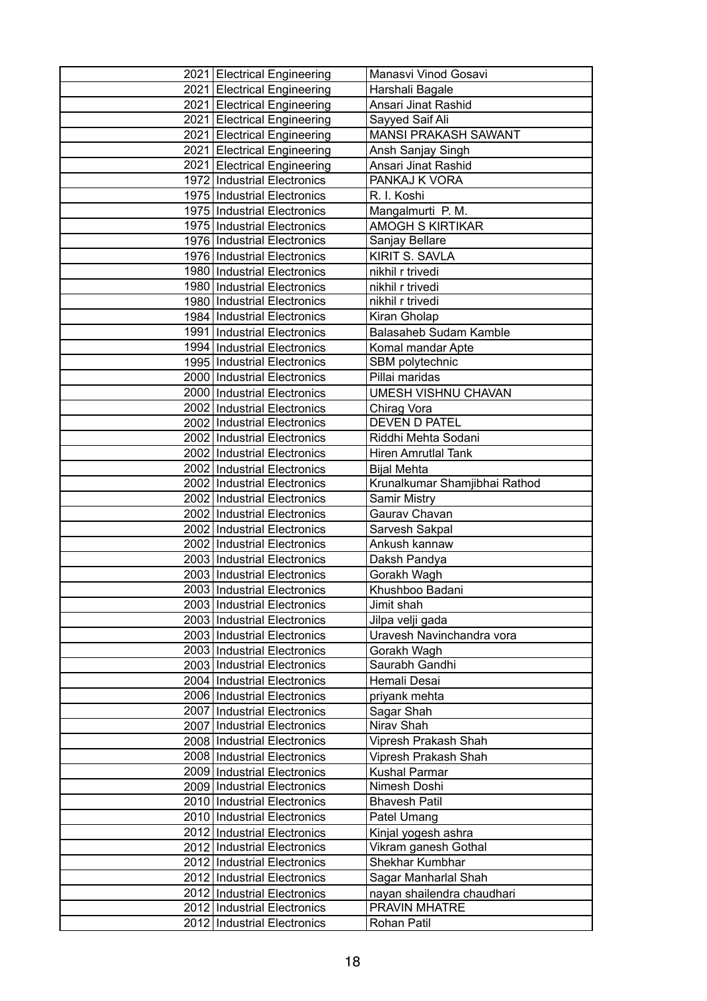| 2021 Electrical Engineering<br>Harshali Bagale<br>2021 Electrical Engineering<br>Ansari Jinat Rashid<br>2021 Electrical Engineering<br>Sayyed Saif Ali<br><b>MANSI PRAKASH SAWANT</b><br>2021 Electrical Engineering<br>2021 Electrical Engineering<br>Ansh Sanjay Singh<br>2021 Electrical Engineering<br>Ansari Jinat Rashid<br>1972 Industrial Electronics<br>PANKAJ K VORA<br>1975 Industrial Electronics<br>R. I. Koshi<br>1975 Industrial Electronics<br>Mangalmurti P. M.<br>1975 Industrial Electronics<br><b>AMOGH S KIRTIKAR</b><br>1976 Industrial Electronics<br>Sanjay Bellare<br>1976 Industrial Electronics<br>KIRIT S. SAVLA<br>1980 Industrial Electronics<br>nikhil r trivedi<br>1980 Industrial Electronics<br>nikhil r trivedi<br>1980 Industrial Electronics<br>nikhil r trivedi<br>Kiran Gholap<br>1984   Industrial Electronics<br>1991 Industrial Electronics<br><b>Balasaheb Sudam Kamble</b><br>1994 Industrial Electronics<br>Komal mandar Apte<br>1995 Industrial Electronics<br>SBM polytechnic<br>2000 Industrial Electronics<br>Pillai maridas<br>2000 Industrial Electronics<br>UMESH VISHNU CHAVAN<br>2002 Industrial Electronics<br>Chirag Vora<br>DEVEN D PATEL<br>2002 Industrial Electronics<br>2002 Industrial Electronics<br>Riddhi Mehta Sodani<br>2002 Industrial Electronics<br><b>Hiren Amrutlal Tank</b><br>2002 Industrial Electronics<br><b>Bijal Mehta</b><br>Krunalkumar Shamjibhai Rathod<br>2002 Industrial Electronics<br>2002 Industrial Electronics<br><b>Samir Mistry</b><br>2002 Industrial Electronics<br>Gaurav Chavan<br>2002 Industrial Electronics<br>Sarvesh Sakpal<br>2002 Industrial Electronics<br>Ankush kannaw<br>2003 Industrial Electronics<br>Daksh Pandya<br>2003 Industrial Electronics<br>Gorakh Wagh<br>2003 Industrial Electronics<br>Khushboo Badani<br>2003   Industrial Electronics<br>Jimit shah<br>2003 Industrial Electronics<br>Jilpa velji gada<br>2003 Industrial Electronics<br>Uravesh Navinchandra vora<br>2003 Industrial Electronics<br>Gorakh Wagh<br>Saurabh Gandhi<br>2003 Industrial Electronics<br>Hemali Desai<br>2004 Industrial Electronics<br>2006 Industrial Electronics<br>priyank mehta<br>2007 Industrial Electronics<br>Sagar Shah<br>2007 Industrial Electronics<br>Nirav Shah<br>2008   Industrial Electronics<br>Vipresh Prakash Shah<br>2008 Industrial Electronics<br>Vipresh Prakash Shah<br>2009 Industrial Electronics<br>Kushal Parmar<br>2009 Industrial Electronics<br>Nimesh Doshi<br>2010 Industrial Electronics<br><b>Bhavesh Patil</b><br>2010 Industrial Electronics<br>Patel Umang<br>2012 Industrial Electronics<br>Kinjal yogesh ashra<br>2012 Industrial Electronics<br>Vikram ganesh Gothal<br>Shekhar Kumbhar<br>2012 Industrial Electronics<br>2012 Industrial Electronics<br>Sagar Manharlal Shah<br>2012 Industrial Electronics<br>nayan shailendra chaudhari<br>PRAVIN MHATRE<br>2012 Industrial Electronics<br>2012   Industrial Electronics<br>Rohan Patil | 2021 Electrical Engineering | Manasvi Vinod Gosavi |
|----------------------------------------------------------------------------------------------------------------------------------------------------------------------------------------------------------------------------------------------------------------------------------------------------------------------------------------------------------------------------------------------------------------------------------------------------------------------------------------------------------------------------------------------------------------------------------------------------------------------------------------------------------------------------------------------------------------------------------------------------------------------------------------------------------------------------------------------------------------------------------------------------------------------------------------------------------------------------------------------------------------------------------------------------------------------------------------------------------------------------------------------------------------------------------------------------------------------------------------------------------------------------------------------------------------------------------------------------------------------------------------------------------------------------------------------------------------------------------------------------------------------------------------------------------------------------------------------------------------------------------------------------------------------------------------------------------------------------------------------------------------------------------------------------------------------------------------------------------------------------------------------------------------------------------------------------------------------------------------------------------------------------------------------------------------------------------------------------------------------------------------------------------------------------------------------------------------------------------------------------------------------------------------------------------------------------------------------------------------------------------------------------------------------------------------------------------------------------------------------------------------------------------------------------------------------------------------------------------------------------------------------------------------------------------------------------------------------------------------------------------------------------------------------------------------------------------------------------------------------------------------------------------------------------------------------------------------------------------------------|-----------------------------|----------------------|
|                                                                                                                                                                                                                                                                                                                                                                                                                                                                                                                                                                                                                                                                                                                                                                                                                                                                                                                                                                                                                                                                                                                                                                                                                                                                                                                                                                                                                                                                                                                                                                                                                                                                                                                                                                                                                                                                                                                                                                                                                                                                                                                                                                                                                                                                                                                                                                                                                                                                                                                                                                                                                                                                                                                                                                                                                                                                                                                                                                                              |                             |                      |
|                                                                                                                                                                                                                                                                                                                                                                                                                                                                                                                                                                                                                                                                                                                                                                                                                                                                                                                                                                                                                                                                                                                                                                                                                                                                                                                                                                                                                                                                                                                                                                                                                                                                                                                                                                                                                                                                                                                                                                                                                                                                                                                                                                                                                                                                                                                                                                                                                                                                                                                                                                                                                                                                                                                                                                                                                                                                                                                                                                                              |                             |                      |
|                                                                                                                                                                                                                                                                                                                                                                                                                                                                                                                                                                                                                                                                                                                                                                                                                                                                                                                                                                                                                                                                                                                                                                                                                                                                                                                                                                                                                                                                                                                                                                                                                                                                                                                                                                                                                                                                                                                                                                                                                                                                                                                                                                                                                                                                                                                                                                                                                                                                                                                                                                                                                                                                                                                                                                                                                                                                                                                                                                                              |                             |                      |
|                                                                                                                                                                                                                                                                                                                                                                                                                                                                                                                                                                                                                                                                                                                                                                                                                                                                                                                                                                                                                                                                                                                                                                                                                                                                                                                                                                                                                                                                                                                                                                                                                                                                                                                                                                                                                                                                                                                                                                                                                                                                                                                                                                                                                                                                                                                                                                                                                                                                                                                                                                                                                                                                                                                                                                                                                                                                                                                                                                                              |                             |                      |
|                                                                                                                                                                                                                                                                                                                                                                                                                                                                                                                                                                                                                                                                                                                                                                                                                                                                                                                                                                                                                                                                                                                                                                                                                                                                                                                                                                                                                                                                                                                                                                                                                                                                                                                                                                                                                                                                                                                                                                                                                                                                                                                                                                                                                                                                                                                                                                                                                                                                                                                                                                                                                                                                                                                                                                                                                                                                                                                                                                                              |                             |                      |
|                                                                                                                                                                                                                                                                                                                                                                                                                                                                                                                                                                                                                                                                                                                                                                                                                                                                                                                                                                                                                                                                                                                                                                                                                                                                                                                                                                                                                                                                                                                                                                                                                                                                                                                                                                                                                                                                                                                                                                                                                                                                                                                                                                                                                                                                                                                                                                                                                                                                                                                                                                                                                                                                                                                                                                                                                                                                                                                                                                                              |                             |                      |
|                                                                                                                                                                                                                                                                                                                                                                                                                                                                                                                                                                                                                                                                                                                                                                                                                                                                                                                                                                                                                                                                                                                                                                                                                                                                                                                                                                                                                                                                                                                                                                                                                                                                                                                                                                                                                                                                                                                                                                                                                                                                                                                                                                                                                                                                                                                                                                                                                                                                                                                                                                                                                                                                                                                                                                                                                                                                                                                                                                                              |                             |                      |
|                                                                                                                                                                                                                                                                                                                                                                                                                                                                                                                                                                                                                                                                                                                                                                                                                                                                                                                                                                                                                                                                                                                                                                                                                                                                                                                                                                                                                                                                                                                                                                                                                                                                                                                                                                                                                                                                                                                                                                                                                                                                                                                                                                                                                                                                                                                                                                                                                                                                                                                                                                                                                                                                                                                                                                                                                                                                                                                                                                                              |                             |                      |
|                                                                                                                                                                                                                                                                                                                                                                                                                                                                                                                                                                                                                                                                                                                                                                                                                                                                                                                                                                                                                                                                                                                                                                                                                                                                                                                                                                                                                                                                                                                                                                                                                                                                                                                                                                                                                                                                                                                                                                                                                                                                                                                                                                                                                                                                                                                                                                                                                                                                                                                                                                                                                                                                                                                                                                                                                                                                                                                                                                                              |                             |                      |
|                                                                                                                                                                                                                                                                                                                                                                                                                                                                                                                                                                                                                                                                                                                                                                                                                                                                                                                                                                                                                                                                                                                                                                                                                                                                                                                                                                                                                                                                                                                                                                                                                                                                                                                                                                                                                                                                                                                                                                                                                                                                                                                                                                                                                                                                                                                                                                                                                                                                                                                                                                                                                                                                                                                                                                                                                                                                                                                                                                                              |                             |                      |
|                                                                                                                                                                                                                                                                                                                                                                                                                                                                                                                                                                                                                                                                                                                                                                                                                                                                                                                                                                                                                                                                                                                                                                                                                                                                                                                                                                                                                                                                                                                                                                                                                                                                                                                                                                                                                                                                                                                                                                                                                                                                                                                                                                                                                                                                                                                                                                                                                                                                                                                                                                                                                                                                                                                                                                                                                                                                                                                                                                                              |                             |                      |
|                                                                                                                                                                                                                                                                                                                                                                                                                                                                                                                                                                                                                                                                                                                                                                                                                                                                                                                                                                                                                                                                                                                                                                                                                                                                                                                                                                                                                                                                                                                                                                                                                                                                                                                                                                                                                                                                                                                                                                                                                                                                                                                                                                                                                                                                                                                                                                                                                                                                                                                                                                                                                                                                                                                                                                                                                                                                                                                                                                                              |                             |                      |
|                                                                                                                                                                                                                                                                                                                                                                                                                                                                                                                                                                                                                                                                                                                                                                                                                                                                                                                                                                                                                                                                                                                                                                                                                                                                                                                                                                                                                                                                                                                                                                                                                                                                                                                                                                                                                                                                                                                                                                                                                                                                                                                                                                                                                                                                                                                                                                                                                                                                                                                                                                                                                                                                                                                                                                                                                                                                                                                                                                                              |                             |                      |
|                                                                                                                                                                                                                                                                                                                                                                                                                                                                                                                                                                                                                                                                                                                                                                                                                                                                                                                                                                                                                                                                                                                                                                                                                                                                                                                                                                                                                                                                                                                                                                                                                                                                                                                                                                                                                                                                                                                                                                                                                                                                                                                                                                                                                                                                                                                                                                                                                                                                                                                                                                                                                                                                                                                                                                                                                                                                                                                                                                                              |                             |                      |
|                                                                                                                                                                                                                                                                                                                                                                                                                                                                                                                                                                                                                                                                                                                                                                                                                                                                                                                                                                                                                                                                                                                                                                                                                                                                                                                                                                                                                                                                                                                                                                                                                                                                                                                                                                                                                                                                                                                                                                                                                                                                                                                                                                                                                                                                                                                                                                                                                                                                                                                                                                                                                                                                                                                                                                                                                                                                                                                                                                                              |                             |                      |
|                                                                                                                                                                                                                                                                                                                                                                                                                                                                                                                                                                                                                                                                                                                                                                                                                                                                                                                                                                                                                                                                                                                                                                                                                                                                                                                                                                                                                                                                                                                                                                                                                                                                                                                                                                                                                                                                                                                                                                                                                                                                                                                                                                                                                                                                                                                                                                                                                                                                                                                                                                                                                                                                                                                                                                                                                                                                                                                                                                                              |                             |                      |
|                                                                                                                                                                                                                                                                                                                                                                                                                                                                                                                                                                                                                                                                                                                                                                                                                                                                                                                                                                                                                                                                                                                                                                                                                                                                                                                                                                                                                                                                                                                                                                                                                                                                                                                                                                                                                                                                                                                                                                                                                                                                                                                                                                                                                                                                                                                                                                                                                                                                                                                                                                                                                                                                                                                                                                                                                                                                                                                                                                                              |                             |                      |
|                                                                                                                                                                                                                                                                                                                                                                                                                                                                                                                                                                                                                                                                                                                                                                                                                                                                                                                                                                                                                                                                                                                                                                                                                                                                                                                                                                                                                                                                                                                                                                                                                                                                                                                                                                                                                                                                                                                                                                                                                                                                                                                                                                                                                                                                                                                                                                                                                                                                                                                                                                                                                                                                                                                                                                                                                                                                                                                                                                                              |                             |                      |
|                                                                                                                                                                                                                                                                                                                                                                                                                                                                                                                                                                                                                                                                                                                                                                                                                                                                                                                                                                                                                                                                                                                                                                                                                                                                                                                                                                                                                                                                                                                                                                                                                                                                                                                                                                                                                                                                                                                                                                                                                                                                                                                                                                                                                                                                                                                                                                                                                                                                                                                                                                                                                                                                                                                                                                                                                                                                                                                                                                                              |                             |                      |
|                                                                                                                                                                                                                                                                                                                                                                                                                                                                                                                                                                                                                                                                                                                                                                                                                                                                                                                                                                                                                                                                                                                                                                                                                                                                                                                                                                                                                                                                                                                                                                                                                                                                                                                                                                                                                                                                                                                                                                                                                                                                                                                                                                                                                                                                                                                                                                                                                                                                                                                                                                                                                                                                                                                                                                                                                                                                                                                                                                                              |                             |                      |
|                                                                                                                                                                                                                                                                                                                                                                                                                                                                                                                                                                                                                                                                                                                                                                                                                                                                                                                                                                                                                                                                                                                                                                                                                                                                                                                                                                                                                                                                                                                                                                                                                                                                                                                                                                                                                                                                                                                                                                                                                                                                                                                                                                                                                                                                                                                                                                                                                                                                                                                                                                                                                                                                                                                                                                                                                                                                                                                                                                                              |                             |                      |
|                                                                                                                                                                                                                                                                                                                                                                                                                                                                                                                                                                                                                                                                                                                                                                                                                                                                                                                                                                                                                                                                                                                                                                                                                                                                                                                                                                                                                                                                                                                                                                                                                                                                                                                                                                                                                                                                                                                                                                                                                                                                                                                                                                                                                                                                                                                                                                                                                                                                                                                                                                                                                                                                                                                                                                                                                                                                                                                                                                                              |                             |                      |
|                                                                                                                                                                                                                                                                                                                                                                                                                                                                                                                                                                                                                                                                                                                                                                                                                                                                                                                                                                                                                                                                                                                                                                                                                                                                                                                                                                                                                                                                                                                                                                                                                                                                                                                                                                                                                                                                                                                                                                                                                                                                                                                                                                                                                                                                                                                                                                                                                                                                                                                                                                                                                                                                                                                                                                                                                                                                                                                                                                                              |                             |                      |
|                                                                                                                                                                                                                                                                                                                                                                                                                                                                                                                                                                                                                                                                                                                                                                                                                                                                                                                                                                                                                                                                                                                                                                                                                                                                                                                                                                                                                                                                                                                                                                                                                                                                                                                                                                                                                                                                                                                                                                                                                                                                                                                                                                                                                                                                                                                                                                                                                                                                                                                                                                                                                                                                                                                                                                                                                                                                                                                                                                                              |                             |                      |
|                                                                                                                                                                                                                                                                                                                                                                                                                                                                                                                                                                                                                                                                                                                                                                                                                                                                                                                                                                                                                                                                                                                                                                                                                                                                                                                                                                                                                                                                                                                                                                                                                                                                                                                                                                                                                                                                                                                                                                                                                                                                                                                                                                                                                                                                                                                                                                                                                                                                                                                                                                                                                                                                                                                                                                                                                                                                                                                                                                                              |                             |                      |
|                                                                                                                                                                                                                                                                                                                                                                                                                                                                                                                                                                                                                                                                                                                                                                                                                                                                                                                                                                                                                                                                                                                                                                                                                                                                                                                                                                                                                                                                                                                                                                                                                                                                                                                                                                                                                                                                                                                                                                                                                                                                                                                                                                                                                                                                                                                                                                                                                                                                                                                                                                                                                                                                                                                                                                                                                                                                                                                                                                                              |                             |                      |
|                                                                                                                                                                                                                                                                                                                                                                                                                                                                                                                                                                                                                                                                                                                                                                                                                                                                                                                                                                                                                                                                                                                                                                                                                                                                                                                                                                                                                                                                                                                                                                                                                                                                                                                                                                                                                                                                                                                                                                                                                                                                                                                                                                                                                                                                                                                                                                                                                                                                                                                                                                                                                                                                                                                                                                                                                                                                                                                                                                                              |                             |                      |
|                                                                                                                                                                                                                                                                                                                                                                                                                                                                                                                                                                                                                                                                                                                                                                                                                                                                                                                                                                                                                                                                                                                                                                                                                                                                                                                                                                                                                                                                                                                                                                                                                                                                                                                                                                                                                                                                                                                                                                                                                                                                                                                                                                                                                                                                                                                                                                                                                                                                                                                                                                                                                                                                                                                                                                                                                                                                                                                                                                                              |                             |                      |
|                                                                                                                                                                                                                                                                                                                                                                                                                                                                                                                                                                                                                                                                                                                                                                                                                                                                                                                                                                                                                                                                                                                                                                                                                                                                                                                                                                                                                                                                                                                                                                                                                                                                                                                                                                                                                                                                                                                                                                                                                                                                                                                                                                                                                                                                                                                                                                                                                                                                                                                                                                                                                                                                                                                                                                                                                                                                                                                                                                                              |                             |                      |
|                                                                                                                                                                                                                                                                                                                                                                                                                                                                                                                                                                                                                                                                                                                                                                                                                                                                                                                                                                                                                                                                                                                                                                                                                                                                                                                                                                                                                                                                                                                                                                                                                                                                                                                                                                                                                                                                                                                                                                                                                                                                                                                                                                                                                                                                                                                                                                                                                                                                                                                                                                                                                                                                                                                                                                                                                                                                                                                                                                                              |                             |                      |
|                                                                                                                                                                                                                                                                                                                                                                                                                                                                                                                                                                                                                                                                                                                                                                                                                                                                                                                                                                                                                                                                                                                                                                                                                                                                                                                                                                                                                                                                                                                                                                                                                                                                                                                                                                                                                                                                                                                                                                                                                                                                                                                                                                                                                                                                                                                                                                                                                                                                                                                                                                                                                                                                                                                                                                                                                                                                                                                                                                                              |                             |                      |
|                                                                                                                                                                                                                                                                                                                                                                                                                                                                                                                                                                                                                                                                                                                                                                                                                                                                                                                                                                                                                                                                                                                                                                                                                                                                                                                                                                                                                                                                                                                                                                                                                                                                                                                                                                                                                                                                                                                                                                                                                                                                                                                                                                                                                                                                                                                                                                                                                                                                                                                                                                                                                                                                                                                                                                                                                                                                                                                                                                                              |                             |                      |
|                                                                                                                                                                                                                                                                                                                                                                                                                                                                                                                                                                                                                                                                                                                                                                                                                                                                                                                                                                                                                                                                                                                                                                                                                                                                                                                                                                                                                                                                                                                                                                                                                                                                                                                                                                                                                                                                                                                                                                                                                                                                                                                                                                                                                                                                                                                                                                                                                                                                                                                                                                                                                                                                                                                                                                                                                                                                                                                                                                                              |                             |                      |
|                                                                                                                                                                                                                                                                                                                                                                                                                                                                                                                                                                                                                                                                                                                                                                                                                                                                                                                                                                                                                                                                                                                                                                                                                                                                                                                                                                                                                                                                                                                                                                                                                                                                                                                                                                                                                                                                                                                                                                                                                                                                                                                                                                                                                                                                                                                                                                                                                                                                                                                                                                                                                                                                                                                                                                                                                                                                                                                                                                                              |                             |                      |
|                                                                                                                                                                                                                                                                                                                                                                                                                                                                                                                                                                                                                                                                                                                                                                                                                                                                                                                                                                                                                                                                                                                                                                                                                                                                                                                                                                                                                                                                                                                                                                                                                                                                                                                                                                                                                                                                                                                                                                                                                                                                                                                                                                                                                                                                                                                                                                                                                                                                                                                                                                                                                                                                                                                                                                                                                                                                                                                                                                                              |                             |                      |
|                                                                                                                                                                                                                                                                                                                                                                                                                                                                                                                                                                                                                                                                                                                                                                                                                                                                                                                                                                                                                                                                                                                                                                                                                                                                                                                                                                                                                                                                                                                                                                                                                                                                                                                                                                                                                                                                                                                                                                                                                                                                                                                                                                                                                                                                                                                                                                                                                                                                                                                                                                                                                                                                                                                                                                                                                                                                                                                                                                                              |                             |                      |
|                                                                                                                                                                                                                                                                                                                                                                                                                                                                                                                                                                                                                                                                                                                                                                                                                                                                                                                                                                                                                                                                                                                                                                                                                                                                                                                                                                                                                                                                                                                                                                                                                                                                                                                                                                                                                                                                                                                                                                                                                                                                                                                                                                                                                                                                                                                                                                                                                                                                                                                                                                                                                                                                                                                                                                                                                                                                                                                                                                                              |                             |                      |
|                                                                                                                                                                                                                                                                                                                                                                                                                                                                                                                                                                                                                                                                                                                                                                                                                                                                                                                                                                                                                                                                                                                                                                                                                                                                                                                                                                                                                                                                                                                                                                                                                                                                                                                                                                                                                                                                                                                                                                                                                                                                                                                                                                                                                                                                                                                                                                                                                                                                                                                                                                                                                                                                                                                                                                                                                                                                                                                                                                                              |                             |                      |
|                                                                                                                                                                                                                                                                                                                                                                                                                                                                                                                                                                                                                                                                                                                                                                                                                                                                                                                                                                                                                                                                                                                                                                                                                                                                                                                                                                                                                                                                                                                                                                                                                                                                                                                                                                                                                                                                                                                                                                                                                                                                                                                                                                                                                                                                                                                                                                                                                                                                                                                                                                                                                                                                                                                                                                                                                                                                                                                                                                                              |                             |                      |
|                                                                                                                                                                                                                                                                                                                                                                                                                                                                                                                                                                                                                                                                                                                                                                                                                                                                                                                                                                                                                                                                                                                                                                                                                                                                                                                                                                                                                                                                                                                                                                                                                                                                                                                                                                                                                                                                                                                                                                                                                                                                                                                                                                                                                                                                                                                                                                                                                                                                                                                                                                                                                                                                                                                                                                                                                                                                                                                                                                                              |                             |                      |
|                                                                                                                                                                                                                                                                                                                                                                                                                                                                                                                                                                                                                                                                                                                                                                                                                                                                                                                                                                                                                                                                                                                                                                                                                                                                                                                                                                                                                                                                                                                                                                                                                                                                                                                                                                                                                                                                                                                                                                                                                                                                                                                                                                                                                                                                                                                                                                                                                                                                                                                                                                                                                                                                                                                                                                                                                                                                                                                                                                                              |                             |                      |
|                                                                                                                                                                                                                                                                                                                                                                                                                                                                                                                                                                                                                                                                                                                                                                                                                                                                                                                                                                                                                                                                                                                                                                                                                                                                                                                                                                                                                                                                                                                                                                                                                                                                                                                                                                                                                                                                                                                                                                                                                                                                                                                                                                                                                                                                                                                                                                                                                                                                                                                                                                                                                                                                                                                                                                                                                                                                                                                                                                                              |                             |                      |
|                                                                                                                                                                                                                                                                                                                                                                                                                                                                                                                                                                                                                                                                                                                                                                                                                                                                                                                                                                                                                                                                                                                                                                                                                                                                                                                                                                                                                                                                                                                                                                                                                                                                                                                                                                                                                                                                                                                                                                                                                                                                                                                                                                                                                                                                                                                                                                                                                                                                                                                                                                                                                                                                                                                                                                                                                                                                                                                                                                                              |                             |                      |
|                                                                                                                                                                                                                                                                                                                                                                                                                                                                                                                                                                                                                                                                                                                                                                                                                                                                                                                                                                                                                                                                                                                                                                                                                                                                                                                                                                                                                                                                                                                                                                                                                                                                                                                                                                                                                                                                                                                                                                                                                                                                                                                                                                                                                                                                                                                                                                                                                                                                                                                                                                                                                                                                                                                                                                                                                                                                                                                                                                                              |                             |                      |
|                                                                                                                                                                                                                                                                                                                                                                                                                                                                                                                                                                                                                                                                                                                                                                                                                                                                                                                                                                                                                                                                                                                                                                                                                                                                                                                                                                                                                                                                                                                                                                                                                                                                                                                                                                                                                                                                                                                                                                                                                                                                                                                                                                                                                                                                                                                                                                                                                                                                                                                                                                                                                                                                                                                                                                                                                                                                                                                                                                                              |                             |                      |
|                                                                                                                                                                                                                                                                                                                                                                                                                                                                                                                                                                                                                                                                                                                                                                                                                                                                                                                                                                                                                                                                                                                                                                                                                                                                                                                                                                                                                                                                                                                                                                                                                                                                                                                                                                                                                                                                                                                                                                                                                                                                                                                                                                                                                                                                                                                                                                                                                                                                                                                                                                                                                                                                                                                                                                                                                                                                                                                                                                                              |                             |                      |
|                                                                                                                                                                                                                                                                                                                                                                                                                                                                                                                                                                                                                                                                                                                                                                                                                                                                                                                                                                                                                                                                                                                                                                                                                                                                                                                                                                                                                                                                                                                                                                                                                                                                                                                                                                                                                                                                                                                                                                                                                                                                                                                                                                                                                                                                                                                                                                                                                                                                                                                                                                                                                                                                                                                                                                                                                                                                                                                                                                                              |                             |                      |
|                                                                                                                                                                                                                                                                                                                                                                                                                                                                                                                                                                                                                                                                                                                                                                                                                                                                                                                                                                                                                                                                                                                                                                                                                                                                                                                                                                                                                                                                                                                                                                                                                                                                                                                                                                                                                                                                                                                                                                                                                                                                                                                                                                                                                                                                                                                                                                                                                                                                                                                                                                                                                                                                                                                                                                                                                                                                                                                                                                                              |                             |                      |
|                                                                                                                                                                                                                                                                                                                                                                                                                                                                                                                                                                                                                                                                                                                                                                                                                                                                                                                                                                                                                                                                                                                                                                                                                                                                                                                                                                                                                                                                                                                                                                                                                                                                                                                                                                                                                                                                                                                                                                                                                                                                                                                                                                                                                                                                                                                                                                                                                                                                                                                                                                                                                                                                                                                                                                                                                                                                                                                                                                                              |                             |                      |
|                                                                                                                                                                                                                                                                                                                                                                                                                                                                                                                                                                                                                                                                                                                                                                                                                                                                                                                                                                                                                                                                                                                                                                                                                                                                                                                                                                                                                                                                                                                                                                                                                                                                                                                                                                                                                                                                                                                                                                                                                                                                                                                                                                                                                                                                                                                                                                                                                                                                                                                                                                                                                                                                                                                                                                                                                                                                                                                                                                                              |                             |                      |
|                                                                                                                                                                                                                                                                                                                                                                                                                                                                                                                                                                                                                                                                                                                                                                                                                                                                                                                                                                                                                                                                                                                                                                                                                                                                                                                                                                                                                                                                                                                                                                                                                                                                                                                                                                                                                                                                                                                                                                                                                                                                                                                                                                                                                                                                                                                                                                                                                                                                                                                                                                                                                                                                                                                                                                                                                                                                                                                                                                                              |                             |                      |
|                                                                                                                                                                                                                                                                                                                                                                                                                                                                                                                                                                                                                                                                                                                                                                                                                                                                                                                                                                                                                                                                                                                                                                                                                                                                                                                                                                                                                                                                                                                                                                                                                                                                                                                                                                                                                                                                                                                                                                                                                                                                                                                                                                                                                                                                                                                                                                                                                                                                                                                                                                                                                                                                                                                                                                                                                                                                                                                                                                                              |                             |                      |
|                                                                                                                                                                                                                                                                                                                                                                                                                                                                                                                                                                                                                                                                                                                                                                                                                                                                                                                                                                                                                                                                                                                                                                                                                                                                                                                                                                                                                                                                                                                                                                                                                                                                                                                                                                                                                                                                                                                                                                                                                                                                                                                                                                                                                                                                                                                                                                                                                                                                                                                                                                                                                                                                                                                                                                                                                                                                                                                                                                                              |                             |                      |
|                                                                                                                                                                                                                                                                                                                                                                                                                                                                                                                                                                                                                                                                                                                                                                                                                                                                                                                                                                                                                                                                                                                                                                                                                                                                                                                                                                                                                                                                                                                                                                                                                                                                                                                                                                                                                                                                                                                                                                                                                                                                                                                                                                                                                                                                                                                                                                                                                                                                                                                                                                                                                                                                                                                                                                                                                                                                                                                                                                                              |                             |                      |
|                                                                                                                                                                                                                                                                                                                                                                                                                                                                                                                                                                                                                                                                                                                                                                                                                                                                                                                                                                                                                                                                                                                                                                                                                                                                                                                                                                                                                                                                                                                                                                                                                                                                                                                                                                                                                                                                                                                                                                                                                                                                                                                                                                                                                                                                                                                                                                                                                                                                                                                                                                                                                                                                                                                                                                                                                                                                                                                                                                                              |                             |                      |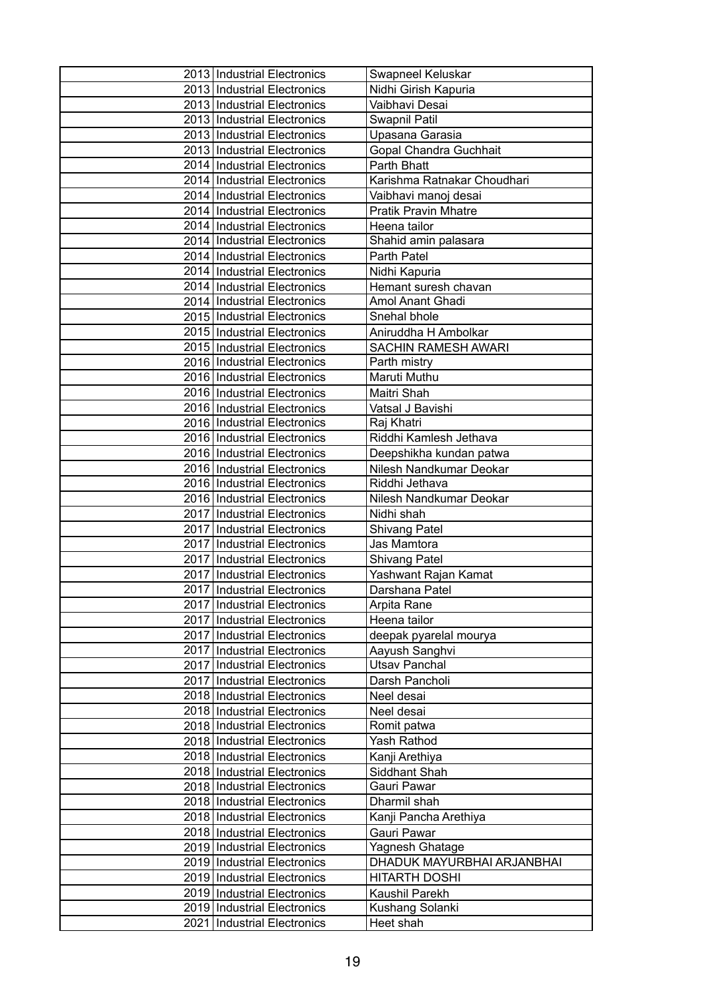| 2013 Industrial Electronics                                  | Swapneel Keluskar            |
|--------------------------------------------------------------|------------------------------|
| 2013 Industrial Electronics                                  | Nidhi Girish Kapuria         |
| 2013 Industrial Electronics                                  | Vaibhavi Desai               |
| 2013 Industrial Electronics                                  | Swapnil Patil                |
| 2013 Industrial Electronics                                  | Upasana Garasia              |
| 2013 Industrial Electronics                                  | Gopal Chandra Guchhait       |
| 2014   Industrial Electronics                                | Parth Bhatt                  |
| 2014   Industrial Electronics                                | Karishma Ratnakar Choudhari  |
| 2014 Industrial Electronics                                  | Vaibhavi manoj desai         |
| 2014 Industrial Electronics                                  | <b>Pratik Pravin Mhatre</b>  |
| 2014 Industrial Electronics                                  | Heena tailor                 |
| 2014 Industrial Electronics                                  | Shahid amin palasara         |
| 2014   Industrial Electronics                                | Parth Patel                  |
| 2014 Industrial Electronics                                  | Nidhi Kapuria                |
| 2014 Industrial Electronics                                  | Hemant suresh chavan         |
| 2014 Industrial Electronics                                  | Amol Anant Ghadi             |
| 2015 Industrial Electronics                                  | Snehal bhole                 |
| 2015 Industrial Electronics                                  | Aniruddha H Ambolkar         |
| 2015 Industrial Electronics                                  | SACHIN RAMESH AWARI          |
| 2016 Industrial Electronics                                  | Parth mistry                 |
| 2016 Industrial Electronics                                  | Maruti Muthu                 |
| 2016 Industrial Electronics                                  | Maitri Shah                  |
| 2016 Industrial Electronics                                  | Vatsal J Bavishi             |
| 2016   Industrial Electronics                                | Raj Khatri                   |
| 2016 Industrial Electronics                                  | Riddhi Kamlesh Jethava       |
| 2016 Industrial Electronics                                  | Deepshikha kundan patwa      |
| 2016 Industrial Electronics                                  | Nilesh Nandkumar Deokar      |
| 2016 Industrial Electronics                                  | Riddhi Jethava               |
| 2016 Industrial Electronics                                  | Nilesh Nandkumar Deokar      |
| 2017 Industrial Electronics                                  | Nidhi shah                   |
| 2017 Industrial Electronics                                  | <b>Shivang Patel</b>         |
| 2017   Industrial Electronics                                | Jas Mamtora                  |
| 2017   Industrial Electronics                                | <b>Shivang Patel</b>         |
| 2017 Industrial Electronics                                  | Yashwant Rajan Kamat         |
| 2017 Industrial Electronics                                  | Darshana Patel               |
| 2017   Industrial Electronics                                | Arpita Rane                  |
| 2017   Industrial Electronics                                | Heena tailor                 |
| 2017 Industrial Electronics                                  | deepak pyarelal mourya       |
| 2017   Industrial Electronics                                | Aayush Sanghvi               |
| 2017 Industrial Electronics                                  | <b>Utsav Panchal</b>         |
| 2017 Industrial Electronics                                  | Darsh Pancholi               |
| 2018 Industrial Electronics                                  | Neel desai                   |
| 2018 Industrial Electronics                                  | Neel desai                   |
| 2018 Industrial Electronics                                  | Romit patwa                  |
| 2018   Industrial Electronics                                | Yash Rathod                  |
| 2018   Industrial Electronics                                | Kanji Arethiya               |
| 2018   Industrial Electronics                                | Siddhant Shah<br>Gauri Pawar |
| 2018   Industrial Electronics                                | Dharmil shah                 |
| 2018   Industrial Electronics<br>2018 Industrial Electronics | Kanji Pancha Arethiya        |
| 2018 Industrial Electronics                                  | Gauri Pawar                  |
| 2019 Industrial Electronics                                  | Yagnesh Ghatage              |
| 2019 Industrial Electronics                                  | DHADUK MAYURBHAI ARJANBHAI   |
| 2019 Industrial Electronics                                  | <b>HITARTH DOSHI</b>         |
| 2019 Industrial Electronics                                  | Kaushil Parekh               |
| 2019 Industrial Electronics                                  | Kushang Solanki              |
| 2021   Industrial Electronics                                | Heet shah                    |
|                                                              |                              |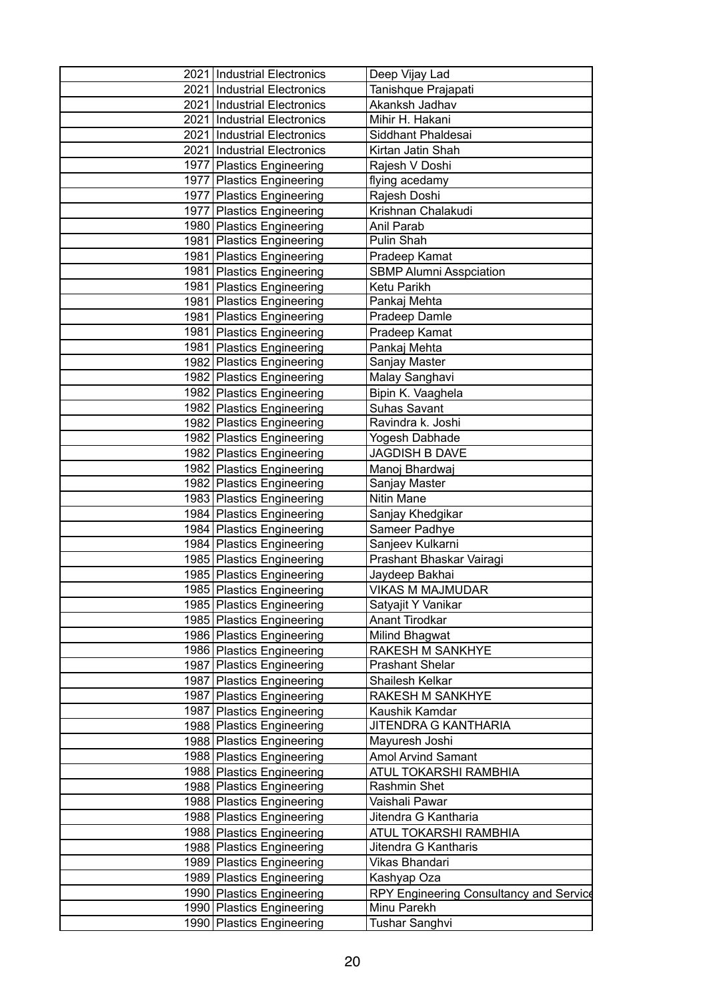| 2021 Industrial Electronics   | Deep Vijay Lad                          |
|-------------------------------|-----------------------------------------|
| 2021 Industrial Electronics   | Tanishque Prajapati                     |
| 2021 Industrial Electronics   | Akanksh Jadhav                          |
| 2021   Industrial Electronics | Mihir H. Hakani                         |
| 2021 Industrial Electronics   | Siddhant Phaldesai                      |
| 2021   Industrial Electronics | Kirtan Jatin Shah                       |
| 1977 Plastics Engineering     | Rajesh V Doshi                          |
| 1977   Plastics Engineering   | flying acedamy                          |
| 1977   Plastics Engineering   | Rajesh Doshi                            |
| 1977   Plastics Engineering   | Krishnan Chalakudi                      |
| 1980 Plastics Engineering     | Anil Parab                              |
| 1981   Plastics Engineering   | Pulin Shah                              |
| 1981   Plastics Engineering   | Pradeep Kamat                           |
| 1981   Plastics Engineering   | <b>SBMP Alumni Asspciation</b>          |
| 1981 Plastics Engineering     | Ketu Parikh                             |
| 1981   Plastics Engineering   | Pankaj Mehta                            |
| 1981   Plastics Engineering   | Pradeep Damle                           |
| 1981   Plastics Engineering   | Pradeep Kamat                           |
| 1981 Plastics Engineering     | Pankaj Mehta                            |
| 1982 Plastics Engineering     | Sanjay Master                           |
| 1982 Plastics Engineering     | Malay Sanghavi                          |
| 1982 Plastics Engineering     | Bipin K. Vaaghela                       |
| 1982 Plastics Engineering     | <b>Suhas Savant</b>                     |
| 1982 Plastics Engineering     | Ravindra k. Joshi                       |
| 1982 Plastics Engineering     | Yogesh Dabhade                          |
| 1982 Plastics Engineering     | <b>JAGDISH B DAVE</b>                   |
| 1982 Plastics Engineering     | Manoj Bhardwaj                          |
| 1982 Plastics Engineering     | Sanjay Master                           |
| 1983 Plastics Engineering     | Nitin Mane                              |
| 1984 Plastics Engineering     | Sanjay Khedgikar                        |
| 1984 Plastics Engineering     | Sameer Padhye                           |
| 1984 Plastics Engineering     | Sanjeev Kulkarni                        |
| 1985   Plastics Engineering   | Prashant Bhaskar Vairagi                |
| 1985 Plastics Engineering     | Jaydeep Bakhai                          |
| 1985 Plastics Engineering     | <b>VIKAS M MAJMUDAR</b>                 |
| 1985 Plastics Engineering     | Satyajit Y Vanikar                      |
| 1985 Plastics Engineering     | Anant Tirodkar                          |
| 1986   Plastics Engineering   | Milind Bhagwat                          |
| 1986 Plastics Engineering     | RAKESH M SANKHYE                        |
| 1987   Plastics Engineering   | <b>Prashant Shelar</b>                  |
| 1987   Plastics Engineering   | Shailesh Kelkar                         |
| 1987   Plastics Engineering   | RAKESH M SANKHYE                        |
| 1987 Plastics Engineering     | Kaushik Kamdar                          |
| 1988   Plastics Engineering   | JITENDRA G KANTHARIA                    |
| 1988 Plastics Engineering     | Mayuresh Joshi                          |
| 1988 Plastics Engineering     | <b>Amol Arvind Samant</b>               |
| 1988 Plastics Engineering     | ATUL TOKARSHI RAMBHIA                   |
| 1988 Plastics Engineering     | Rashmin Shet                            |
| 1988 Plastics Engineering     | Vaishali Pawar                          |
| 1988 Plastics Engineering     | Jitendra G Kantharia                    |
| 1988 Plastics Engineering     | ATUL TOKARSHI RAMBHIA                   |
| 1988 Plastics Engineering     | Jitendra G Kantharis                    |
| 1989 Plastics Engineering     | Vikas Bhandari                          |
| 1989   Plastics Engineering   | Kashyap Oza                             |
| 1990 Plastics Engineering     | RPY Engineering Consultancy and Service |
| 1990 Plastics Engineering     | Minu Parekh                             |
| 1990   Plastics Engineering   | Tushar Sanghvi                          |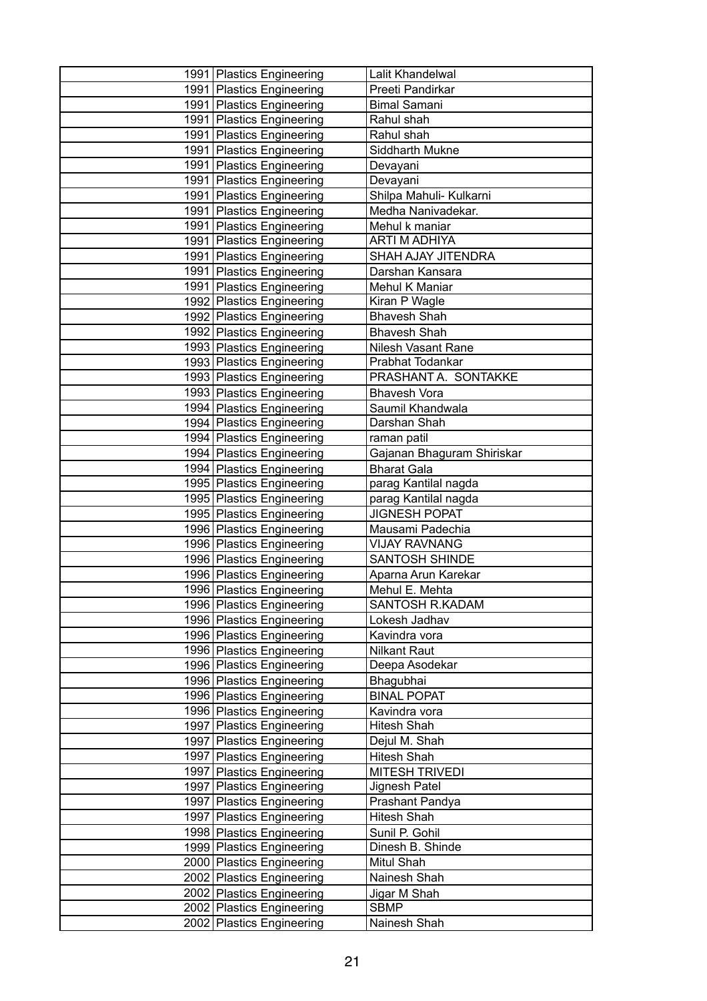| 1991   Plastics Engineering                            | Lalit Khandelwal                  |
|--------------------------------------------------------|-----------------------------------|
| 1991   Plastics Engineering                            | Preeti Pandirkar                  |
| 1991 Plastics Engineering                              | <b>Bimal Samani</b>               |
| 1991 Plastics Engineering                              | Rahul shah                        |
| 1991   Plastics Engineering                            | Rahul shah                        |
| 1991   Plastics Engineering                            | Siddharth Mukne                   |
| 1991   Plastics Engineering                            | Devayani                          |
| 1991   Plastics Engineering                            | Devayani                          |
| 1991   Plastics Engineering                            | Shilpa Mahuli- Kulkarni           |
| 1991   Plastics Engineering                            | Medha Nanivadekar.                |
| 1991   Plastics Engineering                            | Mehul k maniar                    |
| 1991   Plastics Engineering                            | ARTI M ADHIYA                     |
| 1991 Plastics Engineering                              | SHAH AJAY JITENDRA                |
| 1991 Plastics Engineering                              | Darshan Kansara                   |
| 1991 Plastics Engineering                              | Mehul K Maniar                    |
| 1992 Plastics Engineering                              | Kiran P Wagle                     |
| 1992 Plastics Engineering                              | <b>Bhavesh Shah</b>               |
| 1992 Plastics Engineering                              | <b>Bhavesh Shah</b>               |
| 1993 Plastics Engineering                              | Nilesh Vasant Rane                |
| 1993 Plastics Engineering                              | Prabhat Todankar                  |
| 1993 Plastics Engineering                              | PRASHANT A. SONTAKKE              |
| 1993 Plastics Engineering                              | <b>Bhavesh Vora</b>               |
| 1994 Plastics Engineering                              | Saumil Khandwala                  |
| 1994 Plastics Engineering                              | Darshan Shah                      |
| 1994   Plastics Engineering                            | raman patil                       |
| 1994 Plastics Engineering                              | Gajanan Bhaguram Shiriskar        |
| 1994 Plastics Engineering                              | <b>Bharat Gala</b>                |
| 1995 Plastics Engineering                              | parag Kantilal nagda              |
| 1995 Plastics Engineering                              | parag Kantilal nagda              |
| 1995   Plastics Engineering                            | <b>JIGNESH POPAT</b>              |
| 1996 Plastics Engineering                              | Mausami Padechia                  |
| 1996 Plastics Engineering                              | <b>VIJAY RAVNANG</b>              |
| 1996 Plastics Engineering                              | <b>SANTOSH SHINDE</b>             |
| 1996 Plastics Engineering                              | Aparna Arun Karekar               |
| 1996 Plastics Engineering                              | Mehul E. Mehta<br>SANTOSH R.KADAM |
| 1996 Plastics Engineering                              | Lokesh Jadhav                     |
| 1996 Plastics Engineering                              | Kavindra vora                     |
| 1996 Plastics Engineering                              |                                   |
| 1996 Plastics Engineering<br>1996 Plastics Engineering | Nilkant Raut                      |
| 1996 Plastics Engineering                              | Deepa Asodekar<br>Bhagubhai       |
| 1996 Plastics Engineering                              | <b>BINAL POPAT</b>                |
| 1996 Plastics Engineering                              | Kavindra vora                     |
| 1997   Plastics Engineering                            | Hitesh Shah                       |
| 1997   Plastics Engineering                            | Dejul M. Shah                     |
| 1997   Plastics Engineering                            | Hitesh Shah                       |
| 1997   Plastics Engineering                            | <b>MITESH TRIVEDI</b>             |
| 1997   Plastics Engineering                            | Jignesh Patel                     |
| 1997   Plastics Engineering                            | Prashant Pandya                   |
| 1997 Plastics Engineering                              | Hitesh Shah                       |
| 1998 Plastics Engineering                              | Sunil P. Gohil                    |
| 1999 Plastics Engineering                              | Dinesh B. Shinde                  |
| 2000 Plastics Engineering                              | Mitul Shah                        |
| 2002 Plastics Engineering                              | Nainesh Shah                      |
| 2002 Plastics Engineering                              | Jigar M Shah                      |
| 2002 Plastics Engineering                              | <b>SBMP</b>                       |
| 2002 Plastics Engineering                              | Nainesh Shah                      |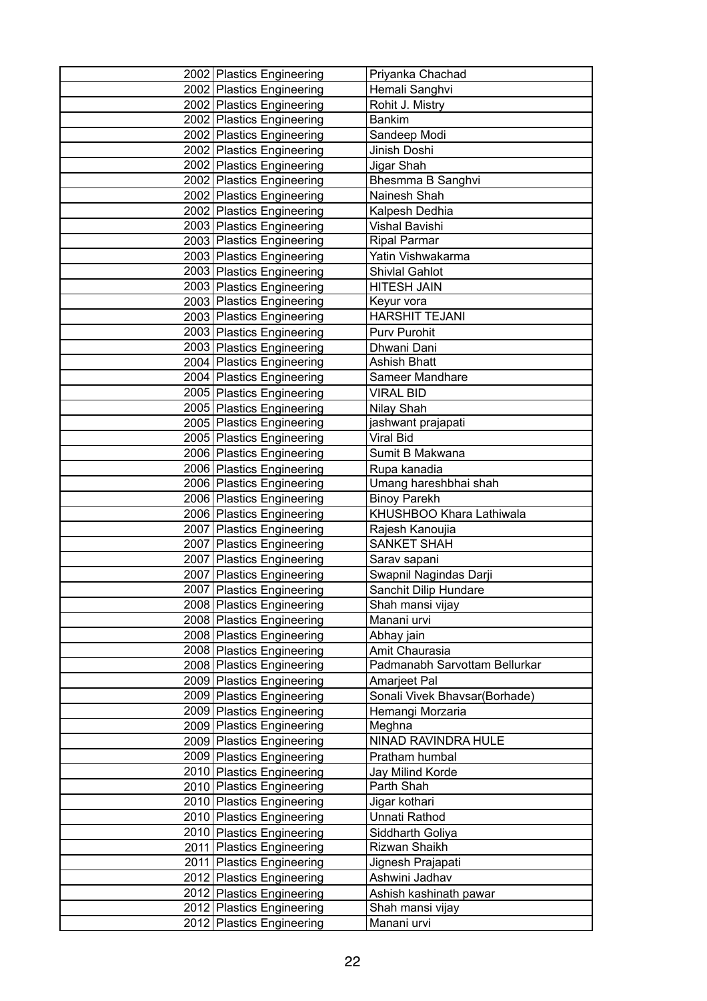| 2002 Plastics Engineering                              | Priyanka Chachad               |
|--------------------------------------------------------|--------------------------------|
| 2002 Plastics Engineering                              | Hemali Sanghvi                 |
| 2002 Plastics Engineering                              | Rohit J. Mistry                |
| 2002 Plastics Engineering                              | <b>Bankim</b>                  |
| 2002 Plastics Engineering                              | Sandeep Modi                   |
| 2002 Plastics Engineering                              | Jinish Doshi                   |
| 2002 Plastics Engineering                              | Jigar Shah                     |
| 2002 Plastics Engineering                              | Bhesmma B Sanghvi              |
| 2002 Plastics Engineering                              | Nainesh Shah                   |
| 2002 Plastics Engineering                              | Kalpesh Dedhia                 |
| 2003 Plastics Engineering                              | Vishal Bavishi                 |
| 2003 Plastics Engineering                              | <b>Ripal Parmar</b>            |
| 2003 Plastics Engineering                              | Yatin Vishwakarma              |
| 2003 Plastics Engineering                              | Shivlal Gahlot                 |
| 2003 Plastics Engineering                              | <b>HITESH JAIN</b>             |
| 2003 Plastics Engineering                              | Keyur vora                     |
| 2003 Plastics Engineering                              | <b>HARSHIT TEJANI</b>          |
| 2003 Plastics Engineering                              | Purv Purohit                   |
| 2003 Plastics Engineering                              | Dhwani Dani                    |
| 2004 Plastics Engineering                              | <b>Ashish Bhatt</b>            |
| 2004 Plastics Engineering                              | Sameer Mandhare                |
| 2005   Plastics Engineering                            | <b>VIRAL BID</b>               |
| 2005 Plastics Engineering                              | Nilay Shah                     |
| 2005 Plastics Engineering                              | jashwant prajapati             |
| 2005   Plastics Engineering                            | Viral Bid                      |
| 2006 Plastics Engineering                              | Sumit B Makwana                |
| 2006 Plastics Engineering                              | Rupa kanadia                   |
| 2006 Plastics Engineering                              | Umang hareshbhai shah          |
| 2006 Plastics Engineering                              | <b>Binoy Parekh</b>            |
| 2006 Plastics Engineering                              | KHUSHBOO Khara Lathiwala       |
| 2007 Plastics Engineering                              | Rajesh Kanoujia                |
| 2007 Plastics Engineering                              | <b>SANKET SHAH</b>             |
| 2007 Plastics Engineering                              | Sarav sapani                   |
| 2007   Plastics Engineering                            | Swapnil Nagindas Darji         |
| 2007 Plastics Engineering                              | Sanchit Dilip Hundare          |
| 2008 Plastics Engineering                              | Shah mansi vijay               |
| 2008 Plastics Engineering                              | Manani urvi                    |
| 2008 Plastics Engineering                              | Abhay jain                     |
| 2008 Plastics Engineering                              | Amit Chaurasia                 |
| 2008 Plastics Engineering                              | Padmanabh Sarvottam Bellurkar  |
| 2009   Plastics Engineering                            | Amarjeet Pal                   |
| 2009 Plastics Engineering                              | Sonali Vivek Bhavsar(Borhade)  |
| 2009 Plastics Engineering                              | Hemangi Morzaria               |
| 2009 Plastics Engineering<br>2009 Plastics Engineering | Meghna<br>NINAD RAVINDRA HULE  |
| 2009 Plastics Engineering                              | Pratham humbal                 |
| 2010 Plastics Engineering                              |                                |
| 2010 Plastics Engineering                              | Jay Milind Korde<br>Parth Shah |
| 2010 Plastics Engineering                              | Jigar kothari                  |
| 2010   Plastics Engineering                            | Unnati Rathod                  |
| 2010 Plastics Engineering                              | Siddharth Goliya               |
| 2011   Plastics Engineering                            | Rizwan Shaikh                  |
| 2011   Plastics Engineering                            | Jignesh Prajapati              |
| 2012 Plastics Engineering                              | Ashwini Jadhav                 |
| 2012 Plastics Engineering                              | Ashish kashinath pawar         |
| 2012   Plastics Engineering                            | Shah mansi vijay               |
| 2012 Plastics Engineering                              | Manani urvi                    |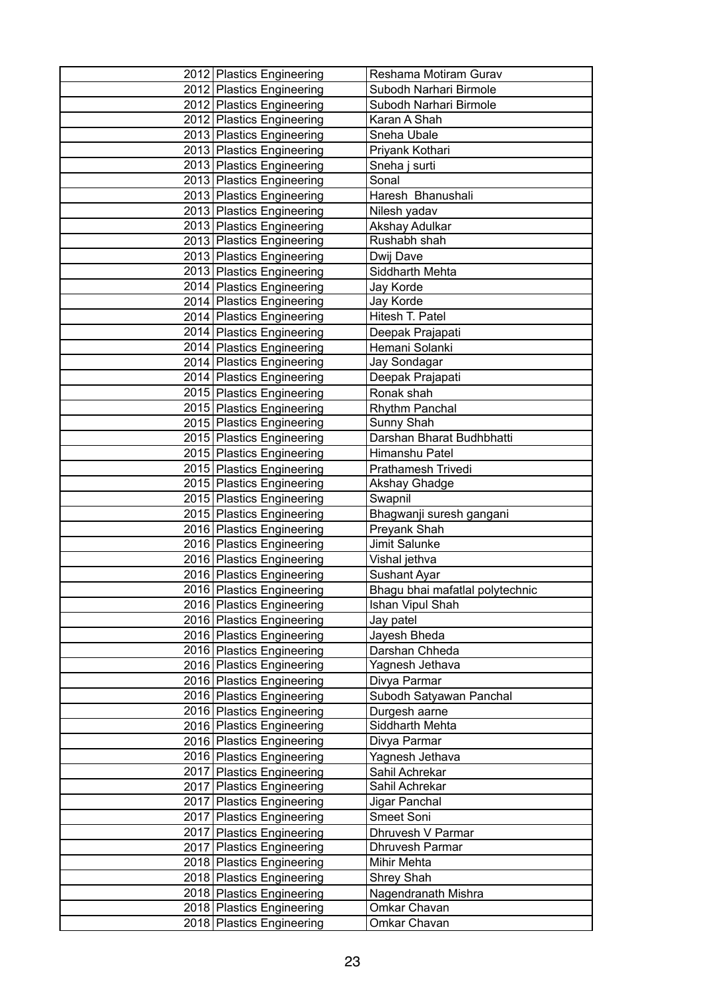| 2012 Plastics Engineering                              | Reshama Motiram Gurav           |
|--------------------------------------------------------|---------------------------------|
| 2012 Plastics Engineering                              | Subodh Narhari Birmole          |
| 2012 Plastics Engineering                              | Subodh Narhari Birmole          |
| 2012 Plastics Engineering                              | Karan A Shah                    |
| 2013 Plastics Engineering                              | Sneha Ubale                     |
| 2013 Plastics Engineering                              | Priyank Kothari                 |
| 2013 Plastics Engineering                              | Sneha j surti                   |
| 2013 Plastics Engineering                              | Sonal                           |
| 2013 Plastics Engineering                              | Haresh Bhanushali               |
| 2013 Plastics Engineering                              | Nilesh yadav                    |
| 2013 Plastics Engineering                              | Akshay Adulkar                  |
| 2013 Plastics Engineering                              | Rushabh shah                    |
| 2013 Plastics Engineering                              | Dwij Dave                       |
| 2013 Plastics Engineering                              | Siddharth Mehta                 |
| 2014 Plastics Engineering                              | Jay Korde                       |
| 2014 Plastics Engineering                              | Jay Korde                       |
| 2014   Plastics Engineering                            | Hitesh T. Patel                 |
| 2014 Plastics Engineering                              | Deepak Prajapati                |
| 2014 Plastics Engineering                              | Hemani Solanki                  |
| 2014 Plastics Engineering                              | Jay Sondagar                    |
| 2014   Plastics Engineering                            | Deepak Prajapati                |
| 2015 Plastics Engineering                              | Ronak shah                      |
| 2015 Plastics Engineering                              | <b>Rhythm Panchal</b>           |
| 2015 Plastics Engineering                              | Sunny Shah                      |
| 2015   Plastics Engineering                            | Darshan Bharat Budhbhatti       |
| 2015 Plastics Engineering                              | Himanshu Patel                  |
| 2015 Plastics Engineering                              | Prathamesh Trivedi              |
| 2015   Plastics Engineering                            | <b>Akshay Ghadge</b>            |
| 2015 Plastics Engineering                              | Swapnil                         |
| 2015 Plastics Engineering                              | Bhagwanji suresh gangani        |
| 2016 Plastics Engineering<br>2016 Plastics Engineering | Preyank Shah<br>Jimit Salunke   |
| 2016 Plastics Engineering                              | Vishal jethva                   |
| 2016 Plastics Engineering                              | Sushant Ayar                    |
| 2016 Plastics Engineering                              | Bhagu bhai mafatlal polytechnic |
| 2016   Plastics Engineering                            | Ishan Vipul Shah                |
| 2016 Plastics Engineering                              | Jay patel                       |
| 2016 Plastics Engineering                              | Jayesh Bheda                    |
| 2016 Plastics Engineering                              | Darshan Chheda                  |
| 2016 Plastics Engineering                              | Yagnesh Jethava                 |
| 2016   Plastics Engineering                            | Divya Parmar                    |
| 2016 Plastics Engineering                              | Subodh Satyawan Panchal         |
| 2016 Plastics Engineering                              | Durgesh aarne                   |
| 2016 Plastics Engineering                              | Siddharth Mehta                 |
| 2016 Plastics Engineering                              | Divya Parmar                    |
| 2016 Plastics Engineering                              | Yagnesh Jethava                 |
| 2017 Plastics Engineering                              | Sahil Achrekar                  |
| 2017   Plastics Engineering                            | Sahil Achrekar                  |
| 2017   Plastics Engineering                            | Jigar Panchal                   |
| 2017   Plastics Engineering                            | Smeet Soni                      |
| 2017 Plastics Engineering                              | Dhruvesh V Parmar               |
| 2017   Plastics Engineering                            | Dhruvesh Parmar                 |
| 2018 Plastics Engineering                              | Mihir Mehta                     |
| 2018 Plastics Engineering                              | Shrey Shah                      |
| 2018 Plastics Engineering                              | Nagendranath Mishra             |
| 2018 Plastics Engineering                              | Omkar Chavan                    |
| 2018 Plastics Engineering                              | Omkar Chavan                    |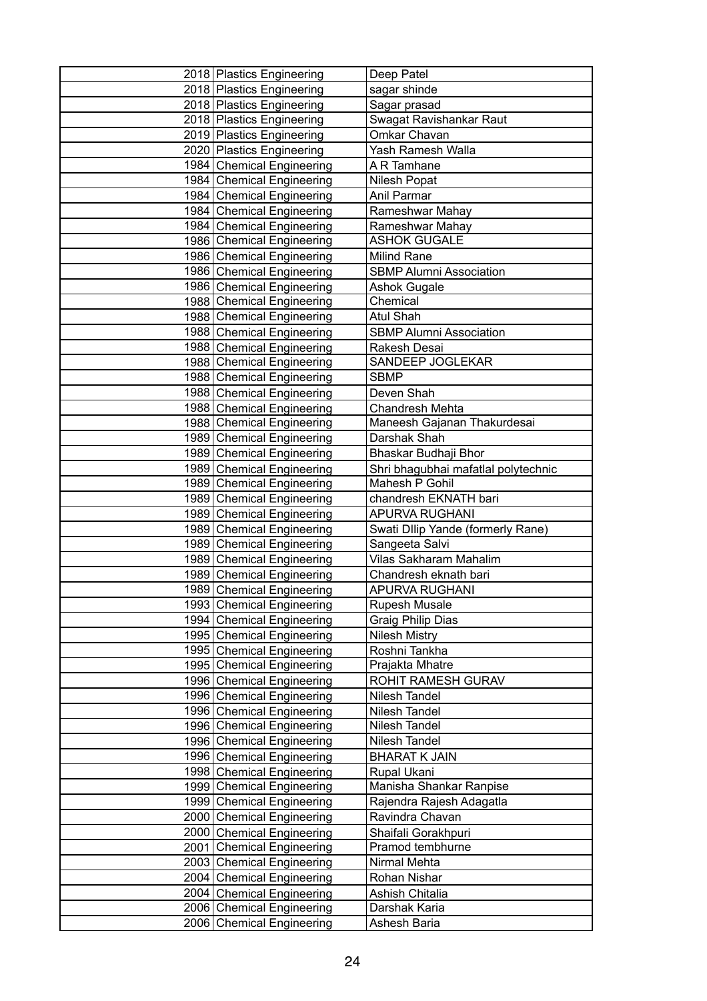| 2018 Plastics Engineering                              | Deep Patel                             |
|--------------------------------------------------------|----------------------------------------|
| 2018 Plastics Engineering                              | sagar shinde                           |
| 2018 Plastics Engineering                              | Sagar prasad                           |
| 2018 Plastics Engineering                              | Swagat Ravishankar Raut                |
| 2019 Plastics Engineering                              | Omkar Chavan                           |
| 2020   Plastics Engineering                            | Yash Ramesh Walla                      |
| 1984 Chemical Engineering                              | A R Tamhane                            |
| 1984 Chemical Engineering                              | Nilesh Popat                           |
| 1984 Chemical Engineering                              | Anil Parmar                            |
| 1984 Chemical Engineering                              | Rameshwar Mahay                        |
| 1984 Chemical Engineering                              | Rameshwar Mahay                        |
| 1986 Chemical Engineering                              | <b>ASHOK GUGALE</b>                    |
| 1986 Chemical Engineering                              | <b>Milind Rane</b>                     |
| 1986 Chemical Engineering                              | <b>SBMP Alumni Association</b>         |
| 1986 Chemical Engineering                              | Ashok Gugale                           |
| 1988 Chemical Engineering                              | Chemical                               |
| 1988 Chemical Engineering                              | <b>Atul Shah</b>                       |
| 1988 Chemical Engineering                              | <b>SBMP Alumni Association</b>         |
| 1988 Chemical Engineering                              | Rakesh Desai                           |
| 1988 Chemical Engineering                              | SANDEEP JOGLEKAR                       |
| 1988 Chemical Engineering                              | <b>SBMP</b>                            |
| 1988 Chemical Engineering                              | Deven Shah                             |
| 1988 Chemical Engineering                              | Chandresh Mehta                        |
| 1988 Chemical Engineering                              | Maneesh Gajanan Thakurdesai            |
| 1989 Chemical Engineering                              | Darshak Shah                           |
| 1989 Chemical Engineering                              | Bhaskar Budhaji Bhor                   |
| 1989 Chemical Engineering                              | Shri bhagubhai mafatlal polytechnic    |
| 1989 Chemical Engineering                              | Mahesh P Gohil                         |
| 1989 Chemical Engineering                              | chandresh EKNATH bari                  |
| 1989 Chemical Engineering                              | APURVA RUGHANI                         |
| 1989 Chemical Engineering                              | Swati Dllip Yande (formerly Rane)      |
| 1989 Chemical Engineering                              | Sangeeta Salvi                         |
| 1989 Chemical Engineering                              | <b>Vilas Sakharam Mahalim</b>          |
| 1989 Chemical Engineering                              | Chandresh eknath bari                  |
| 1989 Chemical Engineering<br>1993 Chemical Engineering | <b>APURVA RUGHANI</b><br>Rupesh Musale |
| 1994 Chemical Engineering                              | Graig Philip Dias                      |
| 1995 Chemical Engineering                              | <b>Nilesh Mistry</b>                   |
| 1995 Chemical Engineering                              | Roshni Tankha                          |
| 1995 Chemical Engineering                              | Prajakta Mhatre                        |
| 1996 Chemical Engineering                              | ROHIT RAMESH GURAV                     |
| 1996 Chemical Engineering                              | Nilesh Tandel                          |
| 1996 Chemical Engineering                              | Nilesh Tandel                          |
| 1996 Chemical Engineering                              | Nilesh Tandel                          |
| 1996 Chemical Engineering                              | Nilesh Tandel                          |
| 1996 Chemical Engineering                              | <b>BHARAT K JAIN</b>                   |
| 1998 Chemical Engineering                              | Rupal Ukani                            |
| 1999 Chemical Engineering                              | Manisha Shankar Ranpise                |
| 1999 Chemical Engineering                              | Rajendra Rajesh Adagatla               |
| 2000 Chemical Engineering                              | Ravindra Chavan                        |
| 2000 Chemical Engineering                              | Shaifali Gorakhpuri                    |
| 2001 Chemical Engineering                              | Pramod tembhurne                       |
| 2003 Chemical Engineering                              | Nirmal Mehta                           |
| 2004 Chemical Engineering                              | Rohan Nishar                           |
| 2004 Chemical Engineering                              | Ashish Chitalia                        |
| 2006 Chemical Engineering                              | Darshak Karia                          |
| 2006 Chemical Engineering                              | Ashesh Baria                           |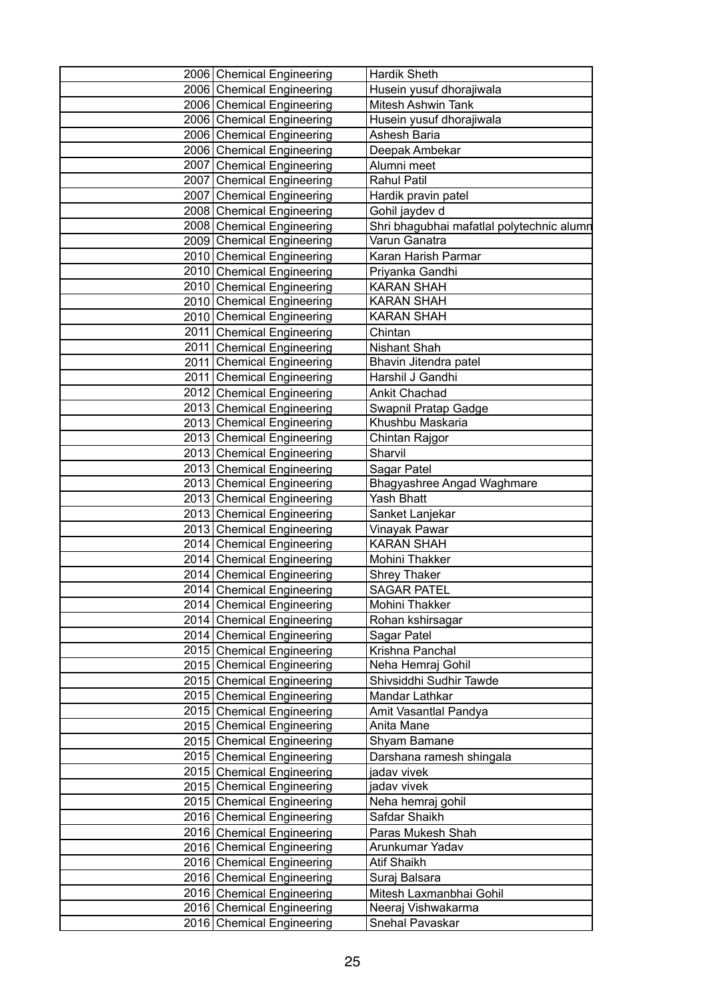| 2006 Chemical Engineering | <b>Hardik Sheth</b>                       |  |
|---------------------------|-------------------------------------------|--|
| 2006 Chemical Engineering | Husein yusuf dhorajiwala                  |  |
| 2006 Chemical Engineering | <b>Mitesh Ashwin Tank</b>                 |  |
| 2006 Chemical Engineering | Husein yusuf dhorajiwala                  |  |
| 2006 Chemical Engineering | Ashesh Baria                              |  |
| 2006 Chemical Engineering | Deepak Ambekar                            |  |
| 2007 Chemical Engineering | Alumni meet                               |  |
| 2007 Chemical Engineering | <b>Rahul Patil</b>                        |  |
| 2007 Chemical Engineering | Hardik pravin patel                       |  |
| 2008 Chemical Engineering | Gohil jaydev d                            |  |
| 2008 Chemical Engineering | Shri bhagubhai mafatlal polytechnic alumn |  |
| 2009 Chemical Engineering | Varun Ganatra                             |  |
| 2010 Chemical Engineering | Karan Harish Parmar                       |  |
| 2010 Chemical Engineering | Priyanka Gandhi                           |  |
| 2010 Chemical Engineering | <b>KARAN SHAH</b>                         |  |
| 2010 Chemical Engineering | <b>KARAN SHAH</b>                         |  |
| 2010 Chemical Engineering | <b>KARAN SHAH</b>                         |  |
| 2011 Chemical Engineering | Chintan                                   |  |
| 2011 Chemical Engineering | Nishant Shah                              |  |
| 2011 Chemical Engineering | Bhavin Jitendra patel                     |  |
| 2011 Chemical Engineering | Harshil J Gandhi                          |  |
| 2012 Chemical Engineering | <b>Ankit Chachad</b>                      |  |
| 2013 Chemical Engineering | Swapnil Pratap Gadge                      |  |
| 2013 Chemical Engineering | Khushbu Maskaria                          |  |
| 2013 Chemical Engineering | Chintan Rajgor                            |  |
| 2013 Chemical Engineering | Sharvil                                   |  |
| 2013 Chemical Engineering | Sagar Patel                               |  |
| 2013 Chemical Engineering | Bhagyashree Angad Waghmare                |  |
| 2013 Chemical Engineering | <b>Yash Bhatt</b>                         |  |
| 2013 Chemical Engineering | Sanket Lanjekar                           |  |
| 2013 Chemical Engineering | Vinayak Pawar                             |  |
| 2014 Chemical Engineering | <b>KARAN SHAH</b>                         |  |
| 2014 Chemical Engineering | Mohini Thakker                            |  |
| 2014 Chemical Engineering | <b>Shrey Thaker</b>                       |  |
| 2014 Chemical Engineering | <b>SAGAR PATEL</b>                        |  |
| 2014 Chemical Engineering | Mohini Thakker                            |  |
| 2014 Chemical Engineering | Rohan kshirsagar                          |  |
| 2014 Chemical Engineering | Sagar Patel                               |  |
| 2015 Chemical Engineering | Krishna Panchal                           |  |
| 2015 Chemical Engineering | Neha Hemraj Gohil                         |  |
| 2015 Chemical Engineering | Shivsiddhi Sudhir Tawde                   |  |
| 2015 Chemical Engineering | Mandar Lathkar                            |  |
| 2015 Chemical Engineering | Amit Vasantlal Pandya                     |  |
| 2015 Chemical Engineering | Anita Mane                                |  |
| 2015 Chemical Engineering | Shyam Bamane                              |  |
| 2015 Chemical Engineering | Darshana ramesh shingala                  |  |
| 2015 Chemical Engineering | jadav vivek                               |  |
| 2015 Chemical Engineering | jadav vivek                               |  |
| 2015 Chemical Engineering | Neha hemraj gohil                         |  |
| 2016 Chemical Engineering | Safdar Shaikh                             |  |
| 2016 Chemical Engineering | Paras Mukesh Shah                         |  |
| 2016 Chemical Engineering | Arunkumar Yadav                           |  |
| 2016 Chemical Engineering | Atif Shaikh                               |  |
| 2016 Chemical Engineering | Suraj Balsara                             |  |
| 2016 Chemical Engineering | Mitesh Laxmanbhai Gohil                   |  |
| 2016 Chemical Engineering | Neeraj Vishwakarma                        |  |
| 2016 Chemical Engineering | Snehal Pavaskar                           |  |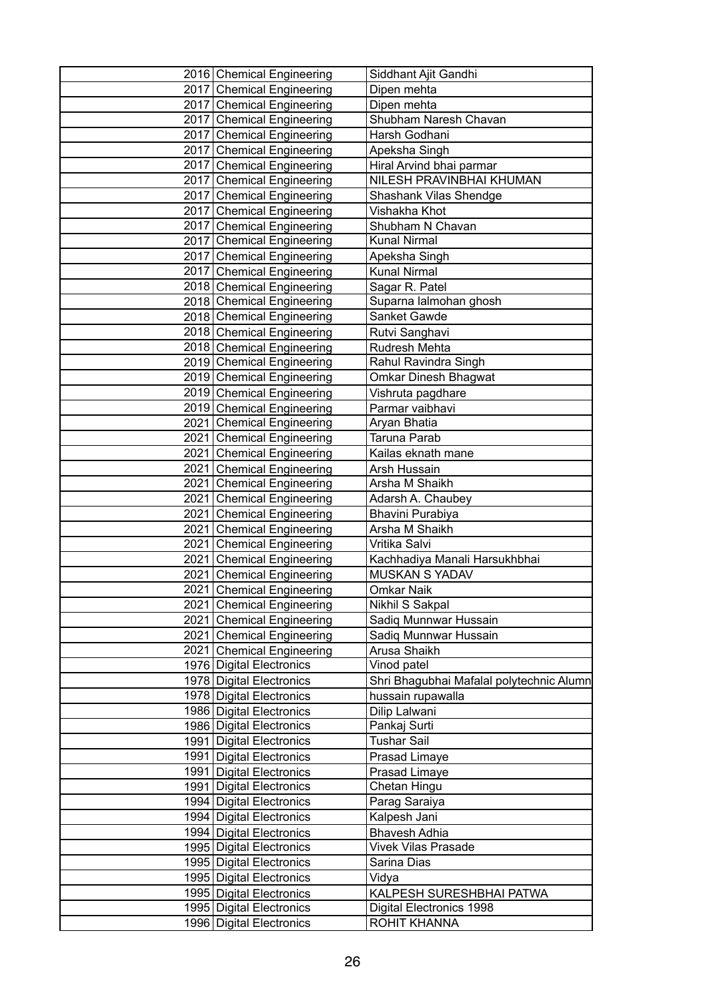|      | 2016 Chemical Engineering   | Siddhant Ajit Gandhi                     |
|------|-----------------------------|------------------------------------------|
|      | 2017 Chemical Engineering   | Dipen mehta                              |
|      | 2017 Chemical Engineering   | Dipen mehta                              |
|      | 2017 Chemical Engineering   | Shubham Naresh Chavan                    |
|      | 2017 Chemical Engineering   | Harsh Godhani                            |
|      | 2017 Chemical Engineering   | Apeksha Singh                            |
|      | 2017 Chemical Engineering   | Hiral Arvind bhai parmar                 |
|      | 2017 Chemical Engineering   | NILESH PRAVINBHAI KHUMAN                 |
|      | 2017 Chemical Engineering   | Shashank Vilas Shendge                   |
|      | 2017 Chemical Engineering   | Vishakha Khot                            |
|      | 2017 Chemical Engineering   | Shubham N Chavan                         |
|      | 2017 Chemical Engineering   | <b>Kunal Nirmal</b>                      |
|      | 2017 Chemical Engineering   | Apeksha Singh                            |
|      | 2017 Chemical Engineering   | <b>Kunal Nirmal</b>                      |
|      | 2018 Chemical Engineering   | Sagar R. Patel                           |
|      | 2018 Chemical Engineering   | Suparna lalmohan ghosh                   |
|      | 2018 Chemical Engineering   | Sanket Gawde                             |
|      | 2018 Chemical Engineering   | Rutvi Sanghavi                           |
|      | 2018 Chemical Engineering   | Rudresh Mehta                            |
|      | 2019 Chemical Engineering   | Rahul Ravindra Singh                     |
|      | 2019 Chemical Engineering   | Omkar Dinesh Bhagwat                     |
|      | 2019 Chemical Engineering   | Vishruta pagdhare                        |
|      | 2019 Chemical Engineering   | Parmar vaibhavi                          |
|      | 2021 Chemical Engineering   | Aryan Bhatia                             |
|      | 2021 Chemical Engineering   | Taruna Parab                             |
|      | 2021 Chemical Engineering   | Kailas eknath mane                       |
|      | 2021 Chemical Engineering   | Arsh Hussain                             |
|      | 2021 Chemical Engineering   | Arsha M Shaikh                           |
|      | 2021 Chemical Engineering   | Adarsh A. Chaubey                        |
|      | 2021 Chemical Engineering   | Bhavini Purabiya                         |
| 2021 | <b>Chemical Engineering</b> | Arsha M Shaikh                           |
| 2021 | <b>Chemical Engineering</b> | Vritika Salvi                            |
|      | 2021 Chemical Engineering   | Kachhadiya Manali Harsukhbhai            |
|      | 2021 Chemical Engineering   | <b>MUSKAN S YADAV</b>                    |
|      | 2021 Chemical Engineering   | <b>Omkar Naik</b>                        |
|      | 2021 Chemical Engineering   | Nikhil S Sakpal                          |
|      | 2021 Chemical Engineering   | Sadiq Munnwar Hussain                    |
|      | 2021 Chemical Engineering   | Sadiq Munnwar Hussain                    |
|      | 2021 Chemical Engineering   | Arusa Shaikh                             |
|      | 1976 Digital Electronics    | Vinod patel                              |
|      | 1978 Digital Electronics    | Shri Bhagubhai Mafalal polytechnic Alumn |
|      | 1978 Digital Electronics    | hussain rupawalla                        |
|      | 1986 Digital Electronics    | Dilip Lalwani                            |
|      | 1986 Digital Electronics    | Pankaj Surti                             |
|      | 1991   Digital Electronics  | Tushar Sail                              |
|      | 1991   Digital Electronics  | Prasad Limaye                            |
|      | 1991   Digital Electronics  | Prasad Limaye                            |
|      | 1991   Digital Electronics  | Chetan Hingu                             |
|      | 1994 Digital Electronics    | Parag Saraiya                            |
|      | 1994 Digital Electronics    | Kalpesh Jani                             |
|      | 1994 Digital Electronics    | <b>Bhavesh Adhia</b>                     |
|      | 1995 Digital Electronics    | Vivek Vilas Prasade                      |
|      | 1995 Digital Electronics    | Sarina Dias                              |
|      | 1995 Digital Electronics    | Vidya                                    |
|      | 1995 Digital Electronics    | KALPESH SURESHBHAI PATWA                 |
|      | 1995   Digital Electronics  | Digital Electronics 1998                 |
|      | 1996 Digital Electronics    | ROHIT KHANNA                             |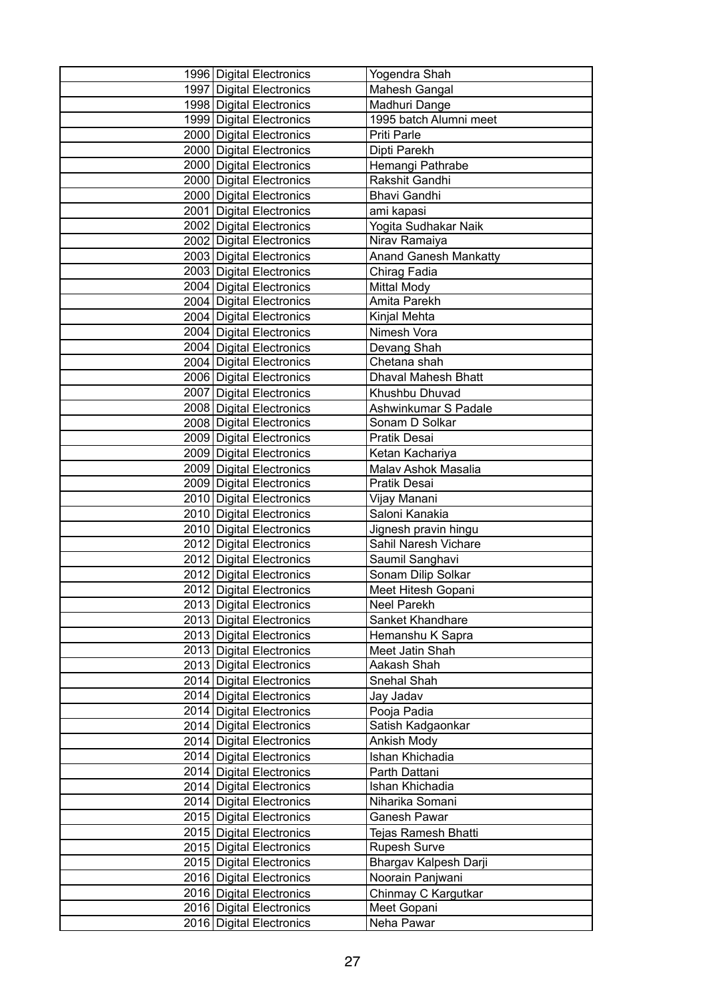| 1996 Digital Electronics   | Yogendra Shah                |
|----------------------------|------------------------------|
| 1997 Digital Electronics   | Mahesh Gangal                |
| 1998 Digital Electronics   | Madhuri Dange                |
| 1999 Digital Electronics   | 1995 batch Alumni meet       |
| 2000 Digital Electronics   | Priti Parle                  |
| 2000 Digital Electronics   | Dipti Parekh                 |
| 2000 Digital Electronics   | Hemangi Pathrabe             |
| 2000 Digital Electronics   | Rakshit Gandhi               |
| 2000 Digital Electronics   | <b>Bhavi Gandhi</b>          |
| 2001 Digital Electronics   | ami kapasi                   |
| 2002 Digital Electronics   | Yogita Sudhakar Naik         |
| 2002 Digital Electronics   | Nirav Ramaiya                |
| 2003   Digital Electronics | <b>Anand Ganesh Mankatty</b> |
| 2003 Digital Electronics   | Chirag Fadia                 |
| 2004 Digital Electronics   | <b>Mittal Mody</b>           |
| 2004   Digital Electronics | Amita Parekh                 |
| 2004   Digital Electronics | Kinjal Mehta                 |
| 2004 Digital Electronics   | Nimesh Vora                  |
| 2004 Digital Electronics   | Devang Shah                  |
| 2004   Digital Electronics | Chetana shah                 |
| 2006   Digital Electronics | <b>Dhaval Mahesh Bhatt</b>   |
| 2007 Digital Electronics   | Khushbu Dhuvad               |
| 2008 Digital Electronics   | Ashwinkumar S Padale         |
| 2008   Digital Electronics | Sonam D Solkar               |
| 2009 Digital Electronics   | Pratik Desai                 |
| 2009 Digital Electronics   | Ketan Kachariya              |
| 2009 Digital Electronics   | Malav Ashok Masalia          |
| 2009 Digital Electronics   | Pratik Desai                 |
| 2010 Digital Electronics   | Vijay Manani                 |
| 2010 Digital Electronics   | Saloni Kanakia               |
| 2010 Digital Electronics   | Jignesh pravin hingu         |
| 2012 Digital Electronics   | Sahil Naresh Vichare         |
| 2012 Digital Electronics   | Saumil Sanghavi              |
| 2012 Digital Electronics   | Sonam Dilip Solkar           |
| 2012 Digital Electronics   | Meet Hitesh Gopani           |
| 2013 Digital Electronics   | Neel Parekh                  |
| 2013 Digital Electronics   | Sanket Khandhare             |
| 2013 Digital Electronics   | Hemanshu K Sapra             |
| 2013 Digital Electronics   | Meet Jatin Shah              |
| 2013 Digital Electronics   | Aakash Shah                  |
| 2014   Digital Electronics | Snehal Shah                  |
| 2014 Digital Electronics   | Jay Jadav                    |
| 2014 Digital Electronics   | Pooja Padia                  |
| 2014 Digital Electronics   | Satish Kadgaonkar            |
| 2014 Digital Electronics   | Ankish Mody                  |
| 2014 Digital Electronics   | Ishan Khichadia              |
| 2014 Digital Electronics   | Parth Dattani                |
| 2014 Digital Electronics   | Ishan Khichadia              |
| 2014   Digital Electronics | Niharika Somani              |
| 2015 Digital Electronics   | Ganesh Pawar                 |
| 2015   Digital Electronics | Tejas Ramesh Bhatti          |
| 2015   Digital Electronics | Rupesh Surve                 |
| 2015 Digital Electronics   | Bhargav Kalpesh Darji        |
| 2016 Digital Electronics   | Noorain Panjwani             |
| 2016 Digital Electronics   | Chinmay C Kargutkar          |
| 2016 Digital Electronics   | Meet Gopani                  |
| 2016   Digital Electronics | Neha Pawar                   |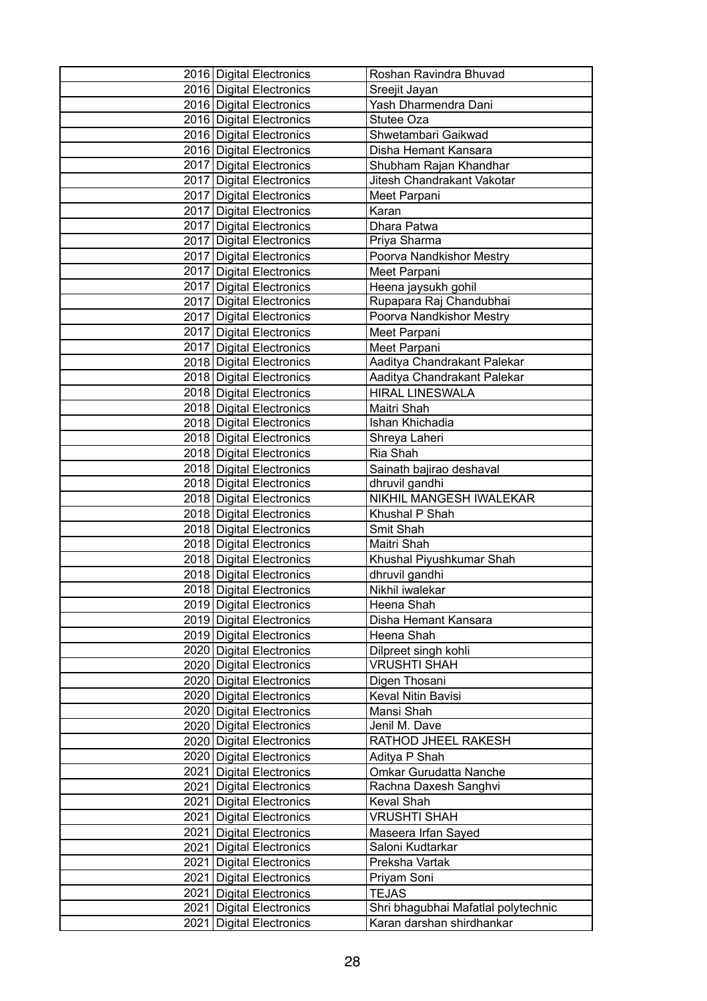| 2016 Digital Electronics   | Roshan Ravindra Bhuvad              |
|----------------------------|-------------------------------------|
| 2016 Digital Electronics   | Sreejit Jayan                       |
| 2016 Digital Electronics   | Yash Dharmendra Dani                |
| 2016   Digital Electronics | Stutee Oza                          |
| 2016 Digital Electronics   | Shwetambari Gaikwad                 |
| 2016 Digital Electronics   | Disha Hemant Kansara                |
| 2017   Digital Electronics | Shubham Rajan Khandhar              |
| 2017 Digital Electronics   | Jitesh Chandrakant Vakotar          |
| 2017 Digital Electronics   | Meet Parpani                        |
| 2017 Digital Electronics   | Karan                               |
| 2017 Digital Electronics   | Dhara Patwa                         |
| 2017 Digital Electronics   | Priya Sharma                        |
| 2017   Digital Electronics | Poorva Nandkishor Mestry            |
| 2017   Digital Electronics | Meet Parpani                        |
| 2017   Digital Electronics | Heena jaysukh gohil                 |
| 2017   Digital Electronics | Rupapara Raj Chandubhai             |
| 2017   Digital Electronics | Poorva Nandkishor Mestry            |
| 2017 Digital Electronics   | Meet Parpani                        |
| 2017 Digital Electronics   | Meet Parpani                        |
| 2018   Digital Electronics | Aaditya Chandrakant Palekar         |
| 2018 Digital Electronics   | Aaditya Chandrakant Palekar         |
| 2018 Digital Electronics   | <b>HIRAL LINESWALA</b>              |
| 2018 Digital Electronics   | Maitri Shah                         |
| 2018   Digital Electronics | Ishan Khichadia                     |
| 2018   Digital Electronics | Shreya Laheri                       |
| 2018   Digital Electronics | Ria Shah                            |
| 2018 Digital Electronics   | Sainath bajirao deshaval            |
| 2018 Digital Electronics   | dhruvil gandhi                      |
| 2018   Digital Electronics | NIKHIL MANGESH IWALEKAR             |
| 2018 Digital Electronics   | Khushal P Shah                      |
| 2018   Digital Electronics | Smit Shah                           |
| 2018 Digital Electronics   | Maitri Shah                         |
| 2018 Digital Electronics   | Khushal Piyushkumar Shah            |
| 2018 Digital Electronics   | dhruvil gandhi                      |
| 2018 Digital Electronics   | Nikhil iwalekar                     |
| 2019 Digital Electronics   | Heena Shah                          |
| 2019 Digital Electronics   | Disha Hemant Kansara                |
| 2019 Digital Electronics   | Heena Shah                          |
| 2020 Digital Electronics   | Dilpreet singh kohli                |
| 2020 Digital Electronics   | <b>VRUSHTI SHAH</b>                 |
| 2020   Digital Electronics | Digen Thosani                       |
| 2020 Digital Electronics   | Keval Nitin Bavisi                  |
| 2020 Digital Electronics   | Mansi Shah                          |
| 2020 Digital Electronics   | Jenil M. Dave                       |
| 2020 Digital Electronics   | RATHOD JHEEL RAKESH                 |
| 2020 Digital Electronics   | Aditya P Shah                       |
| 2021   Digital Electronics | Omkar Gurudatta Nanche              |
| 2021   Digital Electronics | Rachna Daxesh Sanghvi               |
| 2021   Digital Electronics | Keval Shah                          |
| 2021   Digital Electronics | <b>VRUSHTI SHAH</b>                 |
| 2021 Digital Electronics   | Maseera Irfan Sayed                 |
| 2021   Digital Electronics | Saloni Kudtarkar                    |
| 2021   Digital Electronics | Preksha Vartak                      |
| 2021 Digital Electronics   | Priyam Soni                         |
| 2021   Digital Electronics | <b>TEJAS</b>                        |
| 2021   Digital Electronics | Shri bhagubhai Mafatlal polytechnic |
| 2021   Digital Electronics | Karan darshan shirdhankar           |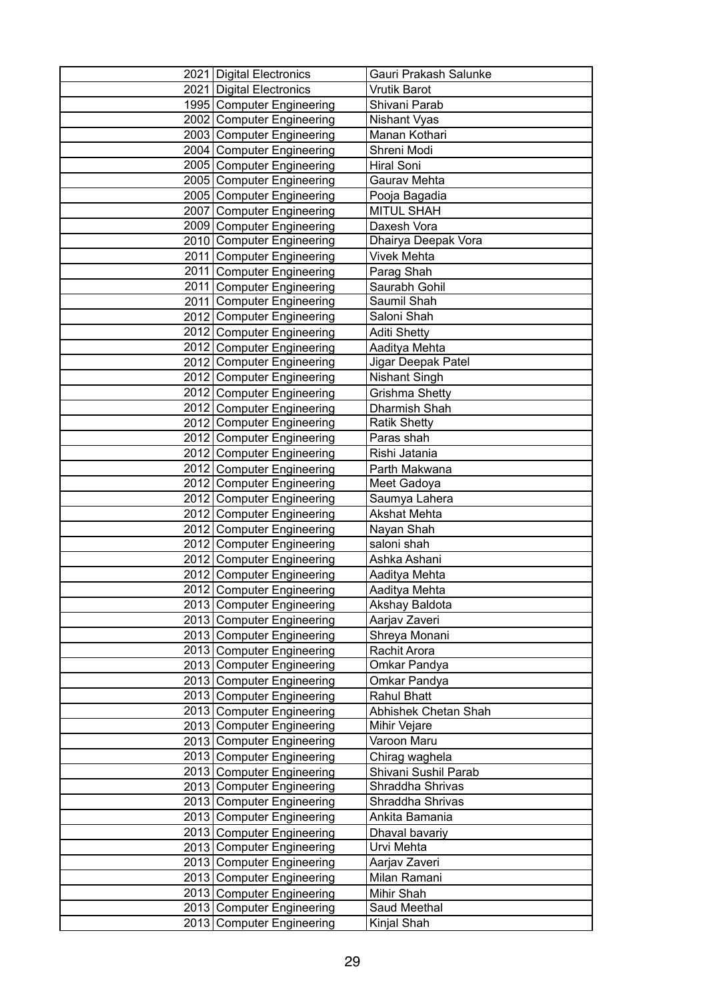| 2021   Digital Electronics                             | Gauri Prakash Salunke              |
|--------------------------------------------------------|------------------------------------|
| 2021   Digital Electronics                             | Vrutik Barot                       |
| 1995 Computer Engineering                              | Shivani Parab                      |
| 2002 Computer Engineering                              | Nishant Vyas                       |
| 2003 Computer Engineering                              | Manan Kothari                      |
| 2004 Computer Engineering                              | Shreni Modi                        |
| 2005 Computer Engineering                              | Hiral Soni                         |
| 2005 Computer Engineering                              | Gaurav Mehta                       |
| 2005 Computer Engineering                              | Pooja Bagadia                      |
| 2007 Computer Engineering                              | <b>MITUL SHAH</b>                  |
| 2009 Computer Engineering                              | Daxesh Vora                        |
| 2010 Computer Engineering                              | Dhairya Deepak Vora                |
| 2011 Computer Engineering                              | Vivek Mehta                        |
| 2011 Computer Engineering                              | Parag Shah                         |
| 2011 Computer Engineering                              | Saurabh Gohil                      |
| 2011 Computer Engineering                              | Saumil Shah                        |
| 2012 Computer Engineering                              | Saloni Shah                        |
| 2012 Computer Engineering                              | <b>Aditi Shetty</b>                |
| 2012 Computer Engineering                              | Aaditya Mehta                      |
| 2012 Computer Engineering                              | Jigar Deepak Patel                 |
| 2012 Computer Engineering                              | <b>Nishant Singh</b>               |
| 2012 Computer Engineering                              | Grishma Shetty                     |
| 2012 Computer Engineering                              | Dharmish Shah                      |
| 2012 Computer Engineering                              | <b>Ratik Shetty</b>                |
| 2012 Computer Engineering                              | Paras shah                         |
| 2012 Computer Engineering                              | Rishi Jatania                      |
| 2012 Computer Engineering                              | Parth Makwana                      |
| 2012 Computer Engineering                              | Meet Gadoya                        |
| 2012 Computer Engineering                              | Saumya Lahera                      |
| 2012 Computer Engineering                              | <b>Akshat Mehta</b>                |
| 2012 Computer Engineering                              | Nayan Shah                         |
| 2012 Computer Engineering                              | saloni shah                        |
| 2012 Computer Engineering                              | Ashka Ashani                       |
| 2012 Computer Engineering                              | Aaditya Mehta                      |
| 2012 Computer Engineering                              | Aaditya Mehta                      |
| 2013 Computer Engineering                              | Akshay Baldota                     |
| 2013 Computer Engineering                              | Aarjav Zaveri                      |
| 2013 Computer Engineering                              | Shreya Monani                      |
| 2013 Computer Engineering                              | Rachit Arora                       |
| 2013 Computer Engineering                              | Omkar Pandya                       |
| 2013 Computer Engineering<br>2013 Computer Engineering | Omkar Pandya<br><b>Rahul Bhatt</b> |
| 2013 Computer Engineering                              | Abhishek Chetan Shah               |
| 2013 Computer Engineering                              | Mihir Vejare                       |
| 2013 Computer Engineering                              | Varoon Maru                        |
| 2013 Computer Engineering                              | Chirag waghela                     |
| 2013 Computer Engineering                              | Shivani Sushil Parab               |
| 2013 Computer Engineering                              | Shraddha Shrivas                   |
| 2013 Computer Engineering                              | Shraddha Shrivas                   |
| 2013 Computer Engineering                              | Ankita Bamania                     |
| 2013 Computer Engineering                              | Dhaval bavariy                     |
| 2013 Computer Engineering                              | Urvi Mehta                         |
| 2013 Computer Engineering                              | Aarjav Zaveri                      |
| 2013 Computer Engineering                              | Milan Ramani                       |
| 2013 Computer Engineering                              | Mihir Shah                         |
| 2013 Computer Engineering                              | Saud Meethal                       |
| 2013 Computer Engineering                              | Kinjal Shah                        |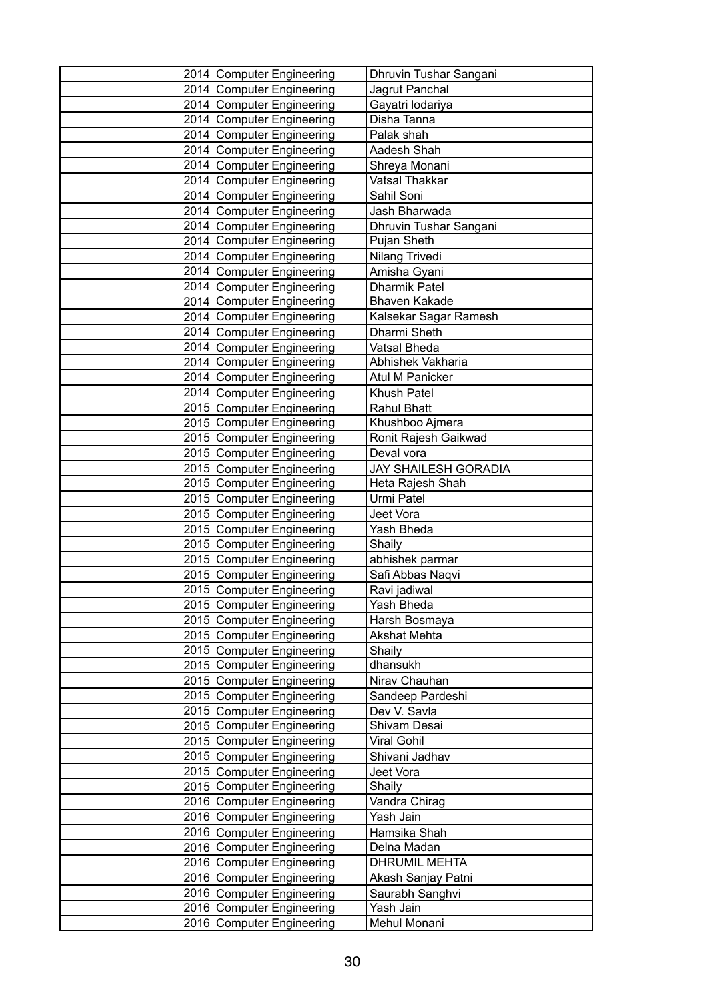| 2014 Computer Engineering                              | Dhruvin Tushar Sangani           |
|--------------------------------------------------------|----------------------------------|
| 2014 Computer Engineering                              | Jagrut Panchal                   |
| 2014 Computer Engineering                              | Gayatri lodariya                 |
| 2014 Computer Engineering                              | Disha Tanna                      |
| 2014 Computer Engineering                              | Palak shah                       |
| 2014 Computer Engineering                              | Aadesh Shah                      |
| 2014 Computer Engineering                              | Shreya Monani                    |
| 2014 Computer Engineering                              | Vatsal Thakkar                   |
| 2014 Computer Engineering                              | Sahil Soni                       |
| 2014 Computer Engineering                              | Jash Bharwada                    |
| 2014 Computer Engineering                              | Dhruvin Tushar Sangani           |
| 2014 Computer Engineering                              | Pujan Sheth                      |
| 2014 Computer Engineering                              | Nilang Trivedi                   |
| 2014 Computer Engineering                              | Amisha Gyani                     |
| 2014 Computer Engineering                              | <b>Dharmik Patel</b>             |
| 2014 Computer Engineering                              | <b>Bhaven Kakade</b>             |
| 2014   Computer Engineering                            | Kalsekar Sagar Ramesh            |
| 2014 Computer Engineering                              | Dharmi Sheth                     |
| 2014 Computer Engineering                              | Vatsal Bheda                     |
| 2014 Computer Engineering                              | Abhishek Vakharia                |
| 2014 Computer Engineering                              | <b>Atul M Panicker</b>           |
| 2014 Computer Engineering                              | Khush Patel                      |
| 2015 Computer Engineering                              | <b>Rahul Bhatt</b>               |
| 2015 Computer Engineering                              | Khushboo Ajmera                  |
| 2015 Computer Engineering                              | Ronit Rajesh Gaikwad             |
| 2015 Computer Engineering                              | Deval vora                       |
| 2015 Computer Engineering                              | <b>JAY SHAILESH GORADIA</b>      |
| 2015 Computer Engineering                              | Heta Rajesh Shah                 |
| 2015 Computer Engineering                              | Urmi Patel                       |
| 2015 Computer Engineering                              | Jeet Vora                        |
| 2015 Computer Engineering                              | Yash Bheda                       |
| 2015 Computer Engineering                              | Shaily                           |
| 2015 Computer Engineering                              | abhishek parmar                  |
| 2015 Computer Engineering<br>2015 Computer Engineering | Safi Abbas Naqvi<br>Ravi jadiwal |
| 2015 Computer Engineering                              | Yash Bheda                       |
| 2015 Computer Engineering                              | Harsh Bosmaya                    |
| 2015 Computer Engineering                              | <b>Akshat Mehta</b>              |
| 2015 Computer Engineering                              | Shaily                           |
| 2015 Computer Engineering                              | dhansukh                         |
| 2015 Computer Engineering                              | Nirav Chauhan                    |
| 2015 Computer Engineering                              | Sandeep Pardeshi                 |
| 2015 Computer Engineering                              | Dev V. Savla                     |
| 2015 Computer Engineering                              | Shivam Desai                     |
| 2015 Computer Engineering                              | Viral Gohil                      |
| 2015 Computer Engineering                              | Shivani Jadhav                   |
| 2015 Computer Engineering                              | Jeet Vora                        |
| 2015 Computer Engineering                              | Shaily                           |
| 2016 Computer Engineering                              | Vandra Chirag                    |
| 2016 Computer Engineering                              | Yash Jain                        |
| 2016 Computer Engineering                              | Hamsika Shah                     |
| 2016 Computer Engineering                              | Delna Madan                      |
| 2016 Computer Engineering                              | <b>DHRUMIL MEHTA</b>             |
| 2016 Computer Engineering                              | Akash Sanjay Patni               |
| 2016 Computer Engineering                              | Saurabh Sanghvi                  |
| 2016 Computer Engineering                              | Yash Jain                        |
| 2016 Computer Engineering                              | Mehul Monani                     |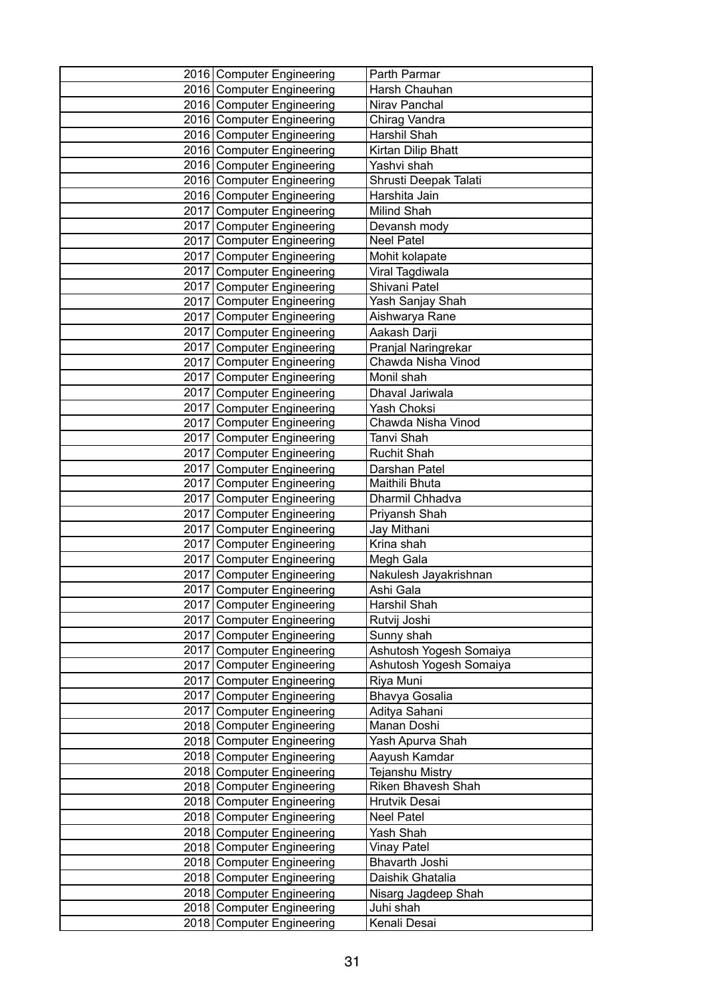| 2016 Computer Engineering                              | Parth Parmar                     |
|--------------------------------------------------------|----------------------------------|
| 2016 Computer Engineering                              | Harsh Chauhan                    |
| 2016 Computer Engineering                              | Nirav Panchal                    |
| 2016 Computer Engineering                              | Chirag Vandra                    |
| 2016 Computer Engineering                              | Harshil Shah                     |
| 2016 Computer Engineering                              | Kirtan Dilip Bhatt               |
| 2016 Computer Engineering                              | Yashvi shah                      |
| 2016 Computer Engineering                              | Shrusti Deepak Talati            |
| 2016 Computer Engineering                              | Harshita Jain                    |
| 2017 Computer Engineering                              | Milind Shah                      |
| 2017 Computer Engineering                              | Devansh mody                     |
| 2017 Computer Engineering                              | <b>Neel Patel</b>                |
| 2017 Computer Engineering                              | Mohit kolapate                   |
| 2017 Computer Engineering                              | Viral Tagdiwala                  |
| 2017 Computer Engineering                              | Shivani Patel                    |
| 2017 Computer Engineering                              | Yash Sanjay Shah                 |
| 2017 Computer Engineering                              | Aishwarya Rane                   |
| 2017 Computer Engineering                              | Aakash Darji                     |
| 2017 Computer Engineering                              | Pranjal Naringrekar              |
| 2017 Computer Engineering                              | Chawda Nisha Vinod               |
| 2017 Computer Engineering                              | Monil shah                       |
| 2017 Computer Engineering                              | Dhaval Jariwala                  |
| 2017 Computer Engineering                              | Yash Choksi                      |
| 2017 Computer Engineering                              | Chawda Nisha Vinod               |
| 2017 Computer Engineering                              | Tanvi Shah                       |
| 2017 Computer Engineering                              | <b>Ruchit Shah</b>               |
| 2017 Computer Engineering                              | Darshan Patel                    |
| 2017 Computer Engineering                              | Maithili Bhuta                   |
| 2017 Computer Engineering                              | Dharmil Chhadva                  |
| 2017   Computer Engineering                            | Priyansh Shah                    |
| 2017 Computer Engineering                              | Jay Mithani                      |
| 2017 Computer Engineering                              | Krina shah                       |
| 2017 Computer Engineering                              | Megh Gala                        |
| 2017 Computer Engineering                              | Nakulesh Jayakrishnan            |
| 2017 Computer Engineering                              | Ashi Gala                        |
| 2017 Computer Engineering                              | Harshil Shah                     |
| 2017 Computer Engineering                              | Rutvij Joshi                     |
| 2017 Computer Engineering                              | Sunny shah                       |
| 2017 Computer Engineering                              | Ashutosh Yogesh Somaiya          |
| 2017 Computer Engineering                              | Ashutosh Yogesh Somaiya          |
| 2017 Computer Engineering                              | Riya Muni                        |
| 2017 Computer Engineering                              | Bhavya Gosalia                   |
| 2017 Computer Engineering                              | Aditya Sahani                    |
| 2018 Computer Engineering                              | Manan Doshi                      |
| 2018 Computer Engineering                              | Yash Apurva Shah                 |
| 2018 Computer Engineering                              | Aayush Kamdar                    |
| 2018 Computer Engineering                              | <b>Tejanshu Mistry</b>           |
| 2018 Computer Engineering                              | Riken Bhavesh Shah               |
| 2018 Computer Engineering                              | Hrutvik Desai                    |
| 2018 Computer Engineering                              | <b>Neel Patel</b>                |
| 2018 Computer Engineering                              | Yash Shah                        |
| 2018 Computer Engineering                              | <b>Vinay Patel</b>               |
| 2018 Computer Engineering                              | Bhavarth Joshi                   |
| 2018 Computer Engineering<br>2018 Computer Engineering | Daishik Ghatalia                 |
| 2018 Computer Engineering                              | Nisarg Jagdeep Shah<br>Juhi shah |
| 2018 Computer Engineering                              | Kenali Desai                     |
|                                                        |                                  |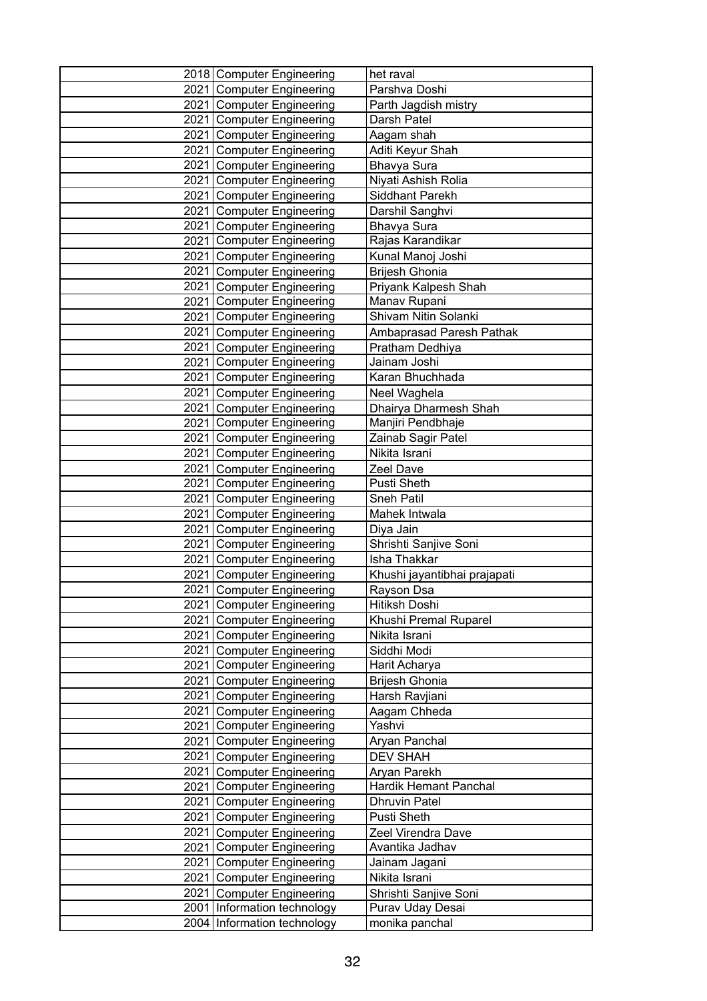| 2018 Computer Engineering                              | het raval                             |
|--------------------------------------------------------|---------------------------------------|
| 2021 Computer Engineering                              | Parshva Doshi                         |
| 2021 Computer Engineering                              | Parth Jagdish mistry                  |
| 2021 Computer Engineering                              | Darsh Patel                           |
| 2021 Computer Engineering                              | Aagam shah                            |
| 2021 Computer Engineering                              | Aditi Keyur Shah                      |
| 2021 Computer Engineering                              | Bhavya Sura                           |
| 2021 Computer Engineering                              | Niyati Ashish Rolia                   |
| 2021 Computer Engineering                              | Siddhant Parekh                       |
| 2021 Computer Engineering                              | Darshil Sanghvi                       |
| 2021 Computer Engineering                              | Bhavya Sura                           |
| 2021 Computer Engineering                              | Rajas Karandikar                      |
| 2021 Computer Engineering                              | Kunal Manoj Joshi                     |
| 2021 Computer Engineering                              | Brijesh Ghonia                        |
| 2021 Computer Engineering                              | Priyank Kalpesh Shah                  |
| 2021 Computer Engineering                              | Manav Rupani                          |
| 2021 Computer Engineering                              | Shivam Nitin Solanki                  |
| 2021 Computer Engineering                              | Ambaprasad Paresh Pathak              |
| 2021 Computer Engineering                              | Pratham Dedhiya                       |
| 2021 Computer Engineering                              | Jainam Joshi                          |
| 2021 Computer Engineering                              | Karan Bhuchhada                       |
| 2021 Computer Engineering                              | Neel Waghela                          |
| 2021 Computer Engineering                              | Dhairya Dharmesh Shah                 |
| 2021 Computer Engineering                              | Manjiri Pendbhaje                     |
| 2021 Computer Engineering                              | Zainab Sagir Patel                    |
| 2021 Computer Engineering                              | Nikita Israni                         |
| 2021 Computer Engineering                              | Zeel Dave                             |
| 2021 Computer Engineering                              | <b>Pusti Sheth</b>                    |
| 2021 Computer Engineering                              | Sneh Patil                            |
| 2021 Computer Engineering                              | Mahek Intwala                         |
| 2021 Computer Engineering                              | Diya Jain                             |
| 2021 Computer Engineering                              | Shrishti Sanjive Soni<br>Isha Thakkar |
| 2021 Computer Engineering                              |                                       |
| 2021 Computer Engineering<br>2021 Computer Engineering | Khushi jayantibhai prajapati          |
| 2021 Computer Engineering                              | Rayson Dsa<br>Hitiksh Doshi           |
| 2021 Computer Engineering                              | Khushi Premal Ruparel                 |
| 2021 Computer Engineering                              | Nikita Israni                         |
| 2021 Computer Engineering                              | Siddhi Modi                           |
| 2021 Computer Engineering                              | Harit Acharya                         |
| 2021 Computer Engineering                              | Brijesh Ghonia                        |
| 2021 Computer Engineering                              | Harsh Ravjiani                        |
| 2021 Computer Engineering                              | Aagam Chheda                          |
| 2021 Computer Engineering                              | Yashvi                                |
| 2021 Computer Engineering                              | Aryan Panchal                         |
| 2021 Computer Engineering                              | <b>DEV SHAH</b>                       |
| 2021 Computer Engineering                              | Aryan Parekh                          |
| 2021 Computer Engineering                              | Hardik Hemant Panchal                 |
| 2021 Computer Engineering                              | <b>Dhruvin Patel</b>                  |
| 2021 Computer Engineering                              | Pusti Sheth                           |
| 2021 Computer Engineering                              | Zeel Virendra Dave                    |
| 2021   Computer Engineering                            | Avantika Jadhav                       |
| 2021 Computer Engineering                              | Jainam Jagani                         |
| 2021 Computer Engineering                              | Nikita Israni                         |
| 2021 Computer Engineering                              | Shrishti Sanjive Soni                 |
| 2001 Information technology                            | Purav Uday Desai                      |
| 2004 Information technology                            | monika panchal                        |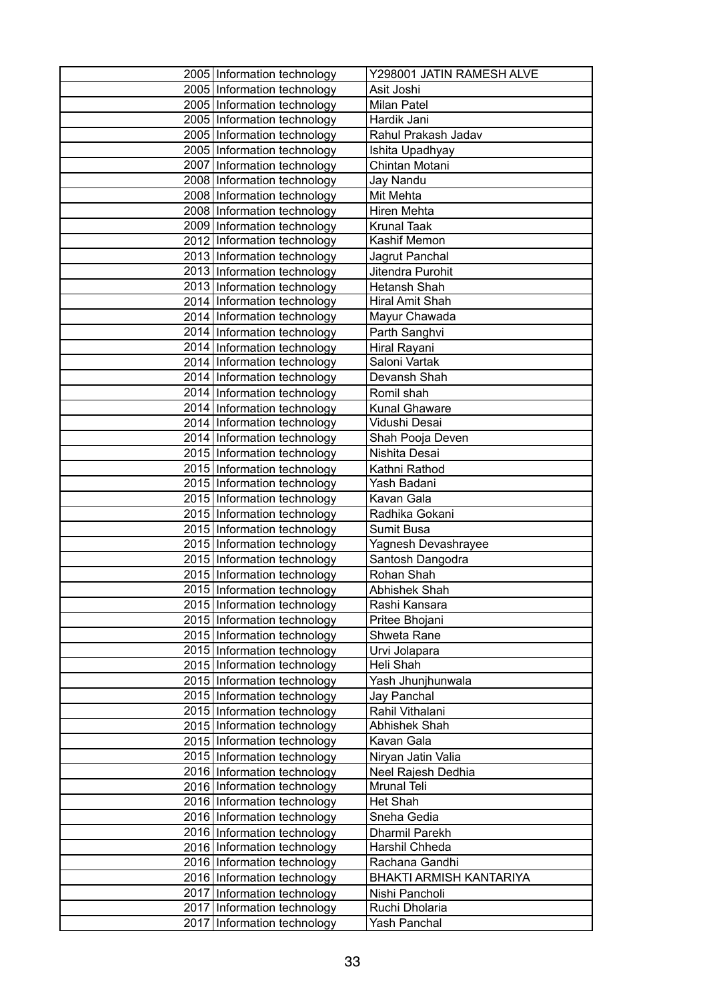| 2005 Information technology                                | Y298001 JATIN RAMESH ALVE      |
|------------------------------------------------------------|--------------------------------|
| 2005 Information technology                                | Asit Joshi                     |
| 2005 Information technology                                | Milan Patel                    |
| 2005 Information technology                                | Hardik Jani                    |
| 2005 Information technology                                | Rahul Prakash Jadav            |
| 2005   Information technology                              | Ishita Upadhyay                |
| 2007   Information technology                              | Chintan Motani                 |
| 2008 Information technology                                | Jay Nandu                      |
| 2008 Information technology                                | Mit Mehta                      |
| 2008 Information technology                                | Hiren Mehta                    |
| 2009 Information technology                                | <b>Krunal Taak</b>             |
| 2012 Information technology                                | Kashif Memon                   |
| 2013   Information technology                              | Jagrut Panchal                 |
| 2013 Information technology                                | Jitendra Purohit               |
| 2013 Information technology                                | Hetansh Shah                   |
| 2014 Information technology                                | Hiral Amit Shah                |
| 2014   Information technology                              | Mayur Chawada                  |
| 2014 Information technology                                | Parth Sanghvi                  |
| 2014 Information technology                                | Hiral Rayani                   |
| 2014 Information technology                                | Saloni Vartak                  |
| 2014   Information technology                              | Devansh Shah                   |
| 2014 Information technology                                | Romil shah                     |
| 2014   Information technology                              | <b>Kunal Ghaware</b>           |
| 2014 Information technology                                | Vidushi Desai                  |
| 2014 Information technology                                | Shah Pooja Deven               |
| 2015 Information technology                                | Nishita Desai                  |
| 2015 Information technology                                | Kathni Rathod                  |
| 2015 Information technology                                | Yash Badani<br>Kavan Gala      |
| 2015 Information technology<br>2015 Information technology | Radhika Gokani                 |
| 2015 Information technology                                | Sumit Busa                     |
| 2015   Information technology                              | Yagnesh Devashrayee            |
| 2015 Information technology                                | Santosh Dangodra               |
| 2015 Information technology                                | Rohan Shah                     |
| 2015 Information technology                                | Abhishek Shah                  |
| 2015 Information technology                                | Rashi Kansara                  |
| 2015 Information technology                                | Pritee Bhojani                 |
| 2015 Information technology                                | Shweta Rane                    |
| 2015 Information technology                                | Urvi Jolapara                  |
| 2015 Information technology                                | Heli Shah                      |
| 2015   Information technology                              | Yash Jhunjhunwala              |
| 2015 Information technology                                | Jay Panchal                    |
| 2015 Information technology                                | Rahil Vithalani                |
| 2015 Information technology                                | <b>Abhishek Shah</b>           |
| 2015 Information technology                                | Kavan Gala                     |
| 2015 Information technology                                | Niryan Jatin Valia             |
| 2016 Information technology                                | Neel Rajesh Dedhia             |
| 2016 Information technology                                | Mrunal Teli                    |
| 2016 Information technology                                | <b>Het Shah</b>                |
| 2016 Information technology                                | Sneha Gedia                    |
| 2016 Information technology                                | Dharmil Parekh                 |
| 2016 Information technology                                | Harshil Chheda                 |
| 2016   Information technology                              | Rachana Gandhi                 |
| 2016 Information technology                                | <b>BHAKTI ARMISH KANTARIYA</b> |
| 2017 Information technology                                | Nishi Pancholi                 |
| 2017 Information technology                                | Ruchi Dholaria                 |
| 2017   Information technology                              | Yash Panchal                   |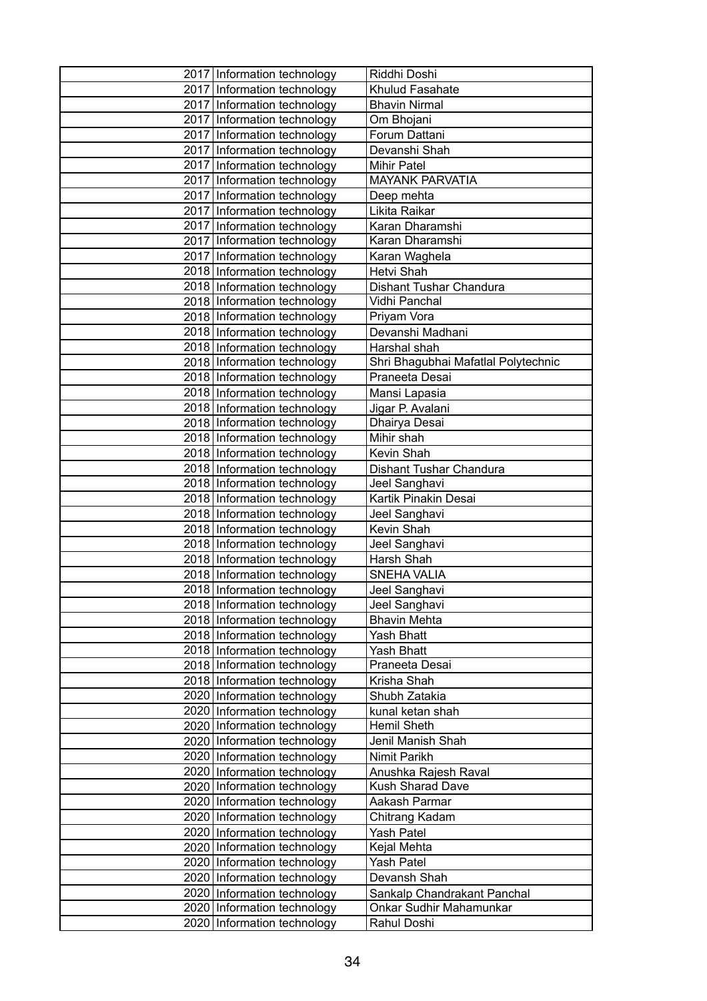| 2017 Information technology                                | Riddhi Doshi                        |
|------------------------------------------------------------|-------------------------------------|
| 2017 Information technology                                | Khulud Fasahate                     |
| 2017 Information technology                                | <b>Bhavin Nirmal</b>                |
| 2017 Information technology                                | Om Bhojani                          |
| 2017 Information technology                                | Forum Dattani                       |
| 2017 Information technology                                | Devanshi Shah                       |
| 2017 Information technology                                | <b>Mihir Patel</b>                  |
| 2017 Information technology                                | <b>MAYANK PARVATIA</b>              |
| 2017 Information technology                                | Deep mehta                          |
| 2017 Information technology                                | Likita Raikar                       |
| 2017 Information technology                                | Karan Dharamshi                     |
| 2017 Information technology                                | Karan Dharamshi                     |
| 2017 Information technology                                | Karan Waghela                       |
| 2018 Information technology                                | Hetvi Shah                          |
| 2018 Information technology                                | Dishant Tushar Chandura             |
| 2018 Information technology                                | Vidhi Panchal                       |
| 2018 Information technology                                | Priyam Vora                         |
| 2018 Information technology                                | Devanshi Madhani                    |
| 2018 Information technology                                | Harshal shah                        |
| 2018   Information technology                              | Shri Bhagubhai Mafatlal Polytechnic |
| 2018 Information technology                                | Praneeta Desai                      |
| 2018 Information technology                                | Mansi Lapasia                       |
| 2018 Information technology                                | Jigar P. Avalani                    |
| 2018 Information technology                                | Dhairya Desai                       |
| 2018 Information technology                                | Mihir shah                          |
| 2018 Information technology                                | Kevin Shah                          |
| 2018 Information technology                                | Dishant Tushar Chandura             |
| 2018   Information technology                              | Jeel Sanghavi                       |
| 2018 Information technology                                | Kartik Pinakin Desai                |
| 2018 Information technology                                | Jeel Sanghavi                       |
| 2018 Information technology                                | Kevin Shah                          |
| 2018   Information technology                              | Jeel Sanghavi                       |
| 2018 Information technology<br>2018 Information technology | Harsh Shah                          |
|                                                            | <b>SNEHA VALIA</b>                  |
| 2018 Information technology<br>2018 Information technology | Jeel Sanghavi<br>Jeel Sanghavi      |
| 2018 Information technology                                | <b>Bhavin Mehta</b>                 |
| 2018   Information technology                              | Yash Bhatt                          |
| 2018 Information technology                                | Yash Bhatt                          |
| 2018 Information technology                                | Praneeta Desai                      |
| 2018 Information technology                                | Krisha Shah                         |
| 2020 Information technology                                | Shubh Zatakia                       |
| 2020 Information technology                                | kunal ketan shah                    |
| 2020 Information technology                                | Hemil Sheth                         |
| 2020 Information technology                                | Jenil Manish Shah                   |
| 2020 Information technology                                | Nimit Parikh                        |
| 2020 Information technology                                | Anushka Rajesh Raval                |
| 2020 Information technology                                | <b>Kush Sharad Dave</b>             |
| 2020 Information technology                                | Aakash Parmar                       |
| 2020 Information technology                                | Chitrang Kadam                      |
| 2020 Information technology                                | <b>Yash Patel</b>                   |
| 2020 Information technology                                | Kejal Mehta                         |
| 2020 Information technology                                | <b>Yash Patel</b>                   |
| 2020 Information technology                                | Devansh Shah                        |
| 2020 Information technology                                | Sankalp Chandrakant Panchal         |
| 2020 Information technology                                | Onkar Sudhir Mahamunkar             |
| 2020 Information technology                                | Rahul Doshi                         |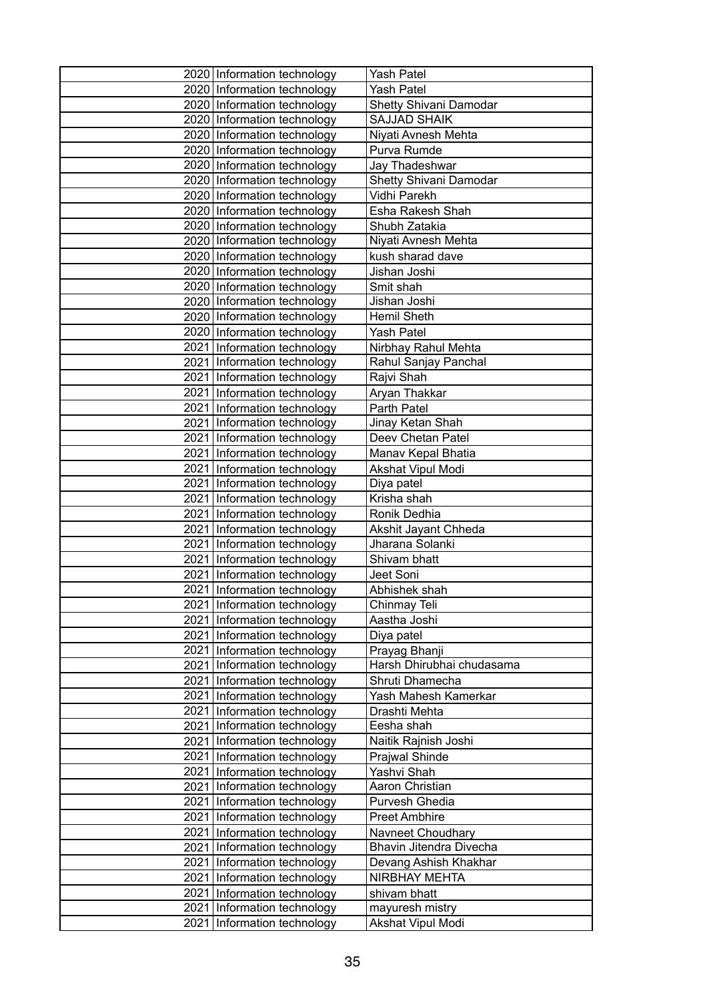| 2020 Information technology                                | Yash Patel                                   |
|------------------------------------------------------------|----------------------------------------------|
| 2020 Information technology                                | <b>Yash Patel</b>                            |
| 2020 Information technology                                | Shetty Shivani Damodar                       |
| 2020 Information technology                                | <b>SAJJAD SHAIK</b>                          |
| 2020 Information technology                                | Niyati Avnesh Mehta                          |
| 2020 Information technology                                | Purva Rumde                                  |
| 2020 Information technology                                | Jay Thadeshwar                               |
| 2020 Information technology                                | Shetty Shivani Damodar                       |
| 2020 Information technology                                | Vidhi Parekh                                 |
| 2020 Information technology                                | Esha Rakesh Shah                             |
| 2020 Information technology                                | Shubh Zatakia                                |
| 2020 Information technology                                | Niyati Avnesh Mehta                          |
| 2020 Information technology                                | kush sharad dave                             |
| 2020 Information technology                                | Jishan Joshi                                 |
| 2020 Information technology                                | Smit shah                                    |
| 2020 Information technology                                | Jishan Joshi                                 |
| 2020 Information technology                                | <b>Hemil Sheth</b>                           |
| 2020 Information technology                                | <b>Yash Patel</b>                            |
| 2021 Information technology                                | Nirbhay Rahul Mehta                          |
| 2021 Information technology                                | Rahul Sanjay Panchal                         |
| 2021 Information technology                                | Rajvi Shah                                   |
| 2021 Information technology                                | Aryan Thakkar                                |
| 2021 Information technology                                | Parth Patel                                  |
| 2021 Information technology                                | Jinay Ketan Shah                             |
| 2021   Information technology                              | Deev Chetan Patel                            |
| 2021 Information technology                                | Manav Kepal Bhatia                           |
| 2021 Information technology                                | Akshat Vipul Modi                            |
| 2021 Information technology                                | Diya patel                                   |
| 2021 Information technology                                | Krisha shah                                  |
| 2021 Information technology                                | Ronik Dedhia                                 |
| 2021 Information technology                                | Akshit Jayant Chheda                         |
| 2021 Information technology                                | Jharana Solanki                              |
| 2021 Information technology                                | Shivam bhatt                                 |
| 2021 Information technology                                | Jeet Soni                                    |
| 2021 Information technology                                | Abhishek shah                                |
| 2021 Information technology                                | Chinmay Teli                                 |
| 2021 Information technology                                | Aastha Joshi                                 |
| 2021 Information technology                                | Diya patel                                   |
| 2021 Information technology                                | Prayag Bhanji                                |
| 2021 Information technology<br>2021 Information technology | Harsh Dhirubhai chudasama<br>Shruti Dhamecha |
| 2021 Information technology                                | Yash Mahesh Kamerkar                         |
| 2021 Information technology                                | Drashti Mehta                                |
| 2021   Information technology                              | Eesha shah                                   |
| 2021 Information technology                                | Naitik Rajnish Joshi                         |
| 2021 Information technology                                | Prajwal Shinde                               |
| 2021 Information technology                                | Yashvi Shah                                  |
| 2021 Information technology                                | Aaron Christian                              |
| 2021 Information technology                                | Purvesh Ghedia                               |
| 2021 Information technology                                | <b>Preet Ambhire</b>                         |
| 2021 Information technology                                | Navneet Choudhary                            |
| 2021 Information technology                                | Bhavin Jitendra Divecha                      |
| 2021 Information technology                                | Devang Ashish Khakhar                        |
| 2021 Information technology                                | NIRBHAY MEHTA                                |
| 2021 Information technology                                | shivam bhatt                                 |
| 2021   Information technology                              | mayuresh mistry                              |
| 2021 Information technology                                | Akshat Vipul Modi                            |